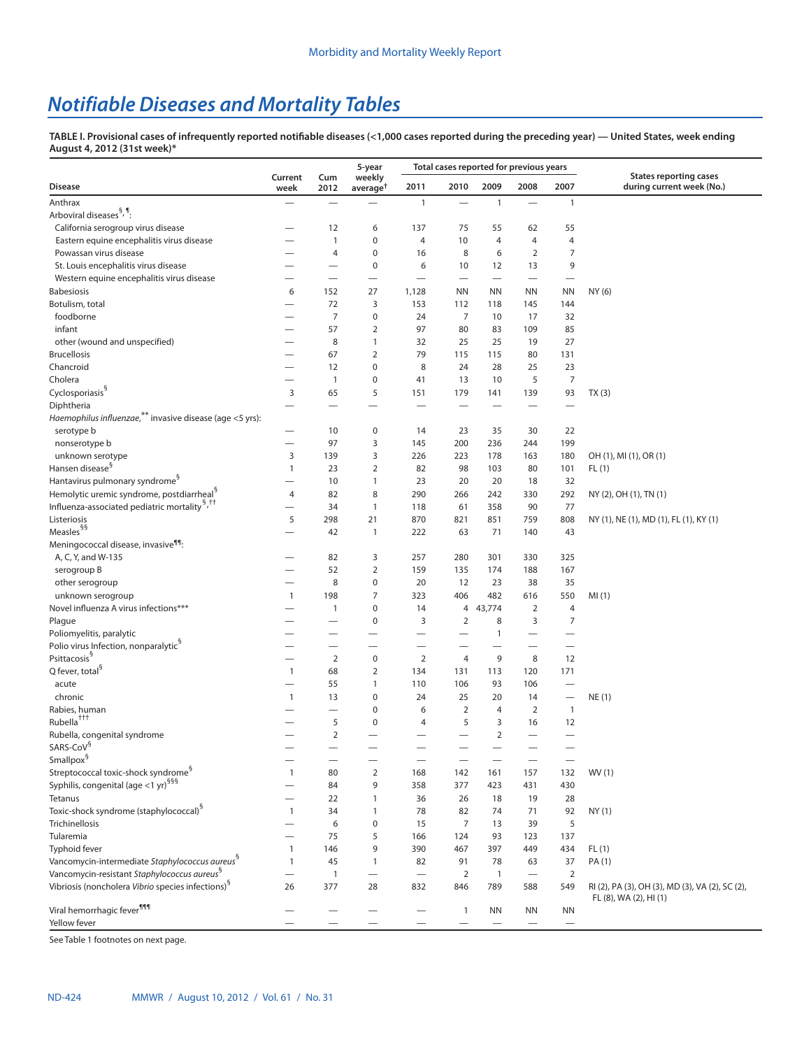# *Notifiable Diseases and Mortality Tables*

**TABLE I. Provisional cases of infrequently reported notifiable diseases (<1,000 cases reported during the preceding year) — United States, week ending August 4, 2012 (31st week)\***

|                                                                             |                              |                          | 5-year                         |                                  | Total cases reported for previous years |                       |                                   |                          |                                                            |
|-----------------------------------------------------------------------------|------------------------------|--------------------------|--------------------------------|----------------------------------|-----------------------------------------|-----------------------|-----------------------------------|--------------------------|------------------------------------------------------------|
| <b>Disease</b>                                                              | Current<br>week              | Cum<br>2012              | weekly<br>average <sup>+</sup> | 2011                             | 2010                                    | 2009                  | 2008                              | 2007                     | <b>States reporting cases</b><br>during current week (No.) |
| Anthrax                                                                     | $\overline{\phantom{0}}$     |                          |                                | $\mathbf{1}$                     |                                         | 1                     |                                   | $\mathbf{1}$             |                                                            |
| Arboviral diseases <sup>§, ¶</sup> :                                        |                              |                          |                                |                                  |                                         |                       |                                   |                          |                                                            |
| California serogroup virus disease                                          |                              | 12                       | 6                              | 137                              | 75                                      | 55                    | 62                                | 55                       |                                                            |
| Eastern equine encephalitis virus disease                                   |                              | $\mathbf{1}$             | 0                              | 4                                | 10                                      | 4                     | 4                                 | $\overline{4}$           |                                                            |
| Powassan virus disease                                                      |                              | $\overline{4}$           | 0                              | 16                               | 8                                       | 6                     | $\overline{2}$                    | 7                        |                                                            |
| St. Louis encephalitis virus disease                                        |                              | $\overline{\phantom{0}}$ | $\boldsymbol{0}$               | 6                                | 10                                      | 12                    | 13                                | 9                        |                                                            |
| Western equine encephalitis virus disease                                   |                              | $\overline{\phantom{0}}$ | $\overline{\phantom{0}}$       | $\overline{\phantom{0}}$         | $\overbrace{\phantom{12322111}}$        |                       | $\overbrace{\phantom{12322111}}$  | $\overline{\phantom{0}}$ |                                                            |
| <b>Babesiosis</b>                                                           | 6                            | 152                      | 27                             | 1,128                            | <b>NN</b>                               | <b>NN</b>             | <b>NN</b>                         | <b>NN</b>                | NY (6)                                                     |
| Botulism, total                                                             | $\overline{\phantom{0}}$     | 72                       | 3                              | 153                              | 112                                     | 118                   | 145                               | 144                      |                                                            |
| foodborne                                                                   |                              | 7                        | 0                              | 24                               | $\overline{7}$                          | 10                    | 17                                | 32                       |                                                            |
| infant                                                                      |                              | 57                       | $\overline{2}$                 | 97                               | 80                                      | 83                    | 109                               | 85                       |                                                            |
| other (wound and unspecified)                                               |                              | 8                        | $\mathbf{1}$                   | 32                               | 25                                      | 25                    | 19                                | 27                       |                                                            |
| <b>Brucellosis</b>                                                          |                              | 67                       | $\overline{2}$                 | 79                               | 115                                     | 115                   | 80                                | 131                      |                                                            |
| Chancroid                                                                   |                              | 12                       | 0                              | 8                                | 24                                      | 28                    | 25                                | 23                       |                                                            |
| Cholera                                                                     |                              | $\mathbf{1}$             | 0                              | 41                               | 13                                      | 10                    | 5                                 | $\overline{7}$           |                                                            |
| Cyclosporiasis <sup>§</sup>                                                 | 3                            | 65                       | 5                              | 151                              | 179                                     | 141                   | 139                               | 93                       | TX(3)                                                      |
| Diphtheria                                                                  |                              |                          |                                |                                  |                                         |                       |                                   |                          |                                                            |
| Haemophilus influenzae, ** invasive disease (age <5 yrs):                   |                              |                          |                                |                                  |                                         |                       |                                   |                          |                                                            |
| serotype b                                                                  | $\overline{\phantom{0}}$     | 10                       | 0                              | 14                               | 23                                      | 35                    | 30                                | 22                       |                                                            |
| nonserotype b                                                               |                              | 97                       | 3                              | 145                              | 200                                     | 236                   | 244                               | 199                      |                                                            |
| unknown serotype                                                            | 3                            | 139                      | 3                              | 226                              | 223                                     | 178                   | 163                               | 180                      | OH (1), MI (1), OR (1)                                     |
| Hansen disease <sup>§</sup>                                                 | $\mathbf{1}$                 | 23                       | $\overline{2}$                 | 82                               | 98                                      | 103                   | 80                                | 101                      | FL(1)                                                      |
| Hantavirus pulmonary syndrome <sup>3</sup>                                  |                              | 10                       | $\mathbf{1}$                   | 23                               | 20                                      | 20                    | 18                                | 32                       |                                                            |
| Hemolytic uremic syndrome, postdiarrheal <sup>9</sup>                       | $\overline{4}$               | 82                       | 8                              | 290                              | 266                                     | 242                   | 330                               | 292                      | NY (2), OH (1), TN (1)                                     |
| Influenza-associated pediatric mortality <sup>§,††</sup>                    |                              | 34                       | 1                              | 118                              | 61                                      | 358                   | 90                                | 77                       |                                                            |
| Listeriosis                                                                 | 5                            | 298                      | 21                             | 870                              | 821                                     | 851                   | 759                               | 808                      | NY (1), NE (1), MD (1), FL (1), KY (1)                     |
| $\mathsf{Measles}^{\mathsf{S}\mathsf{S}}$                                   |                              | 42                       | $\mathbf{1}$                   | 222                              | 63                                      | 71                    | 140                               | 43                       |                                                            |
| Meningococcal disease, invasive <sup>99</sup> :                             |                              |                          |                                |                                  |                                         |                       |                                   |                          |                                                            |
| A, C, Y, and W-135                                                          |                              | 82                       | 3                              | 257                              | 280                                     | 301                   | 330                               | 325                      |                                                            |
| serogroup B                                                                 |                              | 52                       | $\overline{2}$                 | 159                              | 135                                     | 174                   | 188                               | 167                      |                                                            |
| other serogroup                                                             |                              | 8                        | $\pmb{0}$                      | 20                               | 12                                      | 23                    | 38                                | 35                       |                                                            |
| unknown serogroup                                                           | $\mathbf{1}$                 | 198                      | 7                              | 323                              | 406                                     | 482                   | 616                               | 550                      | MI(1)                                                      |
| Novel influenza A virus infections***                                       |                              | 1                        | 0                              | 14                               | 4                                       | 43,774                | $\overline{2}$                    | 4                        |                                                            |
| Plague                                                                      |                              |                          | 0                              | 3                                | 2                                       | 8                     | 3                                 | 7                        |                                                            |
| Poliomyelitis, paralytic                                                    |                              | --                       | —                              |                                  |                                         | 1                     |                                   |                          |                                                            |
| Polio virus Infection, nonparalytic <sup>9</sup>                            |                              |                          |                                |                                  |                                         |                       |                                   |                          |                                                            |
| Psittacosis <sup>§</sup>                                                    |                              | $\overline{2}$           | $\bf 0$                        | 2                                | $\overline{4}$                          | 9                     | 8                                 | 12                       |                                                            |
| Q fever, total <sup>9</sup>                                                 | $\mathbf{1}$                 | 68                       | $\overline{2}$                 | 134                              | 131                                     | 113                   | 120                               | 171                      |                                                            |
| acute                                                                       |                              | 55                       | $\mathbf{1}$                   | 110                              | 106                                     | 93                    | 106                               | $\overline{\phantom{0}}$ |                                                            |
| chronic                                                                     | $\mathbf{1}$                 | 13                       | 0                              | 24                               | 25                                      | 20                    | 14                                |                          | NE(1)                                                      |
| Rabies, human<br>Rubella <sup>+++</sup>                                     |                              |                          | 0                              | 6                                | $\overline{2}$                          | 4                     | $\overline{2}$                    | $\overline{1}$           |                                                            |
|                                                                             |                              | 5                        | 0                              | 4                                | 5                                       | 3                     | 16                                | 12                       |                                                            |
| Rubella, congenital syndrome<br>SARS-CoV <sup>§</sup>                       |                              | $\overline{2}$           |                                |                                  |                                         | $\overline{2}$        |                                   |                          |                                                            |
|                                                                             |                              |                          |                                |                                  |                                         |                       |                                   |                          |                                                            |
| Smallpox <sup>§</sup><br>Streptococcal toxic-shock syndrome <sup>§</sup>    |                              |                          |                                |                                  |                                         |                       |                                   |                          |                                                            |
| Syphilis, congenital (age <1 yr) <sup>§§§</sup>                             | $\mathbf{1}$                 | 80                       | $\overline{2}$                 | 168                              | 142                                     | 161                   | 157                               | 132                      | WV (1)                                                     |
| Tetanus                                                                     |                              | 84                       | 9                              | 358                              | 377                                     | 423                   | 431                               | 430                      |                                                            |
| Toxic-shock syndrome (staphylococcal) <sup>§</sup>                          | $\overline{\phantom{0}}$     | 22                       | $\mathbf{1}$                   | 36                               | 26                                      | 18                    | 19                                | 28                       |                                                            |
|                                                                             | $\mathbf{1}$                 | 34                       | $\mathbf{1}$                   | 78                               | 82                                      | 74                    | 71                                | 92                       | NY(1)                                                      |
| Trichinellosis<br>Tularemia                                                 |                              | 6                        | $\pmb{0}$                      | 15                               | 7                                       | 13                    | 39                                | 5                        |                                                            |
|                                                                             | $\overline{\phantom{0}}$     | 75                       | 5<br>9                         | 166                              | 124<br>467                              | 93                    | 123                               | 137                      |                                                            |
| Typhoid fever<br>Vancomycin-intermediate Staphylococcus aureus <sup>8</sup> | $\mathbf{1}$<br>$\mathbf{1}$ | 146<br>45                | $\mathbf{1}$                   | 390<br>82                        | 91                                      | 397                   | 449<br>63                         | 434<br>37                | FL(1)<br>PA (1)                                            |
| Vancomycin-resistant Staphylococcus aureus <sup>8</sup>                     | $\equiv$                     |                          |                                | $\overbrace{\phantom{12322111}}$ | $\overline{2}$                          | 78                    | $\overbrace{\phantom{123221111}}$ |                          |                                                            |
| Vibriosis (noncholera Vibrio species infections) <sup>8</sup>               | 26                           | $\mathbf{1}$<br>377      | $\overline{\phantom{0}}$<br>28 | 832                              | 846                                     | $\overline{1}$<br>789 | 588                               | $\overline{2}$<br>549    | RI (2), PA (3), OH (3), MD (3), VA (2), SC (2),            |
| Viral hemorrhagic fever <sup>999</sup>                                      |                              |                          |                                |                                  |                                         |                       |                                   |                          | FL (8), WA (2), HI (1)                                     |
| Yellow fever                                                                |                              |                          |                                |                                  | $\mathbf{1}$                            | NN                    | ΝN                                | ΝN                       |                                                            |
|                                                                             |                              |                          |                                |                                  |                                         |                       |                                   |                          |                                                            |

See Table 1 footnotes on next page.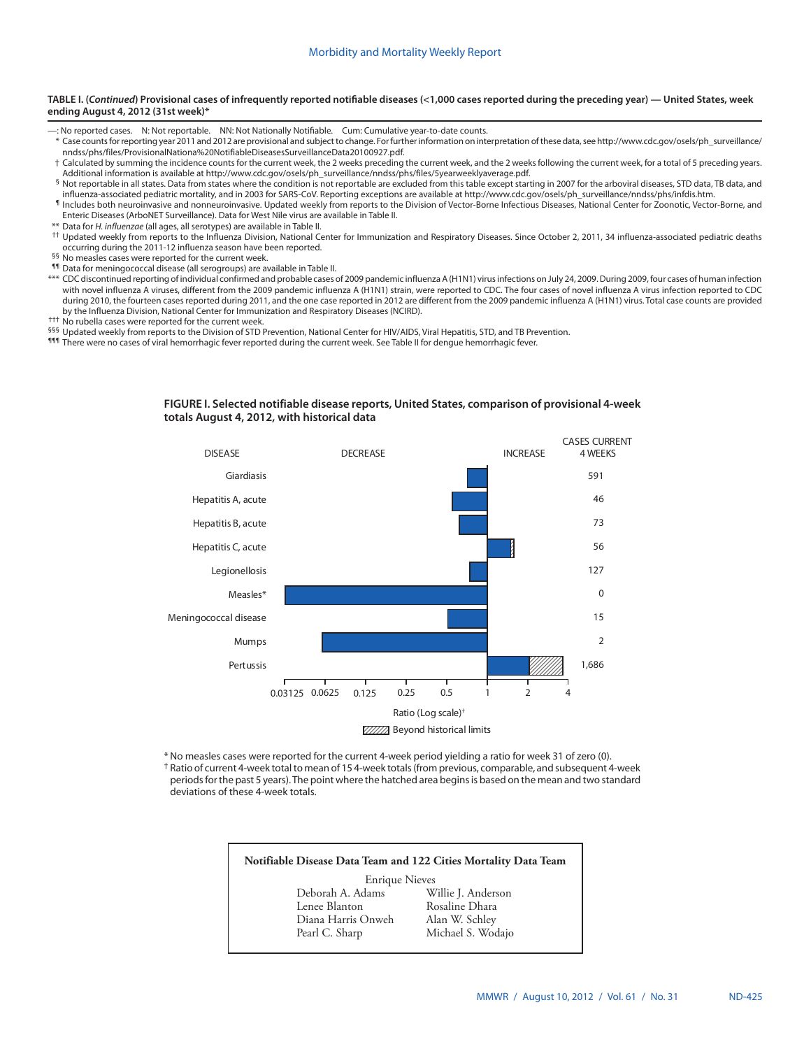#### **TABLE I. (***Continued***) Provisional cases of infrequently reported notifiable diseases (<1,000 cases reported during the preceding year) — United States, week ending August 4, 2012 (31st week)\***

- —: No reported cases. N: Not reportable. NN: Not Nationally Notifiable. Cum: Cumulative year-to-date counts.
- \* Case counts for reporting year 2011 and 2012 are provisional and subject to change. For further information on interpretation of these data, see [http://www.cdc.gov/osels/ph\\_surveillance/](http://www.cdc.gov/osels/ph_surveillance/nndss/phs/files/ProvisionalNationa%20NotifiableDiseasesSurveillanceData20100927.pdf) [nndss/phs/files/ProvisionalNationa%20NotifiableDiseasesSurveillanceData20100927.pdf](http://www.cdc.gov/osels/ph_surveillance/nndss/phs/files/ProvisionalNationa%20NotifiableDiseasesSurveillanceData20100927.pdf).
- † Calculated by summing the incidence counts for the current week, the 2 weeks preceding the current week, and the 2 weeks following the current week, for a total of 5 preceding years. Additional information is available at [http://www.cdc.gov/osels/ph\\_surveillance/nndss/phs/files/5yearweeklyaverage.pdf](http://www.cdc.gov/osels/ph_surveillance/nndss/phs/files/5yearweeklyaverage.pdf).
- § Not reportable in all states. Data from states where the condition is not reportable are excluded from this table except starting in 2007 for the arboviral diseases, STD data, TB data, and<br>influenza-associated pediatric
- Il ncludes both neuroinvasive and nonneuroinvasive. Updated weekly from reports to the Division of Vector-Borne Infectious Diseases, National Center for Zoonotic, Vector-Borne, and Enteric Diseases (ArboNET Surveillance). Data for West Nile virus are available in Table II.
- \*\* Data for *H. influenzae* (all ages, all serotypes) are available in Table II.
- †† Updated weekly from reports to the Influenza Division, National Center for Immunization and Respiratory Diseases. Since October 2, 2011, 34 influenza-associated pediatric deaths occurring during the 2011-12 influenza season have been reported. §§ No measles cases were reported for the current week.
- 
- ¶¶ Data for meningococcal disease (all serogroups) are available in Table II.
- \*\*\* CDC discontinued reporting of individual confirmed and probable cases of 2009 pandemic influenza A (H1N1) virus infections on July 24, 2009. During 2009, four cases of human infection with novel influenza A viruses, different from the 2009 pandemic influenza A (H1N1) strain, were reported to CDC. The four cases of novel influenza A virus infection reported to CDC during 2010, the fourteen cases reported during 2011, and the one case reported in 2012 are different from the 2009 pandemic influenza A (H1N1) virus. Total case counts are provided by the Influenza Division, National Center for Immunization and Respiratory Diseases (NCIRD).
- ††† No rubella cases were reported for the current week.
- §§§ Updated weekly from reports to the Division of STD Prevention, National Center for HIV/AIDS, Viral Hepatitis, STD, and TB Prevention.
- 111 There were no cases of viral hemorrhagic fever reported during the current week. See Table II for dengue hemorrhagic fever.



#### **FIGURE I. Selected notifiable disease reports, United States, comparison of provisional 4-week totals August 4, 2012, with historical data**

\*No measles cases were reported for the current 4-week period yielding a ratio for week 31 of zero (0). † Ratio of current 4-week total to mean of 15 4-week totals (from previous, comparable, and subsequent 4-week periods for the past 5 years). The point where the hatched area begins is based on the mean and two standard deviations of these 4-week totals.

# **Notifiable Disease Data Team and 122 Cities Mortality Data Team** Enrique Nieves<br>Deborah A. Adams W Deborah A. Adams Willie J. Anderson Rosaline Dhara<br>Alan W. Schley Diana Harris Onweh Pearl C. Sharp Michael S. Wodajo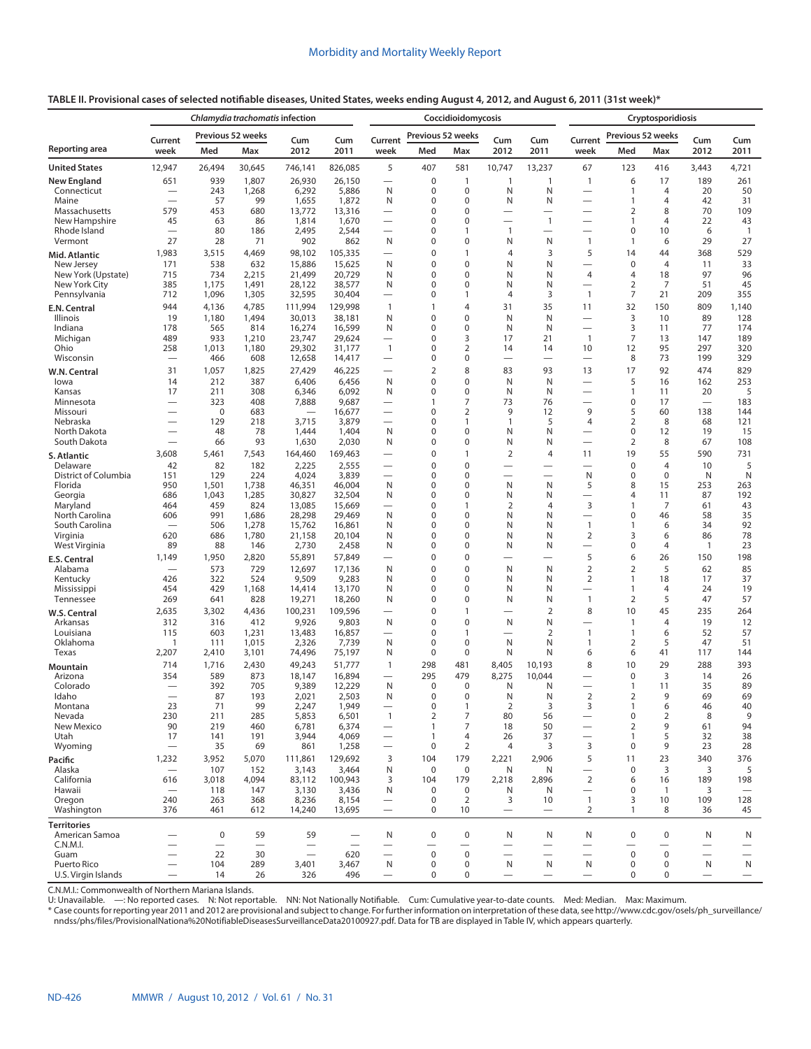|                               |                                 | Chlamydia trachomatis infection<br>Previous 52 weeks |                                |                                   |                  | Coccidioidomycosis                  |                            |                                       |                               |                               |                                                      | Cryptosporidiosis            |                      |            |                               |  |
|-------------------------------|---------------------------------|------------------------------------------------------|--------------------------------|-----------------------------------|------------------|-------------------------------------|----------------------------|---------------------------------------|-------------------------------|-------------------------------|------------------------------------------------------|------------------------------|----------------------|------------|-------------------------------|--|
|                               | Current                         |                                                      |                                | Cum                               | Cum              | Current                             | Previous 52 weeks          |                                       | Cum                           | Cum                           | Current                                              | Previous 52 weeks            |                      | Cum        | Cum                           |  |
| Reporting area                | week                            | Med                                                  | Max                            | 2012                              | 2011             | week                                | Med                        | Max                                   | 2012                          | 2011                          | week                                                 | Med                          | Max                  | 2012       | 2011                          |  |
| <b>United States</b>          | 12,947                          | 26,494                                               | 30,645                         | 746,141                           | 826,085          | 5                                   | 407                        | 581                                   | 10,747                        | 13,237                        | 67                                                   | 123                          | 416                  | 3,443      | 4,721                         |  |
| <b>New England</b>            | 651                             | 939                                                  | 1,807                          | 26,930                            | 26,150           | $\overline{\phantom{0}}$            | $\mathbf 0$                | $\mathbf{1}$                          | 1                             | $\mathbf{1}$                  | $\mathbf{1}$                                         | 6                            | 17                   | 189        | 261                           |  |
| Connecticut<br>Maine          |                                 | 243<br>57                                            | 1,268<br>99                    | 6,292<br>1,655                    | 5,886<br>1,872   | N<br>N                              | 0<br>0                     | $\mathbf 0$<br>$\mathbf 0$            | N<br>N                        | N<br>N                        | $\overline{\phantom{0}}$<br>$\overline{\phantom{0}}$ | $\mathbf{1}$<br>$\mathbf{1}$ | 4<br>4               | 20<br>42   | 50<br>31                      |  |
| Massachusetts                 | 579                             | 453                                                  | 680                            | 13,772                            | 13,316           | $\overline{\phantom{0}}$            | 0                          | 0                                     |                               | $\overline{\phantom{0}}$      | -                                                    | 2                            | 8                    | 70         | 109                           |  |
| New Hampshire                 | 45                              | 63                                                   | 86                             | 1,814                             | 1,670            |                                     | 0                          | $\mathbf 0$                           |                               | $\mathbf{1}$                  |                                                      | $\mathbf{1}$                 | $\overline{4}$       | 22         | 43                            |  |
| Rhode Island<br>Vermont       | 27                              | 80<br>28                                             | 186<br>71                      | 2,495<br>902                      | 2,544<br>862     | $\overline{\phantom{0}}$<br>N       | 0<br>0                     | 1<br>0                                | $\mathbf{1}$<br>N             | N                             | $\overline{\phantom{0}}$<br>$\mathbf{1}$             | 0<br>$\mathbf{1}$            | 10<br>6              | 6<br>29    | $\overline{1}$<br>27          |  |
| Mid. Atlantic                 | 1,983                           | 3,515                                                | 4,469                          | 98,102                            | 105,335          | $\overline{\phantom{0}}$            | 0                          | 1                                     | 4                             | 3                             | 5                                                    | 14                           | 44                   | 368        | 529                           |  |
| New Jersey                    | 171                             | 538                                                  | 632                            | 15,886                            | 15,625           | N                                   | 0                          | $\mathbf 0$                           | N                             | N                             |                                                      | $\pmb{0}$                    | $\overline{4}$       | 11         | 33                            |  |
| New York (Upstate)            | 715                             | 734                                                  | 2,215                          | 21,499                            | 20,729           | N                                   | 0                          | 0                                     | N                             | N                             | 4                                                    | 4                            | 18                   | 97         | 96                            |  |
| New York City<br>Pennsylvania | 385<br>712                      | 1,175<br>1,096                                       | 1,491<br>1,305                 | 28,122<br>32,595                  | 38,577<br>30,404 | N<br>$\overline{\phantom{0}}$       | 0<br>0                     | $\mathbf 0$<br>1                      | N<br>4                        | N<br>3                        | $\mathbf{1}$                                         | $\overline{2}$<br>7          | 7<br>21              | 51<br>209  | 45<br>355                     |  |
| E.N. Central                  | 944                             | 4,136                                                | 4,785                          | 111,994                           | 129,998          | $\mathbf{1}$                        | $\mathbf{1}$               | $\overline{4}$                        | 31                            | 35                            | 11                                                   | 32                           | 150                  | 809        | 1,140                         |  |
| Illinois                      | 19                              | 1,180                                                | 1,494                          | 30,013                            | 38,181           | N                                   | $\mathbf 0$                | $\pmb{0}$                             | N                             | N                             | $\overline{\phantom{0}}$                             | 3                            | 10                   | 89         | 128                           |  |
| Indiana                       | 178                             | 565                                                  | 814                            | 16,274                            | 16,599           | N                                   | $\mathbf 0$                | $\mathbf 0$                           | N                             | N                             | $\overline{\phantom{0}}$                             | 3                            | 11                   | 77         | 174                           |  |
| Michigan<br>Ohio              | 489<br>258                      | 933<br>1,013                                         | 1,210<br>1,180                 | 23,747<br>29,302                  | 29,624<br>31,177 | $\mathbf{1}$                        | 0<br>0                     | 3<br>2                                | 17<br>14                      | 21<br>14                      | $\mathbf{1}$<br>10                                   | 7<br>12                      | 13<br>95             | 147<br>297 | 189<br>320                    |  |
| Wisconsin                     |                                 | 466                                                  | 608                            | 12,658                            | 14,417           |                                     | $\mathbf 0$                | $\mathbf 0$                           | $\overline{\phantom{0}}$      |                               |                                                      | 8                            | 73                   | 199        | 329                           |  |
| W.N. Central                  | 31                              | 1,057                                                | 1,825                          | 27,429                            | 46,225           |                                     | $\overline{2}$             | 8                                     | 83                            | 93                            | 13                                                   | 17                           | 92                   | 474        | 829                           |  |
| lowa                          | 14                              | 212                                                  | 387                            | 6,406                             | 6,456            | N                                   | 0                          | $\pmb{0}$                             | N                             | N                             | $\overline{\phantom{0}}$                             | 5                            | 16                   | 162        | 253                           |  |
| Kansas                        | 17                              | 211                                                  | 308                            | 6,346                             | 6,092            | N                                   | 0                          | $\mathbf 0$<br>7                      | N                             | N                             | $\overline{\phantom{0}}$<br>$\overline{\phantom{0}}$ | $\mathbf{1}$                 | 11                   | 20         | 5                             |  |
| Minnesota<br>Missouri         |                                 | 323<br>$\mathbf 0$                                   | 408<br>683                     | 7,888<br>$\overline{\phantom{0}}$ | 9,687<br>16,677  |                                     | 1<br>$\mathbf 0$           | 2                                     | 73<br>9                       | 76<br>12                      | 9                                                    | 0<br>5                       | 17<br>60             | 138        | 183<br>144                    |  |
| Nebraska                      |                                 | 129                                                  | 218                            | 3,715                             | 3,879            | $\overline{\phantom{0}}$            | $\mathbf 0$                | 1                                     | 1                             | 5                             | $\overline{4}$                                       | 2                            | 8                    | 68         | 121                           |  |
| North Dakota                  | $\overline{\phantom{0}}$        | 48                                                   | 78                             | 1,444                             | 1,404            | N                                   | $\mathbf 0$                | $\mathbf 0$                           | N                             | N                             | —                                                    | 0                            | 12                   | 19         | 15                            |  |
| South Dakota                  |                                 | 66                                                   | 93                             | 1,630                             | 2,030            | N                                   | $\mathbf 0$                | $\mathbf 0$<br>1                      | N                             | N                             | $\overline{\phantom{0}}$                             | $\overline{2}$               | 8                    | 67         | 108                           |  |
| S. Atlantic<br>Delaware       | 3,608<br>42                     | 5,461<br>82                                          | 7,543<br>182                   | 164,460<br>2,225                  | 169,463<br>2,555 |                                     | $\mathbf 0$<br>0           | $\mathbf 0$                           | $\overline{2}$                | $\overline{4}$                | 11<br>$\overline{\phantom{0}}$                       | 19<br>0                      | 55<br>4              | 590<br>10  | 731<br>5                      |  |
| District of Columbia          | 151                             | 129                                                  | 224                            | 4,024                             | 3,839            | $\overline{\phantom{0}}$            | 0                          | $\mathbf 0$                           |                               | $\overline{\phantom{0}}$      | N                                                    | 0                            | $\mathbf 0$          | N          | N                             |  |
| Florida                       | 950                             | 1,501                                                | 1,738                          | 46,351                            | 46,004           | N                                   | $\mathbf 0$                | $\mathbf 0$                           | N                             | N                             | 5                                                    | 8                            | 15                   | 253        | 263                           |  |
| Georgia<br>Maryland           | 686<br>464                      | 1,043<br>459                                         | 1,285<br>824                   | 30,827<br>13,085                  | 32,504<br>15,669 | N                                   | $\mathbf 0$<br>$\mathbf 0$ | $\mathbf 0$<br>1                      | N<br>$\overline{2}$           | N<br>$\overline{4}$           | $\overline{\phantom{0}}$<br>3                        | 4<br>$\mathbf{1}$            | 11<br>7              | 87<br>61   | 192<br>43                     |  |
| North Carolina                | 606                             | 991                                                  | 1,686                          | 28,298                            | 29,469           | N                                   | 0                          | $\mathbf 0$                           | N                             | N                             |                                                      | 0                            | 46                   | 58         | 35                            |  |
| South Carolina                |                                 | 506                                                  | 1,278                          | 15,762                            | 16,861           | N                                   | $\mathbf 0$                | $\mathbf 0$                           | N                             | N                             | $\mathbf{1}$                                         | 1                            | 6                    | 34         | 92                            |  |
| Virginia                      | 620                             | 686                                                  | 1,780                          | 21,158                            | 20,104           | N                                   | 0                          | $\mathbf 0$                           | N                             | N                             | $\overline{2}$                                       | 3                            | 6                    | 86         | 78                            |  |
| West Virginia                 | 89<br>1,149                     | 88<br>1,950                                          | 146<br>2,820                   | 2,730<br>55,891                   | 2,458            | N                                   | $\mathbf 0$<br>$\mathbf 0$ | $\mathbf 0$<br>$\mathbf 0$            | N                             | N                             | 5                                                    | 0<br>6                       | 4<br>26              | 1<br>150   | 23<br>198                     |  |
| E.S. Central<br>Alabama       |                                 | 573                                                  | 729                            | 12,697                            | 57,849<br>17,136 | N                                   | $\mathbf 0$                | $\mathbf 0$                           | N                             | N                             | $\overline{2}$                                       | 2                            | 5                    | 62         | 85                            |  |
| Kentucky                      | 426                             | 322                                                  | 524                            | 9,509                             | 9,283            | N                                   | $\mathbf 0$                | $\mathbf 0$                           | N                             | N                             | 2                                                    | 1                            | 18                   | 17         | 37                            |  |
| Mississippi                   | 454                             | 429                                                  | 1,168                          | 14,414                            | 13,170           | N                                   | $\mathbf 0$                | $\mathbf 0$                           | N                             | N                             | $\overline{\phantom{0}}$                             | 1                            | $\overline{4}$       | 24         | 19                            |  |
| Tennessee                     | 269                             | 641                                                  | 828                            | 19,271                            | 18,260           | N                                   | $\mathbf 0$                | $\mathbf 0$                           | N                             | N                             | $\mathbf{1}$                                         | $\overline{2}$               | 5                    | 47         | 57                            |  |
| W.S. Central<br>Arkansas      | 2,635<br>312                    | 3,302<br>316                                         | 4,436<br>412                   | 100,231<br>9,926                  | 109,596<br>9,803 | $\overline{\phantom{0}}$<br>N       | 0<br>$\mathbf 0$           | $\mathbf{1}$<br>$\mathbf 0$           | $\overline{\phantom{0}}$<br>N | $\overline{2}$<br>N           | 8                                                    | 10<br>$\overline{1}$         | 45<br>$\overline{4}$ | 235<br>19  | 264<br>12                     |  |
| Louisiana                     | 115                             | 603                                                  | 1,231                          | 13,483                            | 16,857           |                                     | $\mathbf 0$                | $\mathbf{1}$                          |                               | $\overline{2}$                | $\mathbf{1}$                                         | $\mathbf{1}$                 | 6                    | 52         | 57                            |  |
| Oklahoma                      | 1                               | 111                                                  | 1,015                          | 2,326                             | 7,739            | N                                   | $\mathbf 0$                | $\pmb{0}$                             | N                             | N                             | $\mathbf{1}$                                         | $\overline{2}$               | 5                    | 47         | 51                            |  |
| Texas                         | 2,207                           | 2,410                                                | 3,101                          | 74,496                            | 75,197           | N                                   | $\mathbf 0$                | $\mathbf 0$                           | N                             | N                             | 6                                                    | 6                            | 41                   | 117        | 144                           |  |
| Mountain                      | 714                             | 1,716                                                | 2,430                          | 49,243                            | 51,777           | 1                                   | 298                        | 481                                   | 8,405                         | 10,193                        | 8                                                    | 10                           | 29                   | 288        | 393                           |  |
| Arizona<br>Colorado           | 354                             | 589<br>392                                           | 873<br>705                     | 18,147<br>9,389                   | 16,894<br>12,229 | $\overline{\phantom{0}}$<br>N       | 295<br>$\mathbf 0$         | 479<br>$\mathbf 0$                    | 8,275<br>N                    | 10,044<br>N                   |                                                      | 0<br>$\mathbf{1}$            | 3<br>11              | 14<br>35   | 26<br>89                      |  |
| Idaho                         |                                 | 87                                                   | 193                            | 2,021                             | 2,503            | N                                   | $\mathbf 0$                | $\mathbf 0$                           | N                             | N                             | 2                                                    | $\overline{2}$               | 9                    | 69         | 69                            |  |
| Montana                       | 23                              | 71                                                   | 99                             | 2,247                             | 1,949            |                                     | 0                          |                                       | 2                             | 3                             | 3                                                    |                              | 6                    | 46         | 40                            |  |
| Nevada<br>New Mexico          | 230<br>90                       | 211<br>219                                           | 285<br>460                     | 5,853<br>6,781                    | 6,501<br>6,374   | $\overline{1}$<br>$\qquad \qquad -$ | $\overline{2}$<br>1        | 7<br>$\overline{7}$                   | 80<br>18                      | 56<br>50                      | $\overline{\phantom{0}}$<br>$\overline{\phantom{0}}$ | 0<br>$\overline{2}$          | $\overline{2}$<br>9  | 8<br>61    | 9<br>94                       |  |
| Utah                          | 17                              | 141                                                  | 191                            | 3,944                             | 4,069            | $\qquad \qquad$                     | 1                          | 4                                     | 26                            | 37                            | $\overline{\phantom{0}}$                             | 1                            | 5                    | 32         | 38                            |  |
| Wyoming                       | $\qquad \qquad$                 | 35                                                   | 69                             | 861                               | 1,258            | $\qquad \qquad -$                   | $\pmb{0}$                  | $\overline{2}$                        | $\overline{4}$                | 3                             | 3                                                    | $\mathbf 0$                  | 9                    | 23         | 28                            |  |
| Pacific                       | 1,232                           | 3,952                                                | 5,070                          | 111,861                           | 129,692          | 3                                   | 104                        | 179                                   | 2,221                         | 2,906                         | 5                                                    | 11                           | 23                   | 340        | 376                           |  |
| Alaska<br>California          | $\overline{\phantom{0}}$<br>616 | 107<br>3,018                                         | 152<br>4,094                   | 3,143<br>83,112                   | 3,464<br>100,943 | N<br>3                              | $\mathbf 0$<br>104         | $\mathbf 0$<br>179                    | N<br>2,218                    | N<br>2,896                    | $\overline{\phantom{0}}$<br>$\overline{2}$           | $\mathbf 0$<br>6             | 3<br>16              | 3<br>189   | 5<br>198                      |  |
| Hawaii                        |                                 | 118                                                  | 147                            | 3,130                             | 3,436            | N                                   | $\mathbf 0$                | $\boldsymbol{0}$                      | N                             | N                             | $\overbrace{\phantom{13333}}$                        | $\mathbf 0$                  | $\overline{1}$       | 3          | $\overline{\phantom{0}}$      |  |
| Oregon                        | 240                             | 263                                                  | 368                            | 8,236                             | 8,154            | $\qquad \qquad$                     | $\boldsymbol{0}$           | 2                                     | 3                             | 10                            | $\mathbf{1}$                                         | 3                            | 10                   | 109        | 128                           |  |
| Washington                    | 376                             | 461                                                  | 612                            | 14,240                            | 13,695           | $\overline{\phantom{0}}$            | $\mathbf 0$                | 10                                    |                               |                               | 2                                                    | $\mathbf{1}$                 | 8                    | 36         | 45                            |  |
| <b>Territories</b>            |                                 |                                                      |                                |                                   |                  |                                     |                            |                                       |                               |                               |                                                      |                              |                      |            |                               |  |
| American Samoa<br>C.N.M.I.    |                                 | $\boldsymbol{0}$<br>$\overline{\phantom{0}}$         | 59<br>$\overline{\phantom{0}}$ | 59<br>$\qquad \qquad$             |                  | N                                   | $\mathbf 0$                | $\pmb{0}$<br>$\overline{\phantom{0}}$ | N                             | N<br>$\overline{\phantom{0}}$ | N<br>$\overline{\phantom{0}}$                        | $\mathbf 0$                  | $\mathbf 0$          | N          | N<br>$\overline{\phantom{m}}$ |  |
| Guam                          | $\overline{\phantom{0}}$        | 22                                                   | 30                             | $\overline{\phantom{0}}$          | 620              | $\overline{\phantom{0}}$            | $\mathbf 0$                | $\boldsymbol{0}$                      |                               |                               |                                                      | $\mathbf 0$                  | $\mathbf 0$          |            |                               |  |
| Puerto Rico                   | $\overline{\phantom{0}}$        | 104                                                  | 289                            | 3,401                             | 3,467            | N                                   | $\pmb{0}$                  | 0                                     | N                             | N                             | N                                                    | 0                            | $\mathbf 0$          | N          | N                             |  |
| U.S. Virgin Islands           |                                 | 14                                                   | 26                             | 326                               | 496              | $\overline{\phantom{0}}$            | $\mathbf 0$                | $\pmb{0}$                             |                               |                               |                                                      | 0                            | 0                    |            | $\overline{\phantom{0}}$      |  |

C.N.M.I.: Commonwealth of Northern Mariana Islands.<br>U: Unavailable. —: No reported cases. N: Not reportable. NN: Not Nationally Notifiable. Cum: Cumulative year-to-date counts. Med: Median. Max: Maximum.

\* Case counts for reporting year 2011 and 2012 are provisional and subject to change. For further information on interpretation of these data, see [http://www.cdc.gov/osels/ph\\_surveillance/](http://www.cdc.gov/osels/ph_surveillance/nndss/phs/files/ProvisionalNationa%20NotifiableDiseasesSurveillanceData20100927.pdf) [nndss/phs/files/ProvisionalNationa%20NotifiableDiseasesSurveillanceData20100927.pdf.](http://www.cdc.gov/osels/ph_surveillance/nndss/phs/files/ProvisionalNationa%20NotifiableDiseasesSurveillanceData20100927.pdf) Data for TB are displayed in Table IV, which appears quarterly.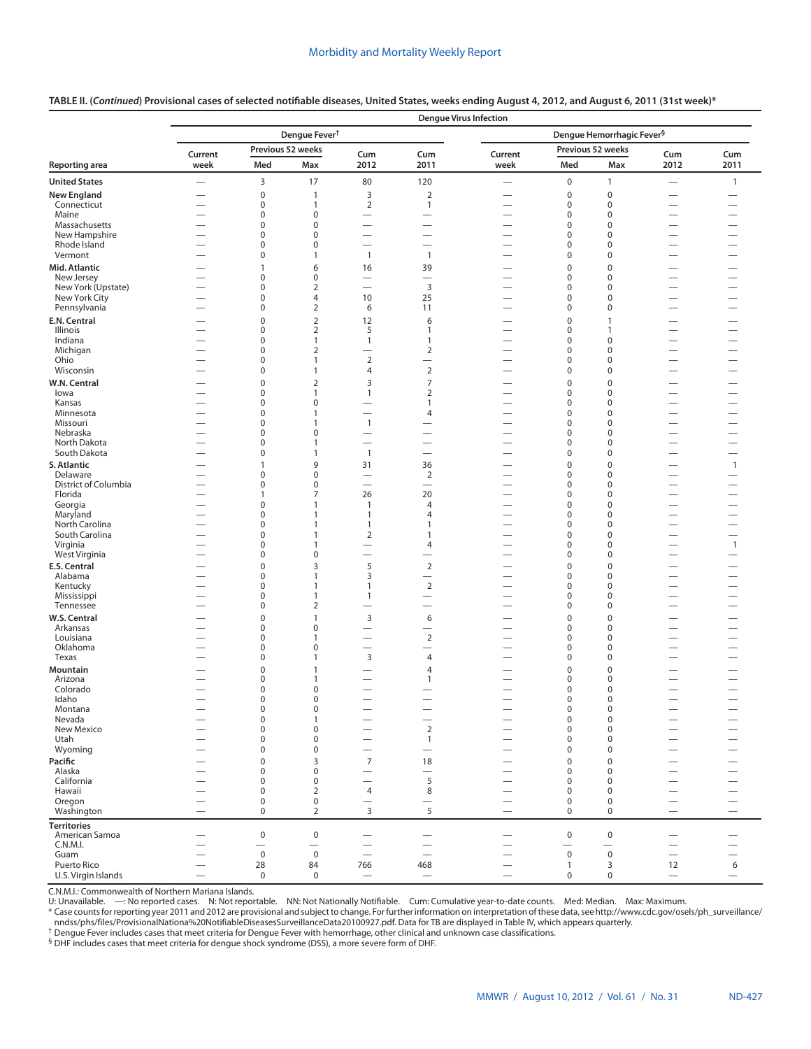|                                |                                                      |                           |                           |                                                      |                                                      | <b>Dengue Virus Infection</b>                        |                            |                                       |                                                      |                                                      |
|--------------------------------|------------------------------------------------------|---------------------------|---------------------------|------------------------------------------------------|------------------------------------------------------|------------------------------------------------------|----------------------------|---------------------------------------|------------------------------------------------------|------------------------------------------------------|
|                                |                                                      |                           | Dengue Fever <sup>†</sup> |                                                      |                                                      |                                                      |                            | Dengue Hemorrhagic Fever <sup>§</sup> |                                                      |                                                      |
|                                | Current                                              |                           | Previous 52 weeks         | Cum                                                  | Cum                                                  | Current                                              |                            | Previous 52 weeks                     | Cum                                                  | Cum                                                  |
| Reporting area                 | week                                                 | Med                       | Max                       | 2012                                                 | 2011                                                 | week                                                 | Med                        | Max                                   | 2012                                                 | 2011                                                 |
| <b>United States</b>           |                                                      | 3                         | 17                        | 80                                                   | 120                                                  |                                                      | $\pmb{0}$                  | $\mathbf{1}$                          |                                                      | $\mathbf{1}$                                         |
| <b>New England</b>             | —                                                    | $\mathbf 0$               | 1                         | $\mathsf 3$                                          | $\overline{2}$                                       |                                                      | $\mathbf 0$                | $\mathbf 0$                           | $\overline{\phantom{0}}$                             |                                                      |
| Connecticut                    | $\overline{\phantom{0}}$                             | $\pmb{0}$                 | $\mathbf{1}$              | $\overline{2}$                                       | $\mathbf{1}$                                         |                                                      | $\mathbf 0$                | $\mathbf 0$                           | $\overline{\phantom{0}}$                             |                                                      |
| Maine                          |                                                      | $\pmb{0}$                 | 0                         |                                                      | —                                                    |                                                      | $\mathbf 0$                | $\mathbf 0$                           |                                                      |                                                      |
| Massachusetts<br>New Hampshire | $\overline{\phantom{0}}$<br>$\overline{\phantom{0}}$ | $\pmb{0}$<br>$\pmb{0}$    | 0<br>0                    | $\overline{\phantom{0}}$<br>$\overline{\phantom{0}}$ | $\overline{\phantom{0}}$<br>$\overline{\phantom{0}}$ | $\overline{\phantom{0}}$<br>$\overline{\phantom{0}}$ | $\mathbf 0$<br>$\mathbf 0$ | 0<br>$\boldsymbol{0}$                 | $\overline{\phantom{0}}$<br>$\overline{\phantom{0}}$ | $\overline{\phantom{0}}$<br>$\overline{\phantom{0}}$ |
| Rhode Island                   | —                                                    | $\pmb{0}$                 | 0                         | $\overline{\phantom{0}}$                             | $\overline{\phantom{0}}$                             |                                                      | $\mathbf 0$                | $\mathbf 0$                           |                                                      |                                                      |
| Vermont                        | $\overline{\phantom{0}}$                             | $\pmb{0}$                 | 1                         | $\mathbf{1}$                                         | $\mathbf{1}$                                         | $\overline{\phantom{0}}$                             | $\mathbf 0$                | $\mathsf 0$                           | -                                                    | —                                                    |
| Mid. Atlantic                  |                                                      | $\mathbf{1}$              | 6                         | 16                                                   | 39                                                   |                                                      | $\mathbf 0$                | $\pmb{0}$                             |                                                      |                                                      |
| New Jersey                     | $\overline{\phantom{0}}$                             | 0                         | 0                         | $\overline{\phantom{0}}$                             | $\overline{\phantom{0}}$                             | $\overline{\phantom{0}}$                             | 0                          | 0                                     | $\overline{\phantom{0}}$                             | $\overline{\phantom{0}}$                             |
| New York (Upstate)             | —                                                    | $\pmb{0}$                 | $\overline{2}$            | $\overline{\phantom{0}}$                             | 3                                                    |                                                      | $\mathbf 0$                | $\mathbf 0$                           | —                                                    |                                                      |
| New York City                  |                                                      | $\pmb{0}$                 | 4                         | 10                                                   | 25                                                   |                                                      | $\mathbf 0$                | $\boldsymbol{0}$                      | $\overline{\phantom{0}}$                             |                                                      |
| Pennsylvania                   | $\overline{\phantom{0}}$                             | $\pmb{0}$                 | 2                         | 6                                                    | 11                                                   | $\overline{\phantom{0}}$                             | $\pmb{0}$                  | $\mathbf 0$                           |                                                      |                                                      |
| E.N. Central                   | -                                                    | $\mathbf 0$               | $\mathbf 2$               | 12                                                   | 6                                                    |                                                      | $\mathbf 0$                | $\mathbf{1}$                          | $\overline{\phantom{0}}$                             | —                                                    |
| Illinois                       | $\overline{\phantom{0}}$                             | $\pmb{0}$                 | 2                         | 5                                                    | 1                                                    |                                                      | $\mathbf 0$                | $\mathbf{1}$                          |                                                      |                                                      |
| Indiana                        |                                                      | $\pmb{0}$<br>$\mathbf 0$  | 1<br>$\overline{2}$       | $\mathbf{1}$                                         | 1                                                    |                                                      | $\pmb{0}$<br>$\mathbf 0$   | $\pmb{0}$<br>$\mathbf 0$              | $\overline{\phantom{0}}$                             | $\overline{\phantom{0}}$                             |
| Michigan<br>Ohio               | —                                                    | $\pmb{0}$                 | 1                         | $\sqrt{2}$                                           | $\mathbf 2$<br>$\overline{\phantom{0}}$              | $\overline{\phantom{0}}$<br>$\overline{\phantom{0}}$ | $\pmb{0}$                  | $\mathsf 0$                           | —                                                    | $\overline{\phantom{0}}$                             |
| Wisconsin                      |                                                      | $\pmb{0}$                 | 1                         | $\overline{4}$                                       | $\overline{2}$                                       | $\overline{\phantom{0}}$                             | $\mathbf 0$                | $\mathbf 0$                           |                                                      | $\overline{\phantom{0}}$                             |
| W.N. Central                   | —                                                    | $\pmb{0}$                 | $\overline{2}$            | 3                                                    | $\overline{7}$                                       | $\overline{\phantom{0}}$                             | $\mathbf 0$                | $\pmb{0}$                             |                                                      |                                                      |
| lowa                           | $\overline{\phantom{0}}$                             | $\pmb{0}$                 | $\mathbf{1}$              | $\mathbf{1}$                                         | 2                                                    |                                                      | $\mathbf 0$                | $\boldsymbol{0}$                      | $\overline{\phantom{0}}$                             |                                                      |
| Kansas                         |                                                      | $\pmb{0}$                 | 0                         |                                                      | $\mathbf{1}$                                         | $\overline{\phantom{0}}$                             | $\mathbf 0$                | $\mathbf 0$                           |                                                      |                                                      |
| Minnesota                      | $\overline{\phantom{0}}$                             | $\pmb{0}$                 | $\mathbf{1}$              | $\overline{\phantom{0}}$                             | 4                                                    | $\overline{\phantom{0}}$                             | $\mathbf 0$                | $\boldsymbol{0}$                      | $\overline{\phantom{0}}$                             | $\overline{\phantom{0}}$                             |
| Missouri                       | $\overline{\phantom{0}}$                             | $\pmb{0}$                 | $\mathbf{1}$              | $\mathbf{1}$                                         |                                                      | $\overline{\phantom{0}}$                             | $\mathbf 0$                | $\boldsymbol{0}$                      | $\overline{\phantom{0}}$                             |                                                      |
| Nebraska                       |                                                      | $\pmb{0}$                 | $\pmb{0}$                 |                                                      | $\overline{\phantom{0}}$                             |                                                      | $\mathbf 0$                | $\boldsymbol{0}$                      | $\overline{\phantom{0}}$                             |                                                      |
| North Dakota                   | $\overline{\phantom{0}}$                             | $\pmb{0}$                 | $\mathbf{1}$              | $\overline{\phantom{0}}$                             |                                                      | $\overline{\phantom{0}}$                             | $\mathbf 0$                | $\mathbf 0$                           |                                                      |                                                      |
| South Dakota                   |                                                      | $\pmb{0}$                 | $\mathbf{1}$              | $\mathbf{1}$                                         | $\overline{\phantom{0}}$                             | $\overline{\phantom{0}}$                             | $\mathbf 0$                | $\boldsymbol{0}$                      | $\overline{\phantom{0}}$                             |                                                      |
| S. Atlantic<br>Delaware        |                                                      | $\mathbf{1}$<br>$\pmb{0}$ | 9<br>0                    | 31                                                   | 36                                                   | $\overline{\phantom{0}}$                             | $\mathbf 0$<br>$\mathbf 0$ | $\pmb{0}$<br>$\boldsymbol{0}$         |                                                      | $\mathbf{1}$                                         |
| District of Columbia           |                                                      | $\pmb{0}$                 | 0                         |                                                      | $\overline{2}$<br>$\overline{\phantom{0}}$           |                                                      | $\mathbf 0$                | $\boldsymbol{0}$                      | $\overline{\phantom{0}}$                             |                                                      |
| Florida                        | $\overline{\phantom{0}}$                             | $\mathbf{1}$              | 7                         | 26                                                   | 20                                                   | $\overline{\phantom{0}}$                             | $\mathbf 0$                | $\boldsymbol{0}$                      | $\overline{\phantom{0}}$                             | $\overline{\phantom{0}}$                             |
| Georgia                        | $\overline{\phantom{0}}$                             | $\pmb{0}$                 | 1                         | $\mathbf{1}$                                         | $\overline{4}$                                       | $\overline{\phantom{0}}$                             | $\mathbf 0$                | $\boldsymbol{0}$                      |                                                      | $\overline{\phantom{0}}$                             |
| Maryland                       |                                                      | $\pmb{0}$                 | 1                         | $\mathbf{1}$                                         | $\overline{4}$                                       | $\overline{\phantom{0}}$                             | $\mathbf 0$                | $\boldsymbol{0}$                      | $\overline{\phantom{0}}$                             | $\overline{\phantom{0}}$                             |
| North Carolina                 |                                                      | $\pmb{0}$                 | $\mathbf{1}$              | $\mathbf{1}$                                         | 1                                                    |                                                      | $\mathbf 0$                | $\mathbf 0$                           |                                                      |                                                      |
| South Carolina                 | $\overline{\phantom{0}}$                             | $\pmb{0}$                 | 1                         | $\overline{2}$                                       | $\mathbf{1}$                                         | $\overline{\phantom{0}}$                             | $\mathbf 0$                | $\mathbf 0$                           | —                                                    | $\overline{\phantom{0}}$                             |
| Virginia<br>West Virginia      |                                                      | $\pmb{0}$<br>$\pmb{0}$    | $\mathbf{1}$<br>0         | $\overline{\phantom{0}}$<br>$\overline{\phantom{0}}$ | $\overline{4}$                                       | $\overline{\phantom{0}}$                             | $\mathbf 0$<br>$\mathbf 0$ | $\mathbf 0$<br>$\mathbf 0$            |                                                      | $\mathbf{1}$                                         |
| E.S. Central                   |                                                      | $\pmb{0}$                 | 3                         | 5                                                    | $\overline{2}$                                       |                                                      | $\mathbf 0$                | $\mathsf 0$                           |                                                      |                                                      |
| Alabama                        | $\overline{\phantom{0}}$                             | $\pmb{0}$                 | 1                         | 3                                                    |                                                      |                                                      | $\mathbf 0$                | $\boldsymbol{0}$                      | $\overline{\phantom{0}}$                             | $\overline{\phantom{0}}$                             |
| Kentucky                       |                                                      | $\pmb{0}$                 | $\mathbf{1}$              | $\mathbf{1}$                                         | $\overline{2}$                                       | $\overline{\phantom{0}}$                             | $\mathbf 0$                | $\boldsymbol{0}$                      |                                                      |                                                      |
| Mississippi                    |                                                      | $\pmb{0}$                 | $\mathbf{1}$              | $\mathbf{1}$                                         | $\overline{\phantom{0}}$                             |                                                      | $\mathbf 0$                | $\mathbf 0$                           | $\overline{\phantom{0}}$                             |                                                      |
| Tennessee                      |                                                      | $\pmb{0}$                 | 2                         | $\overline{\phantom{0}}$                             | —                                                    | $\overline{\phantom{0}}$                             | $\mathbf 0$                | $\mathbf 0$                           | $\overline{\phantom{0}}$                             | $\overline{\phantom{0}}$                             |
| W.S. Central                   |                                                      | $\pmb{0}$                 | 1                         | 3                                                    | 6                                                    |                                                      | $\mathbf 0$                | $\pmb{0}$                             |                                                      |                                                      |
| Arkansas                       |                                                      | $\pmb{0}$                 | $\pmb{0}$                 | $\overline{\phantom{0}}$                             | $\overline{\phantom{0}}$                             | $\overline{\phantom{0}}$                             | $\mathbf 0$                | $\mathbf 0$                           | $\overline{\phantom{0}}$                             |                                                      |
| Louisiana                      |                                                      | $\pmb{0}$                 | 1                         | $\overline{\phantom{0}}$                             | $\overline{2}$                                       |                                                      | $\mathbf 0$                | $\boldsymbol{0}$                      |                                                      |                                                      |
| Oklahoma<br>Texas              | $\overline{\phantom{0}}$                             | $\pmb{0}$<br>$\pmb{0}$    | 0<br>$\mathbf{1}$         | $\overline{\phantom{0}}$<br>3                        | —<br>4                                               | $\overline{\phantom{0}}$                             | $\mathbf 0$<br>$\mathbf 0$ | $\boldsymbol{0}$<br>$\boldsymbol{0}$  | $\overline{\phantom{0}}$<br>$\overline{\phantom{0}}$ | $\overline{\phantom{0}}$                             |
|                                |                                                      |                           |                           |                                                      |                                                      |                                                      |                            |                                       |                                                      |                                                      |
| Mountain<br>Arizona            |                                                      | $\pmb{0}$<br>$\pmb{0}$    | 1<br>1                    | -<br>$\overline{\phantom{0}}$                        | $\overline{4}$<br>1                                  |                                                      | $\mathbf 0$<br>0           | $\pmb{0}$<br>0                        |                                                      |                                                      |
| Colorado                       |                                                      | $\pmb{0}$                 | 0                         | $\overline{\phantom{0}}$                             |                                                      |                                                      | $\mathbf 0$                | $\mathbf 0$                           |                                                      |                                                      |
| Idaho                          |                                                      | $\pmb{0}$                 | 0                         | $\overline{\phantom{0}}$                             |                                                      |                                                      | $\pmb{0}$                  | $\mathbf 0$                           | $\overline{\phantom{0}}$                             |                                                      |
| Montana                        |                                                      | 0                         | 0                         |                                                      |                                                      |                                                      | 0                          | $\bf{0}$                              |                                                      |                                                      |
| Nevada                         | $\qquad \qquad -$                                    | $\pmb{0}$                 | $\mathbf{1}$              | $\qquad \qquad -$                                    |                                                      | $\qquad \qquad -$                                    | $\mathbf 0$                | $\mathsf 0$                           |                                                      | $\overline{\phantom{m}}$                             |
| New Mexico                     |                                                      | $\pmb{0}$                 | $\pmb{0}$                 |                                                      | $\overline{2}$                                       |                                                      | $\pmb{0}$                  | $\mathsf 0$                           |                                                      |                                                      |
| Utah                           |                                                      | $\pmb{0}$                 | $\pmb{0}$                 |                                                      | $\mathbf{1}$                                         |                                                      | $\mathbf 0$                | $\mathsf 0$                           |                                                      |                                                      |
| Wyoming                        | $\overline{\phantom{0}}$                             | $\pmb{0}$                 | $\pmb{0}$                 | $\overline{\phantom{0}}$                             | $\qquad \qquad$                                      | $\overline{\phantom{0}}$                             | $\mathbf 0$                | $\mathbf 0$                           | $\overline{\phantom{0}}$                             | $\overline{\phantom{0}}$                             |
| Pacific                        | $\overline{\phantom{0}}$                             | $\mathbf 0$               | 3                         | $\overline{7}$                                       | 18                                                   |                                                      | $\mathbf 0$                | $\mathbf 0$                           |                                                      | $\overline{\phantom{0}}$                             |
| Alaska<br>California           | $\overline{\phantom{0}}$                             | $\pmb{0}$<br>$\pmb{0}$    | $\pmb{0}$<br>$\pmb{0}$    |                                                      | $\qquad \qquad$<br>5                                 |                                                      | $\mathbf 0$<br>$\mathbf 0$ | $\mathbf 0$<br>$\mathbf 0$            |                                                      |                                                      |
| Hawaii                         |                                                      | $\pmb{0}$                 | $\overline{2}$            | $\overline{4}$                                       | 8                                                    |                                                      | 0                          | $\mathbf 0$                           |                                                      |                                                      |
| Oregon                         |                                                      | $\mathbf 0$               | $\pmb{0}$                 | $\qquad \qquad -$                                    | $\qquad \qquad -$                                    | $\overline{\phantom{0}}$                             | $\pmb{0}$                  | $\mathbf 0$                           |                                                      |                                                      |
| Washington                     |                                                      | $\mathbf 0$               | $\overline{2}$            | 3                                                    | 5                                                    |                                                      | $\mathbf 0$                | 0                                     | $\overline{\phantom{0}}$                             | $\qquad \qquad$                                      |
| <b>Territories</b>             |                                                      |                           |                           |                                                      |                                                      |                                                      |                            |                                       |                                                      |                                                      |
| American Samoa                 |                                                      | $\mathbf 0$               | $\pmb{0}$                 | $\overline{\phantom{m}}$                             |                                                      | $\overbrace{\phantom{12332}}$                        | $\mathbf 0$                | $\pmb{0}$                             | $\overline{\phantom{0}}$                             |                                                      |
| C.N.M.I.                       |                                                      | $\overline{\phantom{0}}$  | $\qquad \qquad$           | $\overline{\phantom{m}}$                             |                                                      |                                                      | —                          | $\overline{\phantom{0}}$              |                                                      |                                                      |
| Guam                           |                                                      | $\mathbf 0$               | $\mathsf 0$               | $\qquad \qquad -$                                    |                                                      | $\overline{\phantom{0}}$                             | $\mathsf 0$                | $\mathsf 0$                           |                                                      | $\overline{\phantom{0}}$                             |
| Puerto Rico                    | $\overline{\phantom{0}}$                             | 28                        | 84                        | 766                                                  | 468                                                  |                                                      | $\mathbf{1}$               | 3                                     | 12                                                   | 6                                                    |
| U.S. Virgin Islands            | $\overline{\phantom{0}}$                             | $\mathbf 0$               | $\mathsf 0$               | $\overline{\phantom{0}}$                             | $\equiv$                                             |                                                      | 0                          | $\mathsf{O}\xspace$                   | $\overline{\phantom{0}}$                             |                                                      |

# **TABLE II. (***Continued***) Provisional cases of selected notifiable diseases, United States, weeks ending August 4, 2012, and August 6, 2011 (31st week)\***

C.N.M.I.: Commonwealth of Northern Mariana Islands.

U: Unavailable. —: No reported cases. N: Not reportable. NN: Not Nationally Notifiable. Cum: Cumulative year-to-date counts. Med: Median. Max: Maximum.

\* Case counts for reporting year 2011 and 2012 are provisional and subject to change. For further information on interpretation of these data, see [http://www.cdc.gov/osels/ph\\_surveillance/](http://www.cdc.gov/osels/ph_surveillance/nndss/phs/files/ProvisionalNationa%20NotifiableDiseasesSurveillanceData20100927.pdf) [nndss/phs/files/ProvisionalNationa%20NotifiableDiseasesSurveillanceData20100927.pdf.](http://www.cdc.gov/osels/ph_surveillance/nndss/phs/files/ProvisionalNationa%20NotifiableDiseasesSurveillanceData20100927.pdf) Data for TB are displayed in Table IV, which appears quarterly.

 $^{\dagger}$  Dengue Fever includes cases that meet criteria for Dengue Fever with hemorrhage, other clinical and unknown case classifications.

§ DHF includes cases that meet criteria for dengue shock syndrome (DSS), a more severe form of DHF.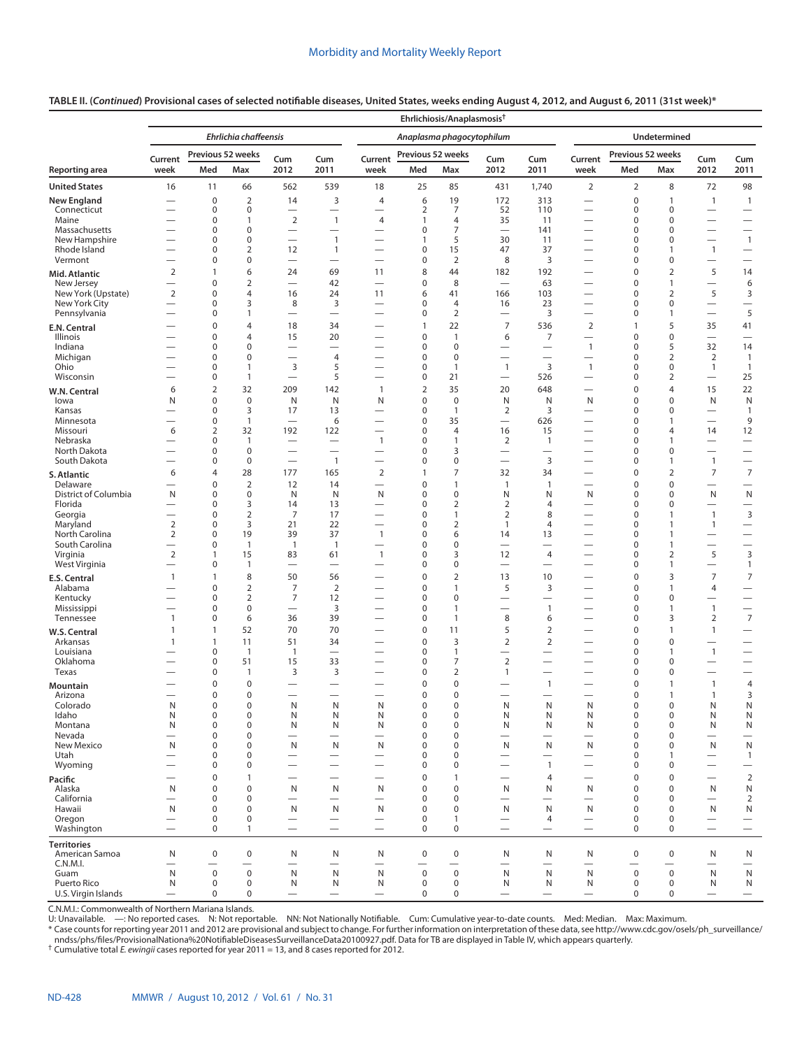### **TABLE II. (***Continued***) Provisional cases of selected notifiable diseases, United States, weeks ending August 4, 2012, and August 6, 2011 (31st week)\***

|                                      |                                                                                                                  |                            |                                  |                                                      |                                                      |                                                      |                          | Ehrlichiosis/Anaplasmosis <sup>+</sup> |                                                               |                                             |                                                       |                                 |                             |                                             |                                                              |
|--------------------------------------|------------------------------------------------------------------------------------------------------------------|----------------------------|----------------------------------|------------------------------------------------------|------------------------------------------------------|------------------------------------------------------|--------------------------|----------------------------------------|---------------------------------------------------------------|---------------------------------------------|-------------------------------------------------------|---------------------------------|-----------------------------|---------------------------------------------|--------------------------------------------------------------|
|                                      |                                                                                                                  |                            | Ehrlichia chaffeensis            |                                                      |                                                      |                                                      |                          | Anaplasma phagocytophilum              |                                                               |                                             |                                                       |                                 | Undetermined                |                                             |                                                              |
|                                      | Previous 52 weeks<br>Current<br>Cum<br>Cum<br>2012<br>2011<br>week<br>Med<br>Max<br>16<br>11<br>66<br>562<br>539 |                            |                                  |                                                      | Current                                              | Previous 52 weeks                                    |                          | Cum                                    | Cum                                                           | Current                                     | Previous 52 weeks                                     |                                 | Cum                         | Cum                                         |                                                              |
| Reporting area                       |                                                                                                                  |                            |                                  |                                                      |                                                      | week                                                 | Med                      | Max                                    | 2012                                                          | 2011                                        | week                                                  | Med                             | Max                         | 2012                                        | 2011                                                         |
| <b>United States</b>                 |                                                                                                                  |                            |                                  |                                                      |                                                      | 18                                                   | 25                       | 85                                     | 431                                                           | 1,740                                       | $\overline{2}$                                        | $\overline{2}$                  | 8                           | 72                                          | 98                                                           |
| <b>New England</b><br>Connecticut    | $\overline{\phantom{0}}$                                                                                         | $\mathbf 0$<br>$\mathbf 0$ | $\overline{2}$<br>$\mathbf 0$    | 14<br>$\overline{\phantom{0}}$                       | 3<br>$\overline{\phantom{0}}$                        | 4<br>$\overline{\phantom{0}}$                        | 6<br>$\overline{2}$      | 19<br>7                                | 172<br>52                                                     | 313<br>110                                  | $\overline{\phantom{0}}$<br>$\overline{\phantom{0}}$  | $\mathbf 0$<br>$\mathbf 0$      | 1<br>0                      | $\mathbf{1}$                                | $\mathbf{1}$                                                 |
| Maine                                |                                                                                                                  | $\mathbf 0$                | 1                                | $\overline{2}$                                       | $\mathbf{1}$                                         | $\overline{4}$                                       | $\mathbf{1}$             | $\overline{4}$                         | 35                                                            | 11                                          |                                                       | $\mathbf 0$                     | $\mathbf 0$                 | $\qquad \qquad$<br>$\overline{\phantom{0}}$ | $\overline{\phantom{m}}$<br>$\qquad \qquad -$                |
| Massachusetts                        | $\overline{\phantom{0}}$                                                                                         | $\mathbf 0$                | $\mathbf 0$                      | $\qquad \qquad$                                      |                                                      |                                                      | 0                        | $\overline{7}$                         | $\overline{\phantom{0}}$                                      | 141                                         |                                                       | $\mathbf 0$                     | $\mathbf 0$                 |                                             | $\overline{\phantom{m}}$                                     |
| New Hampshire<br>Rhode Island        | $\overline{\phantom{0}}$                                                                                         | $\mathbf 0$<br>$\pmb{0}$   | $\mathbf 0$<br>$\overline{2}$    | —<br>12                                              | $\mathbf{1}$<br>$\mathbf{1}$                         | $\overline{\phantom{0}}$                             | $\mathbf{1}$<br>0        | 5<br>15                                | 30<br>47                                                      | 11<br>37                                    | $\overline{\phantom{0}}$<br>$\overline{\phantom{0}}$  | $\mathbf 0$<br>0                | 0<br>$\mathbf{1}$           | $\overline{\phantom{0}}$<br>$\mathbf{1}$    | $\mathbf{1}$<br>$\overline{\phantom{m}}$                     |
| Vermont                              |                                                                                                                  | 0                          | $\mathbf 0$                      |                                                      | $\overline{\phantom{0}}$                             | $\overline{\phantom{0}}$                             | 0                        | $\overline{2}$                         | 8                                                             | 3                                           | $\overline{\phantom{0}}$                              | $\mathbf 0$                     | 0                           |                                             |                                                              |
| Mid. Atlantic                        | 2                                                                                                                | $\mathbf{1}$               | 6                                | 24                                                   | 69                                                   | 11                                                   | 8                        | 44                                     | 182                                                           | 192                                         | $\overline{\phantom{0}}$                              | $\mathbf 0$                     | $\overline{2}$              | 5                                           | 14                                                           |
| New Jersey                           |                                                                                                                  | $\mathbf 0$                | $\overline{2}$                   | $\overline{\phantom{0}}$                             | 42                                                   | $\qquad \qquad$                                      | $\mathbf 0$              | 8                                      | $\overbrace{\phantom{1232211}}$                               | 63                                          |                                                       | $\mathbf 0$                     | $\mathbf{1}$                | $\qquad \qquad -$                           | 6                                                            |
| New York (Upstate)<br>New York City  | 2<br>$\overline{\phantom{0}}$                                                                                    | $\mathbf 0$<br>$\mathbf 0$ | $\overline{4}$<br>3              | 16<br>8                                              | 24<br>3                                              | 11<br>$\overline{\phantom{0}}$                       | 6<br>0                   | 41<br>4                                | 166<br>16                                                     | 103<br>23                                   | $\overline{\phantom{0}}$<br>$\overline{\phantom{0}}$  | $\mathbf 0$<br>$\mathbf 0$      | 2<br>0                      | 5<br>$\overline{\phantom{0}}$               | 3<br>$\overline{\phantom{0}}$                                |
| Pennsylvania                         | $\overline{\phantom{0}}$                                                                                         | 0                          | 1                                | $\overline{\phantom{0}}$                             | $\overline{\phantom{0}}$                             | $\overline{\phantom{0}}$                             | 0                        | $\overline{2}$                         | $\overline{\phantom{0}}$                                      | 3                                           | $\overline{\phantom{0}}$                              | 0                               | $\mathbf{1}$                | $\overline{\phantom{m}}$                    | 5                                                            |
| E.N. Central                         |                                                                                                                  | 0                          | 4                                | 18                                                   | 34                                                   |                                                      | $\mathbf{1}$             | 22                                     | $\overline{7}$                                                | 536                                         | $\overline{2}$                                        | $\mathbf{1}$                    | 5                           | 35                                          | 41                                                           |
| <b>Illinois</b>                      | $\overline{\phantom{0}}$                                                                                         | $\mathbf 0$                | $\overline{4}$                   | 15                                                   | 20                                                   |                                                      | 0                        | $\mathbf{1}$                           | 6                                                             | $\overline{7}$                              | $\overline{\phantom{0}}$                              | $\mathbf 0$                     | $\pmb{0}$                   | $\overline{\phantom{0}}$                    | $\overline{\phantom{0}}$                                     |
| Indiana<br>Michigan                  |                                                                                                                  | 0<br>0                     | $\mathbf 0$<br>$\mathbf 0$       | $\qquad \qquad$<br>$\overline{\phantom{0}}$          | 4                                                    | $\overline{\phantom{0}}$<br>$\overline{\phantom{0}}$ | 0<br>0                   | $\mathbf 0$<br>$\mathbf 0$             | $\overbrace{\phantom{123221111}}$                             | $\qquad \qquad$<br>$\overline{\phantom{0}}$ | $\mathbf{1}$<br>$\overbrace{\phantom{12322111}}$      | $\mathbf 0$<br>$\mathbf 0$      | 5<br>$\overline{2}$         | 32<br>$\overline{2}$                        | 14<br>$\mathbf{1}$                                           |
| Ohio                                 | $\overline{\phantom{0}}$                                                                                         | 0                          | 1                                | 3                                                    | 5                                                    | $\overline{\phantom{0}}$                             | 0                        | 1                                      | $\mathbf{1}$                                                  | $\overline{3}$                              | $\mathbf{1}$                                          | $\mathbf 0$                     | $\mathbf 0$                 | $\mathbf{1}$                                | $\mathbf{1}$                                                 |
| Wisconsin                            | $\overline{\phantom{0}}$                                                                                         | 0                          | 1                                | $\overline{\phantom{0}}$                             | 5                                                    | $\overline{\phantom{0}}$                             | 0                        | 21                                     | $\overbrace{\phantom{12322111}}$                              | 526                                         | $\overline{\phantom{0}}$                              | 0                               | 2                           | $\overbrace{\phantom{1232211}}$             | 25                                                           |
| W.N. Central                         | 6                                                                                                                | 2                          | 32                               | 209                                                  | 142                                                  | $\mathbf{1}$                                         | $\overline{2}$           | 35                                     | 20                                                            | 648                                         | $\overline{\phantom{0}}$                              | $\pmb{0}$                       | 4                           | 15                                          | 22                                                           |
| lowa<br>Kansas                       | N                                                                                                                | 0<br>$\mathbf 0$           | $\mathbf 0$<br>3                 | N<br>17                                              | N<br>13                                              | N<br>$\overline{\phantom{0}}$                        | 0<br>0                   | $\mathbf 0$<br>$\mathbf{1}$            | N<br>$\overline{2}$                                           | N<br>3                                      | N<br>$\overline{\phantom{0}}$                         | $\mathbf 0$<br>$\mathbf 0$      | $\mathbf 0$<br>$\mathbf 0$  | N<br>$\overline{\phantom{0}}$               | ${\sf N}$<br>$\mathbf{1}$                                    |
| Minnesota                            |                                                                                                                  | $\pmb{0}$                  | $\mathbf{1}$                     | $\overline{\phantom{0}}$                             | 6                                                    | $\overline{\phantom{0}}$                             | 0                        | 35                                     | $\overbrace{\phantom{12322111}}$                              | 626                                         | $\overline{\phantom{0}}$                              | $\mathbf 0$                     | $\mathbf{1}$                | $\overline{\phantom{0}}$                    | 9                                                            |
| Missouri                             | 6                                                                                                                | 2                          | 32                               | 192                                                  | 122                                                  | $\overline{\phantom{0}}$                             | 0                        | $\overline{4}$                         | 16                                                            | 15                                          | $\overline{\phantom{0}}$                              | $\mathbf 0$                     | 4                           | 14                                          | 12                                                           |
| Nebraska<br>North Dakota             |                                                                                                                  | 0<br>0                     | $\mathbf{1}$<br>$\mathbf 0$      |                                                      | $\overline{\phantom{0}}$<br>$\overline{\phantom{0}}$ | $\overline{1}$<br>$\overline{\phantom{0}}$           | 0<br>0                   | $\mathbf{1}$<br>3                      | 2<br>$\overline{\phantom{0}}$                                 | $\mathbf{1}$<br>$\overline{\phantom{0}}$    | $\overline{\phantom{0}}$<br>—                         | 0<br>$\mathbf 0$                | $\mathbf{1}$<br>0           | $\overline{\phantom{0}}$                    | $\overbrace{\phantom{12322111}}$<br>$\overline{\phantom{m}}$ |
| South Dakota                         |                                                                                                                  | 0                          | $\mathbf 0$                      | $\overline{\phantom{0}}$                             | $\mathbf{1}$                                         | $\overline{\phantom{0}}$                             | 0                        | 0                                      | $\overline{\phantom{0}}$                                      | 3                                           |                                                       | 0                               | $\mathbf{1}$                | $\mathbf{1}$                                | $\overbrace{\phantom{12322111}}$                             |
| S. Atlantic                          | 6                                                                                                                | 4                          | 28                               | 177                                                  | 165                                                  | $\overline{2}$                                       | $\mathbf{1}$             | 7                                      | 32                                                            | 34                                          | $\overline{\phantom{0}}$                              | $\mathbf 0$                     | $\overline{2}$              | $\overline{7}$                              | $\overline{7}$                                               |
| Delaware                             |                                                                                                                  | 0                          | $\overline{2}$                   | 12                                                   | 14                                                   | $\overline{\phantom{0}}$                             | 0                        | $\mathbf{1}$                           | $\mathbf{1}$                                                  | $\mathbf{1}$                                | $\overline{\phantom{0}}$                              | $\mathbf 0$                     | 0                           | $\overline{\phantom{0}}$                    | $\overbrace{\phantom{12322111}}$                             |
| District of Columbia<br>Florida      | N<br>$\overline{\phantom{0}}$                                                                                    | 0<br>0                     | $\mathbf 0$<br>3                 | N<br>14                                              | N<br>13                                              | N<br>$\overline{\phantom{0}}$                        | 0<br>0                   | $\mathbf 0$<br>$\overline{2}$          | N<br>$\overline{2}$                                           | N<br>4                                      | N<br>$\overline{\phantom{0}}$                         | 0<br>0                          | 0<br>0                      | N                                           | $\mathsf{N}$<br>$\overline{\phantom{0}}$                     |
| Georgia                              | $\overline{\phantom{0}}$                                                                                         | 0                          | $\overline{2}$                   | 7                                                    | 17                                                   |                                                      | $\mathbf 0$              | 1                                      | $\overline{2}$                                                | 8                                           | $\overline{\phantom{0}}$                              | 0                               | $\mathbf{1}$                | $\mathbf{1}$                                | $\mathbf{3}$                                                 |
| Maryland                             | $\overline{2}$                                                                                                   | 0                          | 3                                | 21                                                   | 22                                                   | $\overline{\phantom{0}}$                             | $\mathbf 0$              | $\overline{2}$                         | $\mathbf{1}$                                                  | $\overline{4}$                              |                                                       | $\mathbf 0$                     | $\mathbf{1}$                | $\mathbf{1}$                                | $\overbrace{\phantom{12322111}}$                             |
| North Carolina<br>South Carolina     | $\overline{2}$<br>$\overline{\phantom{0}}$                                                                       | 0<br>0                     | 19<br>1                          | 39<br>$\overline{1}$                                 | 37<br>$\mathbf{1}$                                   | $\mathbf{1}$<br>$\overline{\phantom{0}}$             | 0<br>0                   | 6<br>$\mathbf 0$                       | 14<br>$\overline{\phantom{0}}$                                | 13<br>$\overline{\phantom{0}}$              | $\overline{\phantom{0}}$<br>$\overline{\phantom{0}}$  | $\mathbf 0$<br>0                | $\mathbf{1}$<br>1           | $\qquad \qquad$                             | $\overbrace{\phantom{12322111}}$<br>$\overline{\phantom{0}}$ |
| Virginia                             | $\overline{2}$                                                                                                   | $\mathbf{1}$               | 15                               | 83                                                   | 61                                                   | $\mathbf{1}$                                         | 0                        | 3                                      | 12                                                            | $\overline{4}$                              | $\overline{\phantom{0}}$                              | 0                               | 2                           | 5                                           | $\overline{3}$                                               |
| West Virginia                        | $\overbrace{\phantom{12322111}}$                                                                                 | 0                          | 1                                | $\overline{\phantom{0}}$                             | $\overline{\phantom{0}}$                             | $\overline{\phantom{0}}$                             | 0                        | 0                                      | $\overline{\phantom{0}}$                                      | $\overline{\phantom{0}}$                    | $\overline{\phantom{0}}$                              | 0                               | $\mathbf{1}$                | $\qquad \qquad -$                           | $\mathbf{1}$                                                 |
| E.S. Central                         | $\mathbf{1}$                                                                                                     | 1<br>$\mathbf 0$           | 8                                | 50<br>$\overline{7}$                                 | 56                                                   | $\overline{\phantom{0}}$                             | 0                        | $\overline{2}$<br>$\mathbf{1}$         | 13                                                            | 10                                          | $\overline{\phantom{0}}$                              | $\mathbf 0$                     | 3                           | 7                                           | $\overline{7}$                                               |
| Alabama<br>Kentucky                  | $\overline{\phantom{0}}$                                                                                         | $\pmb{0}$                  | $\overline{2}$<br>$\overline{2}$ | $\overline{7}$                                       | $\mathbf 2$<br>12                                    | $\overline{\phantom{0}}$                             | 0<br>0                   | $\mathbf 0$                            | 5<br>$\overline{\phantom{0}}$                                 | 3<br>$\overline{\phantom{0}}$               | $\overline{\phantom{0}}$                              | $\mathbf 0$<br>0                | $\mathbf{1}$<br>0           | $\overline{4}$<br>$\overline{\phantom{0}}$  | $\equiv$<br>$\overbrace{\phantom{12322111}}$                 |
| Mississippi                          |                                                                                                                  | 0                          | $\mathbf 0$                      | $\overline{\phantom{0}}$                             | 3                                                    | $\overline{\phantom{0}}$                             | 0                        | 1                                      |                                                               | $\mathbf{1}$                                | $\overline{\phantom{0}}$                              | 0                               | $\mathbf{1}$                | $\mathbf{1}$                                | $\overbrace{\phantom{12322111}}$                             |
| Tennessee                            | $\mathbf{1}$                                                                                                     | $\mathbf 0$                | 6                                | 36                                                   | 39                                                   | $\overline{\phantom{0}}$                             | 0                        | $\mathbf{1}$                           | 8                                                             | 6                                           | $\overline{\phantom{0}}$                              | $\mathbf 0$                     | 3                           | $\overline{2}$                              | $\overline{7}$                                               |
| W.S. Central                         | 1                                                                                                                | 1                          | 52                               | 70                                                   | 70                                                   |                                                      | 0<br>$\mathbf 0$         | 11                                     | 5                                                             | $\overline{2}$                              | $\overline{\phantom{0}}$                              | $\pmb{0}$                       | $\mathbf{1}$                | $\mathbf{1}$                                | $\overline{\phantom{m}}$                                     |
| Arkansas<br>Louisiana                | 1                                                                                                                | 1<br>0                     | 11<br>$\mathbf{1}$               | 51<br>$\overline{1}$                                 | 34<br>$\overline{\phantom{0}}$                       | $\overline{\phantom{0}}$<br>$\overline{\phantom{0}}$ | 0                        | 3<br>$\mathbf{1}$                      | $\overline{2}$<br>$\overline{\phantom{0}}$                    | $\overline{2}$<br>$\overline{\phantom{0}}$  | $\overline{\phantom{0}}$<br>$\overline{\phantom{0}}$  | $\mathbf 0$<br>0                | $\mathbf 0$<br>$\mathbf{1}$ | $\overline{\phantom{0}}$<br>$\mathbf{1}$    | $\overline{\phantom{0}}$<br>$\overline{\phantom{0}}$         |
| Oklahoma                             |                                                                                                                  | 0                          | 51                               | 15                                                   | 33                                                   |                                                      | 0                        | 7                                      | $\overline{2}$                                                | $\overline{\phantom{0}}$                    | $\overline{\phantom{0}}$                              | 0                               | 0                           |                                             | $\overbrace{\phantom{12322111}}$                             |
| Texas                                |                                                                                                                  | 0                          | $\mathbf{1}$                     | 3                                                    | 3                                                    | $\overline{\phantom{0}}$                             | 0                        | $\overline{2}$                         | $\mathbf{1}$                                                  |                                             | $\overline{\phantom{0}}$                              | 0                               | 0                           | $\overline{\phantom{0}}$                    | $\overline{\phantom{0}}$                                     |
| Mountain<br>Arizona                  |                                                                                                                  | 0<br>$\mathbf 0$           | $\mathbf 0$<br>$\mathbf 0$       | $\overline{\phantom{0}}$                             | $\overline{\phantom{0}}$                             | $\overline{\phantom{0}}$                             | 0<br>0                   | $\mathbf 0$<br>$\mathbf{0}$            |                                                               | $\mathbf{1}$                                | $\overline{\phantom{0}}$<br>$\overline{\phantom{0}}$  | $\pmb{0}$<br>$\mathbf 0$        | 1<br>$\mathbf{1}$           | $\mathbf{1}$<br>$\mathbf{1}$                | $\overline{4}$<br>3                                          |
| Colorado                             | N                                                                                                                | 0                          | $\Omega$                         | N                                                    | Ν                                                    | Ν                                                    | $\Omega$                 | $\Omega$                               | N                                                             | Ν                                           | N                                                     | $\Omega$                        | $\Omega$                    | N                                           | N                                                            |
| Idaho                                | N                                                                                                                | $\boldsymbol{0}$           | $\mathbf 0$                      | N                                                    | N                                                    | N                                                    | $\pmb{0}$                | $\mathbf 0$                            | N                                                             | N                                           | N                                                     | $\mathbf 0$                     | $\mathbf 0$                 | N                                           | N                                                            |
| Montana<br>Nevada                    | N<br>$\overline{\phantom{0}}$                                                                                    | $\pmb{0}$<br>0             | $\mathbf 0$<br>$\mathbf 0$       | N<br>$\overline{\phantom{0}}$                        | N                                                    | N                                                    | 0<br>0                   | $\mathbf 0$<br>0                       | N<br>$\overline{\phantom{0}}$                                 | N<br>$\overline{\phantom{0}}$               | N<br>$\overline{\phantom{0}}$                         | $\mathbf 0$<br>0                | 0<br>0                      | N                                           | N<br>$\overline{\phantom{0}}$                                |
| New Mexico                           | N                                                                                                                | 0                          | $\mathbf 0$                      | N                                                    | N                                                    | N                                                    | 0                        | 0                                      | N                                                             | N                                           | N                                                     | $\mathbf 0$                     | 0                           | N                                           | $\mathsf{N}$                                                 |
| Utah                                 |                                                                                                                  | 0                          | $\mathbf 0$                      | $\overline{\phantom{0}}$                             |                                                      | $\overline{\phantom{0}}$                             | 0                        | 0                                      |                                                               |                                             |                                                       | $\mathbf 0$                     | $\mathbf{1}$                |                                             | $\mathbf{1}$                                                 |
| Wyoming                              |                                                                                                                  | 0                          | 0                                | $\overline{\phantom{0}}$                             | $\overline{\phantom{0}}$                             | $\overline{\phantom{0}}$                             | 0                        | 0                                      |                                                               | $\mathbf{1}$                                | $\overline{\phantom{0}}$                              | $\mathbf 0$                     | 0                           | $\overline{\phantom{0}}$                    | $\overline{\phantom{m}}$                                     |
| Pacific<br>Alaska                    | N                                                                                                                | $\mathbf 0$<br>$\pmb{0}$   | $\mathbf{1}$<br>$\mathbf 0$      | N                                                    | N                                                    | N                                                    | 0<br>$\mathbf 0$         | $\mathbf{1}$<br>$\mathbf 0$            | N                                                             | $\overline{4}$<br>N                         | N                                                     | $\mathbf 0$<br>$\mathbf 0$      | $\mathbf 0$<br>$\mathbf 0$  | N                                           | $\overline{2}$<br>N                                          |
| California                           |                                                                                                                  | $\pmb{0}$                  | $\mathbf 0$                      |                                                      |                                                      | $\overline{\phantom{0}}$                             | 0                        | $\pmb{0}$                              | $\overline{\phantom{0}}$                                      |                                             | $\overline{\phantom{0}}$                              | $\mathbf 0$                     | 0                           | $\overline{\phantom{m}}$                    | $\overline{2}$                                               |
| Hawaii                               | N                                                                                                                | $\mathbf 0$                | $\mathbf 0$                      | N                                                    | N                                                    | N                                                    | 0                        | $\mathbf 0$                            | N                                                             | $\mathsf{N}$                                | N                                                     | $\mathbf 0$                     | $\mathbf 0$                 | N                                           | N                                                            |
| Oregon<br>Washington                 |                                                                                                                  | $\mathbf 0$<br>$\mathbf 0$ | 0<br>$\mathbf{1}$                | $\overline{\phantom{0}}$<br>$\overline{\phantom{0}}$ | $\overline{\phantom{0}}$                             | $\overbrace{\phantom{1232211}}$<br>$\qquad \qquad$   | $\pmb{0}$<br>$\mathbf 0$ | 1<br>0                                 | $\overline{\phantom{0}}$<br>$\overbrace{\phantom{123221111}}$ | $\overline{4}$                              | $\overbrace{\phantom{12322111}}$<br>$\qquad \qquad -$ | $\pmb{0}$<br>$\mathbf 0$        | $\mathbf 0$<br>$\mathbf 0$  | $\overline{\phantom{0}}$                    | $\overline{\phantom{m}}$<br>$\overline{\phantom{m}}$         |
|                                      |                                                                                                                  |                            |                                  |                                                      |                                                      |                                                      |                          |                                        |                                                               |                                             |                                                       |                                 |                             |                                             |                                                              |
| <b>Territories</b><br>American Samoa | N                                                                                                                | $\boldsymbol{0}$           | $\pmb{0}$                        | N                                                    | N                                                    | N                                                    | $\pmb{0}$                | $\mathbf 0$                            | N                                                             | N                                           | N                                                     | $\mathbf 0$                     | $\pmb{0}$                   | N                                           | N                                                            |
| C.N.M.I.                             |                                                                                                                  |                            |                                  |                                                      |                                                      |                                                      |                          |                                        | $\overline{\phantom{m}}$                                      | $\overline{\phantom{0}}$                    |                                                       |                                 | $\overline{\phantom{0}}$    | $\qquad \qquad -$                           | $\overline{\phantom{m}}$                                     |
| Guam<br>Puerto Rico                  | N<br>N                                                                                                           | $\mathbf 0$<br>$\mathbf 0$ | $\pmb{0}$<br>$\mathsf 0$         | $\mathsf{N}$<br>N                                    | N<br>N                                               | N<br>N                                               | $\mathbf 0$<br>$\pmb{0}$ | $\mathsf 0$<br>$\mathbf 0$             | N<br>N                                                        | N<br>N                                      | N<br>N                                                | $\mathsf 0$<br>$\boldsymbol{0}$ | $\mathsf 0$<br>$\mathbf 0$  | N<br>N                                      | N<br>N                                                       |
| U.S. Virgin Islands                  | $\overbrace{\phantom{1232211}}$                                                                                  | $\mathbf 0$                | $\mathsf 0$                      | $\overline{\phantom{0}}$                             | $\overline{\phantom{0}}$                             | $\overline{\phantom{0}}$                             | $\mathbf 0$              | 0                                      | $\overline{\phantom{0}}$                                      |                                             | $\overline{\phantom{0}}$                              | $\mathbf 0$                     | $\mathbf 0$                 | $\overline{\phantom{0}}$                    | $\qquad \qquad -$                                            |

C.N.M.I.: Commonwealth of Northern Mariana Islands.

U: Unavailable. —: No reported cases. N: Not reportable. NN: Not Nationally Notifiable. Cum: Cumulative year-to-date counts. Med: Median. Max: Maximum.

\* Case counts for reporting year 2011 and 2012 are provisional and subject to change. For further information on interpretation of these data, see [http://www.cdc.gov/osels/ph\\_surveillance/](http://www.cdc.gov/osels/ph_surveillance/nndss/phs/files/ProvisionalNationa%20NotifiableDiseasesSurveillanceData20100927.pdf) the sylventh of the sylventh and sylventh and sylventh and sylventh and sylventh and sylventh and sylventh and sylventh and sylventh and sylventh and sylventh and sylventh and sylventh and sylventh and sylventh and sylvent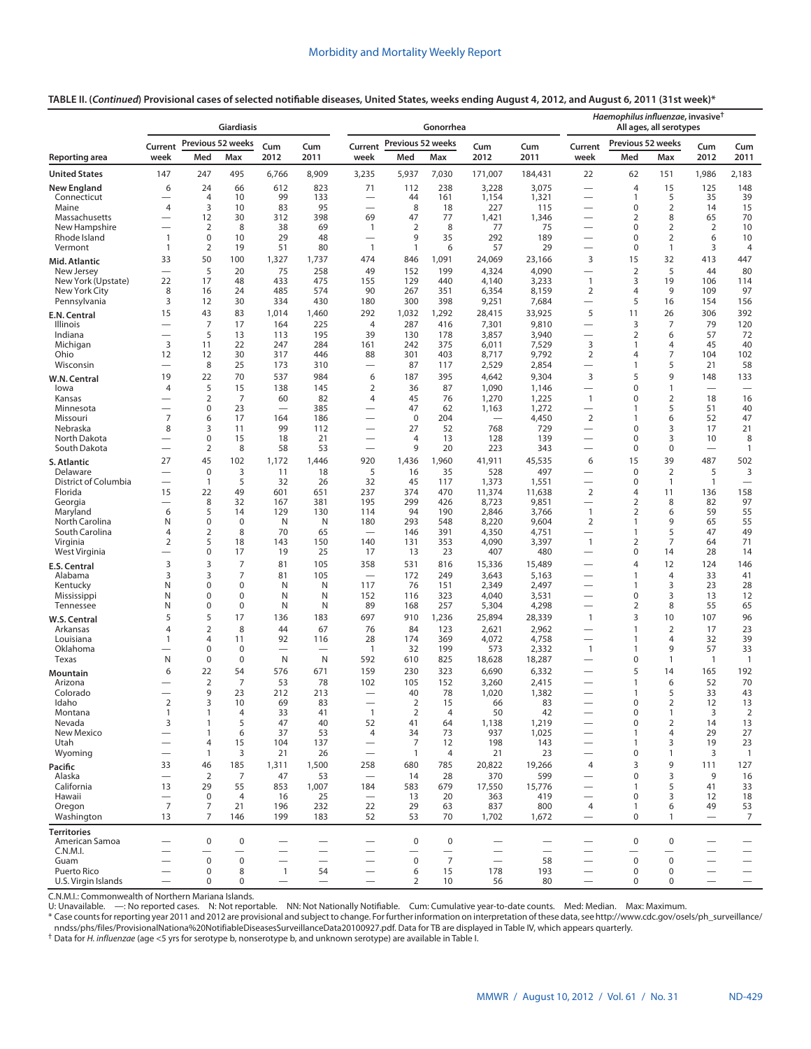# **TABLE II. (***Continued***) Provisional cases of selected notifiable diseases, United States, weeks ending August 4, 2012, and August 6, 2011 (31st week)\***

|                                     |                                            |                                  | Giardiasis            |                                |                          | Gonorrhea<br>Previous 52 weeks                               |                          |                                   |                                 |                | Haemophilus influenzae, invasive <sup>†</sup><br>All ages, all serotypes<br>Previous 52 weeks |                              |                                  |                                         |                                                      |
|-------------------------------------|--------------------------------------------|----------------------------------|-----------------------|--------------------------------|--------------------------|--------------------------------------------------------------|--------------------------|-----------------------------------|---------------------------------|----------------|-----------------------------------------------------------------------------------------------|------------------------------|----------------------------------|-----------------------------------------|------------------------------------------------------|
|                                     | Current                                    |                                  | Previous 52 weeks     | Cum                            | Cum                      | Current                                                      |                          |                                   | Cum                             | Cum            | Current                                                                                       |                              |                                  | Cum                                     | Cum                                                  |
| Reporting area                      | week                                       | Med                              | Max                   | 2012                           | 2011                     | week                                                         | Med                      | Max                               | 2012                            | 2011           | week                                                                                          | Med                          | Max                              | 2012                                    | 2011                                                 |
| <b>United States</b>                | 147                                        | 247                              | 495                   | 6,766                          | 8,909                    | 3,235                                                        | 5,937                    | 7,030                             | 171,007                         | 184,431        | 22                                                                                            | 62                           | 151                              | 1,986                                   | 2,183                                                |
| <b>New England</b>                  | 6                                          | 24                               | 66                    | 612                            | 823                      | 71                                                           | 112                      | 238                               | 3,228                           | 3,075          |                                                                                               | $\overline{4}$               | 15                               | 125                                     | 148                                                  |
| Connecticut<br>Maine                | $\overline{\phantom{0}}$<br>$\overline{4}$ | $\overline{4}$<br>3              | 10<br>10              | 99<br>83                       | 133<br>95                |                                                              | 44<br>8                  | 161<br>18                         | 1,154<br>227                    | 1,321<br>115   | $\overline{\phantom{0}}$                                                                      | $\mathbf{1}$<br>$\mathbf 0$  | 5<br>$\overline{2}$              | 35<br>14                                | 39<br>15                                             |
| Massachusetts                       | $\overline{\phantom{0}}$                   | 12                               | 30                    | 312                            | 398                      | 69                                                           | 47                       | 77                                | 1,421                           | 1,346          | $\overline{\phantom{0}}$                                                                      | $\overline{2}$               | 8                                | 65                                      | 70                                                   |
| New Hampshire<br>Rhode Island       | $\overline{\phantom{0}}$<br>$\mathbf{1}$   | $\overline{2}$<br>$\mathbf 0$    | 8<br>10               | 38<br>29                       | 69<br>48                 | $\mathbf{1}$<br>$\overline{\phantom{0}}$                     | 2<br>9                   | 8<br>35                           | 77<br>292                       | 75<br>189      | $\overline{\phantom{0}}$                                                                      | $\mathbf 0$<br>0             | $\overline{2}$<br>$\overline{2}$ | $\overline{2}$<br>6                     | 10<br>10                                             |
| Vermont                             | 1                                          | $\overline{2}$                   | 19                    | 51                             | 80                       | $\mathbf{1}$                                                 | $\mathbf{1}$             | 6                                 | 57                              | 29             | $\overline{\phantom{0}}$                                                                      | $\mathbf 0$                  | $\mathbf{1}$                     | 3                                       | 4                                                    |
| Mid. Atlantic                       | 33                                         | 50                               | 100                   | 1,327                          | 1,737                    | 474                                                          | 846                      | 1,091                             | 24,069                          | 23,166         | 3                                                                                             | 15                           | 32                               | 413                                     | 447                                                  |
| New Jersey                          |                                            | 5                                | 20                    | 75                             | 258                      | 49                                                           | 152                      | 199                               | 4,324                           | 4,090          |                                                                                               | $\overline{2}$               | 5                                | 44                                      | 80                                                   |
| New York (Upstate)<br>New York City | 22<br>8                                    | 17<br>16                         | 48<br>24              | 433<br>485                     | 475<br>574               | 155<br>90                                                    | 129<br>267               | 440<br>351                        | 4,140<br>6,354                  | 3,233<br>8,159 | $\mathbf{1}$<br>$\overline{2}$                                                                | 3<br>$\overline{4}$          | 19<br>9                          | 106<br>109                              | 114<br>97                                            |
| Pennsylvania                        | 3                                          | 12                               | 30                    | 334                            | 430                      | 180                                                          | 300                      | 398                               | 9,251                           | 7,684          | $\overline{\phantom{0}}$                                                                      | 5                            | 16                               | 154                                     | 156                                                  |
| E.N. Central                        | 15                                         | 43                               | 83                    | 1,014                          | 1,460                    | 292                                                          | 1,032                    | 1,292                             | 28,415                          | 33,925         | 5                                                                                             | 11                           | 26                               | 306                                     | 392                                                  |
| Illinois<br>Indiana                 | $\overline{\phantom{0}}$<br>-              | $\overline{7}$<br>5              | 17<br>13              | 164<br>113                     | 225<br>195               | $\overline{4}$<br>39                                         | 287<br>130               | 416<br>178                        | 7,301<br>3,857                  | 9,810<br>3,940 |                                                                                               | 3<br>2                       | 7<br>6                           | 79<br>57                                | 120<br>72                                            |
| Michigan                            | 3                                          | 11                               | 22                    | 247                            | 284                      | 161                                                          | 242                      | 375                               | 6,011                           | 7,529          | 3                                                                                             | 1                            | 4                                | 45                                      | 40                                                   |
| Ohio                                | 12                                         | 12                               | 30                    | 317                            | 446                      | 88                                                           | 301                      | 403                               | 8,717                           | 9,792          | $\overline{2}$                                                                                | $\overline{4}$               | 7                                | 104                                     | 102                                                  |
| Wisconsin                           | $\overline{\phantom{0}}$                   | 8<br>22                          | 25<br>70              | 173<br>537                     | 310                      | $\overline{\phantom{0}}$                                     | 87                       | 117<br>395                        | 2,529                           | 2,854          | $\overline{\phantom{0}}$<br>3                                                                 | 1<br>5                       | 5<br>9                           | 21                                      | 58                                                   |
| W.N. Central<br>lowa                | 19<br>$\overline{4}$                       | 5                                | 15                    | 138                            | 984<br>145               | 6<br>$\overline{2}$                                          | 187<br>36                | 87                                | 4,642<br>1,090                  | 9,304<br>1,146 | $\overline{\phantom{0}}$                                                                      | $\mathbf 0$                  | $\mathbf{1}$                     | 148<br>$\overline{\phantom{0}}$         | 133                                                  |
| Kansas                              | -                                          | $\overline{2}$                   | $\overline{7}$        | 60                             | 82                       | 4                                                            | 45                       | 76                                | 1,270                           | 1,225          | $\mathbf{1}$                                                                                  | 0                            | $\overline{2}$                   | 18                                      | 16                                                   |
| Minnesota                           | $\overline{\phantom{0}}$<br>$\overline{7}$ | $\mathbf 0$                      | 23                    | $\overline{\phantom{0}}$       | 385                      |                                                              | 47                       | 62                                | 1,163                           | 1,272          | $\overline{\phantom{0}}$                                                                      | $\mathbf{1}$<br>$\mathbf{1}$ | 5                                | 51                                      | 40                                                   |
| Missouri<br>Nebraska                | 8                                          | 6<br>3                           | 17<br>11              | 164<br>99                      | 186<br>112               | $\overline{\phantom{0}}$<br>$\overbrace{\phantom{12322111}}$ | $\mathbf 0$<br>27        | 204<br>52                         | 768                             | 4,450<br>729   | $\overline{2}$<br>$\overline{\phantom{0}}$                                                    | $\mathbf 0$                  | 6<br>3                           | 52<br>17                                | 47<br>21                                             |
| North Dakota                        |                                            | $\mathbf 0$                      | 15                    | 18                             | 21                       | $\overline{\phantom{0}}$                                     | $\overline{4}$           | 13                                | 128                             | 139            | $\overline{\phantom{0}}$                                                                      | $\Omega$                     | 3                                | 10                                      | 8                                                    |
| South Dakota                        | $\overline{\phantom{0}}$                   | $\overline{2}$                   | 8                     | 58                             | 53                       | $\overbrace{\phantom{12322111}}$                             | 9                        | 20                                | 223                             | 343            | $\overline{\phantom{0}}$                                                                      | 0                            | $\mathbf 0$                      | $\overline{\phantom{0}}$                | $\mathbf{1}$                                         |
| S. Atlantic<br>Delaware             | 27                                         | 45<br>$\boldsymbol{0}$           | 102<br>3              | 1,172<br>11                    | 1,446<br>18              | 920<br>5                                                     | 1,436<br>16              | 1,960<br>35                       | 41,911<br>528                   | 45,535<br>497  | 6<br>$\overline{\phantom{0}}$                                                                 | 15<br>$\mathbf 0$            | 39<br>$\overline{2}$             | 487<br>5                                | 502<br>3                                             |
| District of Columbia                | -                                          | $\mathbf{1}$                     | 5                     | 32                             | 26                       | 32                                                           | 45                       | 117                               | 1,373                           | 1,551          |                                                                                               | $\mathbf 0$                  | $\mathbf{1}$                     | $\mathbf{1}$                            | $\overline{\phantom{0}}$                             |
| Florida                             | 15                                         | 22                               | 49                    | 601                            | 651                      | 237                                                          | 374                      | 470                               | 11,374                          | 11,638         | $\overline{2}$                                                                                | 4                            | 11                               | 136                                     | 158                                                  |
| Georgia<br>Maryland                 | —<br>6                                     | 8<br>5                           | 32<br>14              | 167<br>129                     | 381<br>130               | 195<br>114                                                   | 299<br>94                | 426<br>190                        | 8,723<br>2,846                  | 9,851<br>3,766 | $\overline{\phantom{0}}$<br>$\mathbf{1}$                                                      | 2<br>2                       | 8<br>6                           | 82<br>59                                | 97<br>55                                             |
| North Carolina                      | N                                          | $\mathbf 0$                      | $\mathbf 0$           | N                              | N                        | 180                                                          | 293                      | 548                               | 8,220                           | 9,604          | $\overline{2}$                                                                                | 1                            | 9                                | 65                                      | 55                                                   |
| South Carolina                      | $\overline{4}$                             | 2                                | 8                     | 70                             | 65                       | $\overline{\phantom{0}}$<br>140                              | 146                      | 391                               | 4,350                           | 4,751          | $\overline{\phantom{0}}$                                                                      | 1                            | 5                                | 47                                      | 49                                                   |
| Virginia<br>West Virginia           | 2<br>$\overline{\phantom{0}}$              | 5<br>$\bf 0$                     | 18<br>17              | 143<br>19                      | 150<br>25                | 17                                                           | 131<br>13                | 353<br>23                         | 4,090<br>407                    | 3,397<br>480   | $\mathbf{1}$                                                                                  | 2<br>0                       | 7<br>14                          | 64<br>28                                | 71<br>14                                             |
| E.S. Central                        | 3                                          | 3                                | 7                     | 81                             | 105                      | 358                                                          | 531                      | 816                               | 15,336                          | 15,489         |                                                                                               | 4                            | 12                               | 124                                     | 146                                                  |
| Alabama                             | 3                                          | 3                                | $\overline{7}$        | 81                             | 105                      |                                                              | 172                      | 249                               | 3,643                           | 5,163          | $\overline{\phantom{0}}$                                                                      | $\mathbf{1}$                 | 4                                | 33                                      | 41                                                   |
| Kentucky<br>Mississippi             | Ν<br>Ν                                     | $\mathbf 0$<br>0                 | $\mathbf 0$<br>0      | N<br>N                         | N<br>N                   | 117<br>152                                                   | 76<br>116                | 151<br>323                        | 2,349<br>4,040                  | 2,497<br>3,531 | $\overline{\phantom{0}}$                                                                      | $\mathbf{1}$<br>0            | 3<br>3                           | 23<br>13                                | 28<br>12                                             |
| Tennessee                           | Ν                                          | $\mathbf 0$                      | 0                     | Ν                              | N                        | 89                                                           | 168                      | 257                               | 5,304                           | 4,298          | $\overline{\phantom{0}}$                                                                      | 2                            | 8                                | 55                                      | 65                                                   |
| W.S. Central                        | 5                                          | 5                                | 17                    | 136                            | 183                      | 697                                                          | 910                      | 1,236                             | 25,894                          | 28,339         | 1                                                                                             | 3                            | 10                               | 107                                     | 96                                                   |
| Arkansas<br>Louisiana               | $\overline{4}$<br>$\mathbf{1}$             | $\overline{2}$<br>$\overline{4}$ | 8<br>11               | 44                             | 67<br>116                | 76                                                           | 84<br>174                | 123<br>369                        | 2,621                           | 2,962          | $\overline{\phantom{0}}$                                                                      | $\mathbf{1}$<br>$\mathbf{1}$ | $\overline{2}$<br>4              | 17<br>32                                | 23<br>39                                             |
| Oklahoma                            |                                            | $\mathbf 0$                      | $\mathbf 0$           | 92<br>$\overline{\phantom{0}}$ | $\overline{\phantom{0}}$ | 28<br>$\mathbf{1}$                                           | 32                       | 199                               | 4,072<br>573                    | 4,758<br>2,332 | $\mathbf{1}$                                                                                  | $\mathbf{1}$                 | 9                                | 57                                      | 33                                                   |
| Texas                               | N                                          | 0                                | 0                     | N                              | N                        | 592                                                          | 610                      | 825                               | 18,628                          | 18,287         | $\overline{\phantom{0}}$                                                                      | 0                            | 1                                | $\overline{1}$                          | $\overline{1}$                                       |
| Mountain                            | 6                                          | 22                               | 54                    | 576                            | 671                      | 159                                                          | 230                      | 323                               | 6,690                           | 6,332          |                                                                                               | 5                            | 14                               | 165                                     | 192                                                  |
| Arizona<br>Colorado                 | $\overline{\phantom{0}}$                   | $\overline{2}$<br>9              | 7<br>23               | 53<br>212                      | 78<br>213                | 102<br>$\overline{\phantom{0}}$                              | 105<br>40                | 152<br>78                         | 3,260<br>1,020                  | 2,415<br>1,382 |                                                                                               | 1<br>1                       | 6<br>5                           | 52<br>33                                | 70<br>43                                             |
| Idaho                               | $\overline{2}$                             | 3                                | 10                    | 69                             | 83                       |                                                              | $\overline{2}$           | 15                                | 66                              | 83             |                                                                                               | 0                            | $\overline{2}$                   | 12                                      | 13                                                   |
| Montana                             | $\mathbf{1}$                               | $\mathbf{1}$                     | 4                     | 33                             | 41                       | $\mathbf{1}$                                                 | 2                        | $\overline{4}$                    | 50                              | 42             |                                                                                               | $\pmb{0}$                    | 1                                | 3                                       | $\overline{2}$                                       |
| Nevada<br>New Mexico                | 3<br>$\overline{\phantom{0}}$              | $\mathbf{1}$<br>$\mathbf{1}$     | 5<br>6                | 47<br>37                       | 40<br>53                 | 52<br>$\overline{4}$                                         | 41<br>34                 | 64<br>73                          | 1,138<br>937                    | 1,219<br>1,025 | $\overline{\phantom{0}}$                                                                      | 0<br>$\mathbf{1}$            | $\overline{2}$<br>4              | 14<br>29                                | 13<br>27                                             |
| Utah                                | $\overline{\phantom{0}}$                   | $\overline{4}$                   | 15                    | 104                            | 137                      | $\overline{\phantom{0}}$                                     | 7                        | 12                                | 198                             | 143            |                                                                                               | 1                            | 3                                | 19                                      | 23                                                   |
| Wyoming                             |                                            | $\mathbf{1}$                     | 3                     | 21                             | 26                       | $\overline{\phantom{m}}$                                     | $\overline{1}$           | $\overline{4}$                    | 21                              | 23             | $\overline{\phantom{0}}$                                                                      | 0                            | 1                                | 3                                       | $\overline{1}$                                       |
| Pacific<br>Alaska                   | 33                                         | 46<br>$\overline{2}$             | 185<br>$\overline{7}$ | 1,311<br>47                    | 1,500<br>53              | 258<br>$\overline{\phantom{m}}$                              | 680<br>14                | 785<br>28                         | 20,822<br>370                   | 19,266<br>599  | $\overline{4}$                                                                                | 3<br>$\mathbf 0$             | 9<br>3                           | 111<br>9                                | 127<br>16                                            |
| California                          | 13                                         | 29                               | 55                    | 853                            | 1,007                    | 184                                                          | 583                      | 679                               | 17,550                          | 15,776         | $\overline{\phantom{0}}$                                                                      | 1                            | 5                                | 41                                      | 33                                                   |
| Hawaii                              | $\overline{\phantom{0}}$                   | $\mathbf 0$                      | $\overline{4}$        | 16                             | 25                       | $\overline{\phantom{0}}$                                     | 13                       | 20                                | 363                             | 419            | $\overline{\phantom{0}}$                                                                      | $\mathbf 0$                  | 3                                | 12                                      | 18                                                   |
| Oregon<br>Washington                | $\overline{7}$<br>13                       | 7<br>7                           | 21<br>146             | 196<br>199                     | 232<br>183               | 22<br>52                                                     | 29<br>53                 | 63<br>70                          | 837<br>1,702                    | 800<br>1,672   | 4<br>$\overline{\phantom{0}}$                                                                 | 1<br>0                       | 6<br>1                           | 49<br>$\overbrace{\phantom{123221111}}$ | 53<br>7                                              |
| <b>Territories</b>                  |                                            |                                  |                       |                                |                          |                                                              |                          |                                   |                                 |                |                                                                                               |                              |                                  |                                         |                                                      |
| American Samoa                      |                                            | $\pmb{0}$                        | 0                     |                                |                          |                                                              | $\pmb{0}$                | 0                                 |                                 |                |                                                                                               | $\pmb{0}$                    | $\pmb{0}$                        |                                         |                                                      |
| C.N.M.I.                            |                                            |                                  |                       |                                |                          |                                                              |                          | $\overbrace{\phantom{123221111}}$ |                                 |                |                                                                                               |                              | $\overline{\phantom{0}}$         | $\overline{\phantom{0}}$                |                                                      |
| Guam<br>Puerto Rico                 | $\overline{\phantom{0}}$                   | $\mathbf 0$<br>$\mathbf 0$       | $\mathbf 0$<br>8      | —<br>$\mathbf{1}$              | 54                       | $\overbrace{\phantom{123221111}}$                            | $\mathsf{O}\xspace$<br>6 | $\overline{7}$<br>15              | $\overline{\phantom{0}}$<br>178 | 58<br>193      | $\overline{\phantom{0}}$                                                                      | $\mathbf 0$<br>0             | $\mathbf 0$<br>0                 | $\overline{\phantom{0}}$                | $\overline{\phantom{0}}$<br>$\overline{\phantom{0}}$ |
| U.S. Virgin Islands                 |                                            | $\mathbf 0$                      | 0                     | $\overline{\phantom{0}}$       |                          | $\overbrace{\phantom{1232211}}$                              | $\overline{2}$           | 10                                | 56                              | 80             | $\overline{\phantom{0}}$                                                                      | 0                            | 0                                |                                         |                                                      |

C.N.M.I.: Commonwealth of Northern Mariana Islands.<br>U: Unavailable. —: No reported cases. N: Not reportable. NN: Not Nationally Notifiable. Cum: Cumulative year-to-date counts. Med: Median. Max: Maximum.

\* Case counts for reporting year 2011 and 2012 are provisional and subject to change. For further information on interpretation of these data, see [http://www.cdc.gov/osels/ph\\_surveillance/](http://www.cdc.gov/osels/ph_surveillance/nndss/phs/files/ProvisionalNationa%20NotifiableDiseasesSurveillanceData20100927.pdf) [nndss/phs/files/ProvisionalNationa%20NotifiableDiseasesSurveillanceData20100927.pdf.](http://www.cdc.gov/osels/ph_surveillance/nndss/phs/files/ProvisionalNationa%20NotifiableDiseasesSurveillanceData20100927.pdf) Data for TB are displayed in Table IV, which appears quarterly.

† Data for *H. influenzae* (age <5 yrs for serotype b, nonserotype b, and unknown serotype) are available in Table I.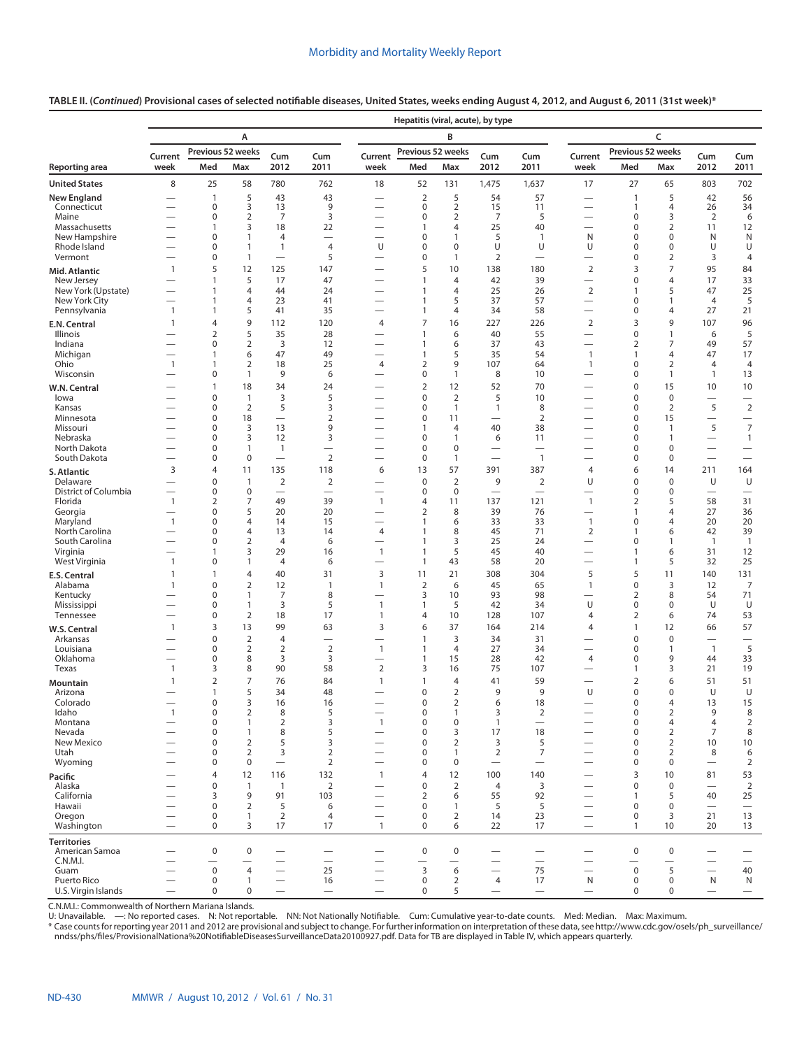#### **TABLE II. (***Continued***) Provisional cases of selected notifiable diseases, United States, weeks ending August 4, 2012, and August 6, 2011 (31st week)\***

|                                      |                                                   |                          |                                  |                                                              |                                            |                                                               | Hepatitis (viral, acute), by type |                                  |                                          |                                 |                                                              |                                |                                  |                                               |                          |
|--------------------------------------|---------------------------------------------------|--------------------------|----------------------------------|--------------------------------------------------------------|--------------------------------------------|---------------------------------------------------------------|-----------------------------------|----------------------------------|------------------------------------------|---------------------------------|--------------------------------------------------------------|--------------------------------|----------------------------------|-----------------------------------------------|--------------------------|
|                                      |                                                   |                          | A                                |                                                              |                                            |                                                               |                                   | B                                |                                          |                                 |                                                              |                                | C                                |                                               |                          |
|                                      | Previous 52 weeks<br>Cum<br>Current<br>Cum<br>Med |                          |                                  |                                                              |                                            | Current                                                       | Previous 52 weeks                 |                                  | Cum                                      | Cum                             | Current                                                      | Previous 52 weeks              |                                  | Cum                                           | Cum                      |
| <b>Reporting area</b>                | week                                              |                          | Max                              | 2012                                                         | 2011                                       | week                                                          | Med                               | Max                              | 2012                                     | 2011                            | week                                                         | Med                            | Max                              | 2012                                          | 2011                     |
| <b>United States</b>                 | 8                                                 | 25                       | 58                               | 780                                                          | 762                                        | 18                                                            | 52                                | 131                              | 1,475                                    | 1,637                           | 17                                                           | 27                             | 65                               | 803                                           | 702                      |
| <b>New England</b>                   |                                                   | $\mathbf{1}$             | 5                                | 43                                                           | 43                                         |                                                               | $\mathbf 2$                       | 5                                | 54                                       | 57                              |                                                              | $\mathbf{1}$                   | 5                                | 42                                            | 56                       |
| Connecticut<br>Maine                 |                                                   | 0<br>0                   | 3<br>$\overline{2}$              | 13<br>$\overline{7}$                                         | 9<br>3                                     | $\overline{\phantom{0}}$                                      | 0<br>0                            | $\overline{2}$<br>$\overline{2}$ | 15<br>$\overline{7}$                     | 11<br>5                         |                                                              | 1<br>0                         | 4<br>3                           | 26<br>2                                       | 34<br>6                  |
| Massachusetts                        |                                                   | 1                        | 3                                | 18                                                           | 22                                         |                                                               | 1                                 | $\overline{4}$                   | 25                                       | 40                              |                                                              | 0                              | $\overline{2}$                   | 11                                            | 12                       |
| New Hampshire<br>Rhode Island        |                                                   | 0<br>0                   | 1<br>$\mathbf{1}$                | $\overline{4}$<br>$\mathbf{1}$                               | $\overline{4}$                             | $\overline{\phantom{0}}$<br>U                                 | 0<br>0                            | $\mathbf{1}$<br>0                | 5<br>U                                   | $\mathbf{1}$<br>U               | N<br>U                                                       | 0<br>0                         | 0<br>0                           | N<br>U                                        | N<br>U                   |
| Vermont                              |                                                   | 0                        | 1                                |                                                              | 5                                          |                                                               | 0                                 | 1                                | $\overline{2}$                           |                                 |                                                              | 0                              | $\overline{2}$                   | 3                                             | $\overline{4}$           |
| Mid. Atlantic                        | $\mathbf{1}$                                      | 5                        | 12                               | 125                                                          | 147                                        |                                                               | 5                                 | 10                               | 138                                      | 180                             | $\overline{2}$                                               | 3                              | $\overline{7}$                   | 95                                            | 84                       |
| New Jersey                           |                                                   | 1<br>1                   | 5<br>4                           | 17                                                           | 47<br>24                                   | $\overline{\phantom{0}}$                                      | $\mathbf{1}$                      | $\overline{4}$                   | 42<br>25                                 | 39<br>26                        | $\mathbf 2$                                                  | 0<br>1                         | $\overline{4}$<br>5              | 17                                            | 33                       |
| New York (Upstate)<br>New York City  |                                                   | 1                        | $\overline{4}$                   | 44<br>23                                                     | 41                                         | $\overline{\phantom{0}}$                                      | 1<br>1                            | 4<br>5                           | 37                                       | 57                              | $\qquad \qquad$                                              | 0                              | 1                                | 47<br>$\overline{4}$                          | 25<br>5                  |
| Pennsylvania                         | $\mathbf{1}$                                      | 1                        | 5                                | 41                                                           | 35                                         |                                                               | 1                                 | 4                                | 34                                       | 58                              |                                                              | 0                              | 4                                | 27                                            | 21                       |
| E.N. Central                         | $\mathbf{1}$                                      | 4                        | 9                                | 112                                                          | 120                                        | 4                                                             | 7                                 | 16                               | 227                                      | 226                             | 2                                                            | 3                              | 9                                | 107                                           | 96                       |
| Illinois<br>Indiana                  |                                                   | 2<br>0                   | 5<br>$\overline{2}$              | 35<br>3                                                      | 28<br>12                                   | $\overline{\phantom{0}}$                                      | 1<br>1                            | 6<br>6                           | 40<br>37                                 | 55<br>43                        | $\overbrace{\phantom{12322111}}$                             | 0<br>2                         | $\mathbf{1}$<br>7                | 6<br>49                                       | 5<br>57                  |
| Michigan                             |                                                   | 1                        | 6                                | 47                                                           | 49                                         |                                                               | 1                                 | 5                                | 35                                       | 54                              | $\mathbf{1}$                                                 | 1                              | 4                                | 47                                            | 17                       |
| Ohio<br>Wisconsin                    | 1                                                 | 1<br>0                   | $\overline{2}$<br>1              | 18<br>9                                                      | 25<br>6                                    | 4                                                             | $\overline{2}$<br>0               | 9<br>$\mathbf{1}$                | 107<br>8                                 | 64<br>10                        | 1                                                            | 0<br>0                         | $\overline{2}$<br>1              | $\overline{4}$<br>$\mathbf{1}$                | $\overline{4}$<br>13     |
| W.N. Central                         |                                                   | $\mathbf{1}$             | 18                               | 34                                                           | 24                                         |                                                               | $\overline{2}$                    | 12                               | 52                                       | 70                              |                                                              | 0                              | 15                               | 10                                            | 10                       |
| lowa                                 |                                                   | 0                        | 1                                | 3                                                            | 5                                          |                                                               | 0                                 | $\overline{2}$                   | 5                                        | 10                              |                                                              | 0                              | $\boldsymbol{0}$                 |                                               |                          |
| Kansas                               |                                                   | 0                        | $\overline{2}$                   | 5                                                            | 3                                          |                                                               | 0                                 | $\mathbf{1}$                     | 1                                        | 8                               |                                                              | 0                              | $\overline{2}$                   | 5                                             | $\sqrt{2}$               |
| Minnesota<br>Missouri                |                                                   | 0<br>0                   | 18<br>3                          | $\overline{\phantom{0}}$<br>13                               | $\overline{2}$<br>9                        | $\overline{\phantom{0}}$                                      | 0<br>1                            | 11<br>$\overline{4}$             | $\overline{\phantom{0}}$<br>40           | 2<br>38                         |                                                              | 0<br>0                         | 15<br>$\mathbf{1}$               | $\overline{\phantom{0}}$<br>5                 | $\overline{7}$           |
| Nebraska                             |                                                   | 0                        | 3                                | 12                                                           | 3                                          |                                                               | 0                                 | $\mathbf{1}$                     | 6                                        | 11                              |                                                              | 0                              | 1                                | $\overline{\phantom{0}}$                      | $\overline{1}$           |
| North Dakota<br>South Dakota         |                                                   | 0<br>0                   | $\mathbf{1}$<br>$\mathbf 0$      | $\mathbf{1}$<br>$\overbrace{\phantom{12322111}}$             | $\overline{\phantom{0}}$<br>$\overline{2}$ | $\overline{\phantom{0}}$                                      | 0<br>0                            | $\mathbf 0$<br>$\mathbf{1}$      | $\overline{\phantom{0}}$<br>$\equiv$     | $\mathbf{1}$                    |                                                              | 0<br>0                         | 0<br>0                           | $\overline{\phantom{0}}$<br>$\qquad \qquad -$ | $\overline{\phantom{0}}$ |
| S. Atlantic                          | 3                                                 | 4                        | 11                               | 135                                                          | 118                                        | 6                                                             | 13                                | 57                               | 391                                      | 387                             | 4                                                            | 6                              | 14                               | 211                                           | 164                      |
| Delaware                             |                                                   | 0                        | 1                                | $\overline{2}$                                               | $\overline{2}$                             |                                                               | 0                                 | $\overline{2}$                   | 9                                        | $\overline{2}$                  | U                                                            | 0                              | $\boldsymbol{0}$                 | U                                             | U                        |
| District of Columbia<br>Florida      | $\mathbf{1}$                                      | 0<br>2                   | $\mathbf 0$<br>7                 | 49                                                           | 39                                         | $\overline{\phantom{0}}$<br>$\overline{1}$                    | 0<br>4                            | $\mathbf 0$<br>11                | $\overbrace{\phantom{123221111}}$<br>137 | $\overline{\phantom{m}}$<br>121 | $\mathbf{1}$                                                 | 0<br>2                         | 0<br>5                           | $\overline{\phantom{0}}$<br>58                | 31                       |
| Georgia                              |                                                   | 0                        | 5                                | 20                                                           | 20                                         |                                                               | 2                                 | 8                                | 39                                       | 76                              |                                                              | $\mathbf{1}$                   | 4                                | 27                                            | 36                       |
| Maryland                             | $\mathbf{1}$                                      | 0                        | $\overline{4}$                   | 14                                                           | 15                                         |                                                               | 1                                 | 6                                | 33                                       | 33                              | $\mathbf{1}$                                                 | 0                              | $\overline{4}$                   | 20                                            | 20                       |
| North Carolina<br>South Carolina     |                                                   | $\mathbf 0$<br>0         | $\overline{4}$<br>$\overline{2}$ | 13<br>$\overline{4}$                                         | 14<br>6                                    | 4<br>$\overline{\phantom{0}}$                                 | 1<br>$\mathbf{1}$                 | 8<br>3                           | 45<br>25                                 | 71<br>24                        | 2<br>$\overline{\phantom{0}}$                                | 1<br>0                         | 6<br>1                           | 42<br>$\overline{1}$                          | 39<br>$\overline{1}$     |
| Virginia                             |                                                   | 1                        | 3                                | 29                                                           | 16                                         | $\mathbf{1}$                                                  | 1                                 | 5                                | 45                                       | 40                              | $\overline{\phantom{0}}$                                     | $\mathbf{1}$                   | 6                                | 31                                            | 12                       |
| West Virginia                        | $\mathbf{1}$                                      | 0                        | 1                                | $\overline{4}$                                               | 6                                          | $\overline{\phantom{0}}$                                      | 1                                 | 43                               | 58                                       | 20                              | $\overline{\phantom{0}}$                                     | $\mathbf{1}$                   | 5                                | 32                                            | 25                       |
| E.S. Central<br>Alabama              | 1<br>$\mathbf{1}$                                 | 1<br>0                   | $\overline{4}$<br>$\overline{2}$ | 40<br>12                                                     | 31<br>$\mathbf{1}$                         | 3<br>$\mathbf{1}$                                             | 11<br>$\overline{2}$              | 21<br>6                          | 308<br>45                                | 304<br>65                       | 5<br>$\mathbf{1}$                                            | 5<br>0                         | 11<br>3                          | 140<br>12                                     | 131<br>$\overline{7}$    |
| Kentucky                             |                                                   | $\mathbf 0$              | 1                                | 7                                                            | 8                                          |                                                               | 3                                 | 10                               | 93                                       | 98                              | $\overline{\phantom{0}}$                                     | $\overline{2}$                 | 8                                | 54                                            | 71                       |
| Mississippi                          |                                                   | 0                        | $\mathbf{1}$                     | 3                                                            | 5                                          | $\mathbf{1}$                                                  | $\mathbf{1}$                      | 5                                | 42                                       | 34                              | U                                                            | 0                              | 0                                | U                                             | U                        |
| Tennessee                            | 1                                                 | 0<br>3                   | 2<br>13                          | 18<br>99                                                     | 17<br>63                                   | $\mathbf{1}$<br>3                                             | 4<br>6                            | 10<br>37                         | 128<br>164                               | 107<br>214                      | 4<br>4                                                       | $\overline{2}$<br>$\mathbf{1}$ | 6<br>12                          | 74<br>66                                      | 53<br>57                 |
| W.S. Central<br>Arkansas             |                                                   | 0                        | $\overline{2}$                   | $\overline{4}$                                               |                                            |                                                               | $\mathbf{1}$                      | 3                                | 34                                       | 31                              | $\overline{\phantom{0}}$                                     | 0                              | 0                                | $\overline{\phantom{0}}$                      | $\overline{\phantom{0}}$ |
| Louisiana                            |                                                   | 0                        | $\overline{2}$                   | $\overline{2}$                                               | $\overline{2}$                             | $\mathbf{1}$                                                  | 1                                 | 4                                | 27                                       | 34                              |                                                              | 0                              | 1                                | $\overline{1}$                                | 5                        |
| Oklahoma<br>Texas                    | 1                                                 | 0<br>3                   | 8<br>8                           | 3<br>90                                                      | 3<br>58                                    | 2                                                             | 1<br>3                            | 15<br>16                         | 28<br>75                                 | 42<br>107                       | 4                                                            | 0<br>1                         | 9<br>3                           | 44<br>21                                      | 33<br>19                 |
| Mountain                             | 1                                                 | $\overline{2}$           | $\overline{7}$                   | 76                                                           | 84                                         | 1                                                             | 1                                 | $\overline{4}$                   | 41                                       | 59                              |                                                              | $\overline{2}$                 | 6                                | 51                                            | 51                       |
| Arizona                              |                                                   | 1                        | 5                                | 34                                                           | 48                                         |                                                               | 0                                 | $\overline{2}$                   | 9                                        | 9                               | U                                                            | 0                              | $\mathbf 0$                      | U                                             | U                        |
| Colorado<br>Idaho                    | 1                                                 | $\mathbf 0$<br>0         | 3<br>$\overline{2}$              | 16<br>8                                                      | 16<br>5                                    |                                                               | 0<br>0                            | $\overline{2}$<br>-1             | 6<br>3                                   | 18<br>$\overline{2}$            |                                                              | 0<br>$\mathbf 0$               | $\overline{4}$<br>$\overline{2}$ | 13<br>9                                       | 15<br>8                  |
| Montana                              |                                                   | 0                        | $\mathbf{1}$                     | $\overline{2}$                                               | 3                                          | $\overline{1}$                                                | 0                                 | $\bf 0$                          | $\mathbf{1}$                             | $\overline{\phantom{m}}$        |                                                              | 0                              | $\overline{4}$                   | 4                                             | $\overline{2}$           |
| Nevada<br>New Mexico                 |                                                   | 0<br>0                   | $\mathbf{1}$<br>2                | 8<br>5                                                       | 5<br>3                                     |                                                               | 0<br>0                            | 3<br>2                           | 17<br>3                                  | 18<br>5                         |                                                              | 0<br>0                         | $\overline{2}$<br>$\overline{2}$ | $\overline{7}$<br>10                          | 8<br>10                  |
| Utah                                 |                                                   | 0                        | $\overline{2}$                   | 3                                                            | $\overline{2}$                             |                                                               | 0                                 | $\mathbf{1}$                     | 2                                        | 7                               | $\qquad \qquad$<br>$\qquad \qquad$                           | 0                              | $\overline{2}$                   | 8                                             | 6                        |
| Wyoming                              |                                                   | $\mathbf 0$              | $\pmb{0}$                        | $\overbrace{\phantom{12322111}}$                             | $\overline{2}$                             | $\overline{\phantom{0}}$                                      | 0                                 | $\mathbf 0$                      | $\overline{\phantom{0}}$                 | $\overline{\phantom{0}}$        | $\overline{\phantom{0}}$                                     | 0                              | $\mathbf 0$                      | $\overbrace{\phantom{1232211}}$               | $\overline{2}$           |
| Pacific                              | $\overline{\phantom{0}}$                          | 4                        | 12                               | 116                                                          | 132                                        | $\mathbf{1}$                                                  | 4                                 | 12                               | 100                                      | 140                             | $\qquad \qquad -$                                            | 3                              | 10                               | 81                                            | 53                       |
| Alaska<br>California                 | $\overline{\phantom{0}}$                          | 0<br>3                   | $\mathbf{1}$<br>9                | $\overline{1}$<br>91                                         | $\overline{2}$<br>103                      | $\overbrace{\phantom{123221111}}$<br>$\overline{\phantom{0}}$ | $\mathbf 0$<br>$\overline{2}$     | 2<br>6                           | $\overline{4}$<br>55                     | 3<br>92                         | $\overline{\phantom{0}}$<br>$\overbrace{\phantom{12322111}}$ | 0<br>$\mathbf{1}$              | $\mathbf 0$<br>5                 | $\overbrace{\phantom{12322111}}$<br>40        | $\overline{2}$<br>25     |
| Hawaii                               |                                                   | 0                        | $\overline{2}$                   | 5                                                            | 6                                          | $\overbrace{\phantom{123221111}}$                             | 0                                 | $\mathbf{1}$                     | 5                                        | 5                               | $\qquad \qquad$                                              | 0                              | $\mathbf 0$                      | $\overline{\phantom{0}}$                      |                          |
| Oregon                               | $\overline{\phantom{0}}$                          | 0<br>$\mathbf 0$         | 1<br>3                           | $\overline{2}$<br>17                                         | 4<br>17                                    | $\overline{\phantom{0}}$<br>$\mathbf{1}$                      | 0<br>$\mathbf 0$                  | 2<br>6                           | 14<br>22                                 | 23<br>17                        | $\qquad \qquad$<br>$\overbrace{\phantom{12322111}}$          | 0<br>$\mathbf{1}$              | 3<br>10                          | 21<br>20                                      | 13                       |
| Washington                           |                                                   |                          |                                  |                                                              |                                            |                                                               |                                   |                                  |                                          |                                 |                                                              |                                |                                  |                                               | 13                       |
| <b>Territories</b><br>American Samoa |                                                   | $\mathbf 0$              | $\pmb{0}$                        | $\overline{\phantom{0}}$                                     | $\qquad \qquad -$                          |                                                               | $\pmb{0}$                         | $\mathbf 0$                      |                                          |                                 |                                                              | $\mathbf 0$                    | $\mathbf 0$                      |                                               | $\qquad \qquad -$        |
| C.N.M.I.                             |                                                   |                          |                                  |                                                              | $\overbrace{\phantom{12322111}}$           |                                                               |                                   |                                  | $\overline{\phantom{0}}$                 |                                 |                                                              |                                | $\overline{\phantom{0}}$         |                                               | $\overline{\phantom{0}}$ |
| Guam<br>Puerto Rico                  | $\overline{\phantom{0}}$                          | $\pmb{0}$<br>$\mathbf 0$ | $\overline{4}$<br>$\mathbf{1}$   | $\overbrace{\phantom{12322111}}$<br>$\overline{\phantom{m}}$ | 25<br>16                                   | $\overline{\phantom{0}}$<br>$\overline{\phantom{m}}$          | 3<br>$\mathbf 0$                  | 6<br>$\overline{2}$              | $\equiv$<br>4                            | 75<br>17                        | $\overbrace{\phantom{12322111}}$<br>N                        | $\pmb{0}$<br>0                 | 5<br>$\mathbf 0$                 | $\overline{\phantom{0}}$<br>N                 | 40<br>N                  |
| U.S. Virgin Islands                  | $\overbrace{\phantom{1232211}}$                   | 0                        | 0                                | $\overline{\phantom{0}}$                                     | $\overline{\phantom{m}}$                   | $\overline{\phantom{0}}$                                      | 0                                 | 5                                |                                          | $\overline{\phantom{m}}$        | $\qquad \qquad -$                                            | 0                              | 0                                | $\qquad \qquad -$                             | $\qquad \qquad -$        |

C.N.M.I.: Commonwealth of Northern Mariana Islands.

U: Unavailable. —: No reported cases. N: Not reportable. NN: Not Nationally Notifiable. Cum: Cumulative year-to-date counts. Med: Median. Max: Maximum.

\* Case counts for reporting year 2011 and 2012 are provisional and subject to change. For further information on interpretation of these data, see [http://www.cdc.gov/osels/ph\\_surveillance/](http://www.cdc.gov/osels/ph_surveillance/nndss/phs/files/ProvisionalNationa%20NotifiableDiseasesSurveillanceData20100927.pdf) [nndss/phs/files/ProvisionalNationa%20NotifiableDiseasesSurveillanceData20100927.pdf.](http://www.cdc.gov/osels/ph_surveillance/nndss/phs/files/ProvisionalNationa%20NotifiableDiseasesSurveillanceData20100927.pdf) Data for TB are displayed in Table IV, which appears quarterly.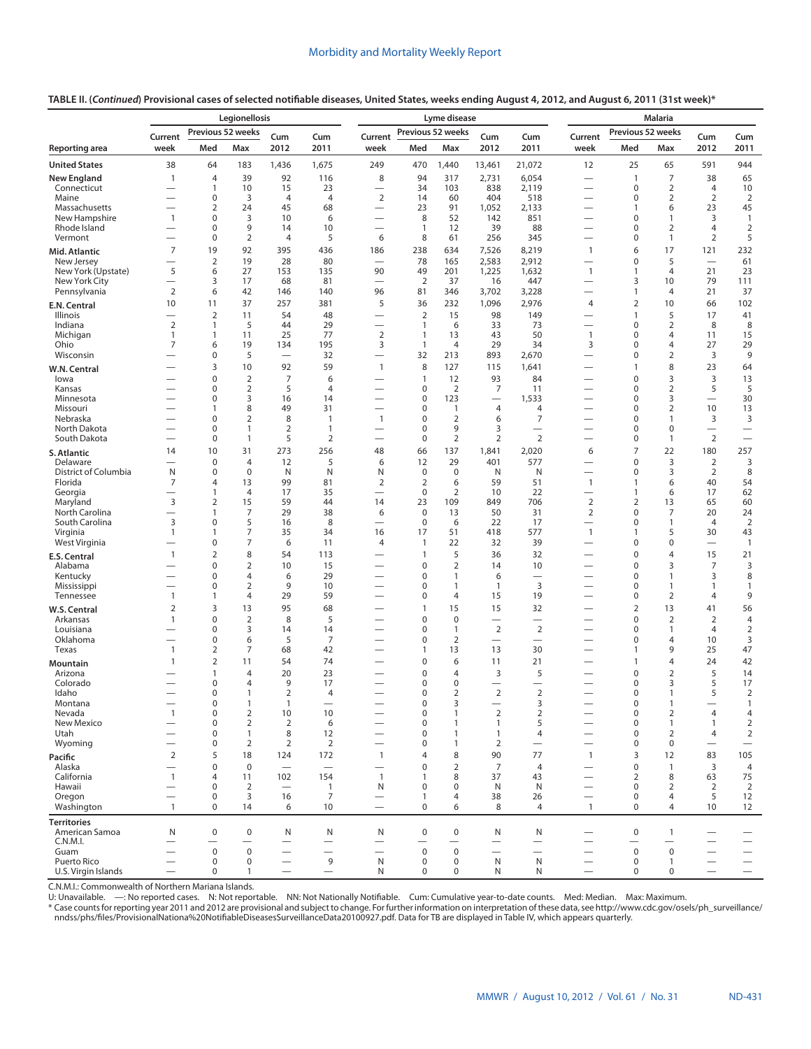|  | TABLE II. ( <i>Continued</i> ) Provisional cases of selected notifiable diseases, United States, weeks ending August 4, 2012, and August 6, 2011 (31st week)* |
|--|---------------------------------------------------------------------------------------------------------------------------------------------------------------|
|--|---------------------------------------------------------------------------------------------------------------------------------------------------------------|

|                                     | Legionellosis<br>Previous 52 weeks                   |                                |                                  |                                |                                  |                                                      |                            | Lyme disease                 |                                            | <b>Malaria</b>                             |                                                      |                                         |                                  |                                            |                                  |
|-------------------------------------|------------------------------------------------------|--------------------------------|----------------------------------|--------------------------------|----------------------------------|------------------------------------------------------|----------------------------|------------------------------|--------------------------------------------|--------------------------------------------|------------------------------------------------------|-----------------------------------------|----------------------------------|--------------------------------------------|----------------------------------|
|                                     | Current                                              |                                |                                  | Cum                            | Cum                              | Current                                              | Previous 52 weeks          |                              | Cum                                        | Cum                                        | Current                                              | Previous 52 weeks                       |                                  | Cum                                        | Cum                              |
| Reporting area                      | week                                                 | Med                            | Max                              | 2012                           | 2011                             | week                                                 | Med                        | Max                          | 2012                                       | 2011                                       | week                                                 | Med                                     | Max                              | 2012                                       | 2011                             |
| <b>United States</b>                | 38                                                   | 64                             | 183                              | 1,436                          | 1,675                            | 249                                                  | 470                        | 1,440                        | 13,461                                     | 21,072                                     | 12                                                   | 25                                      | 65                               | 591                                        | 944                              |
| <b>New England</b>                  | $\mathbf{1}$                                         | 4                              | 39                               | 92                             | 116                              | 8                                                    | 94                         | 317                          | 2,731                                      | 6,054                                      | —                                                    | $\mathbf{1}$                            | 7                                | 38                                         | 65                               |
| Connecticut<br>Maine                | $\overline{\phantom{0}}$                             | $\mathbf{1}$<br>0              | 10<br>3                          | 15<br>$\overline{4}$           | 23<br>$\overline{4}$             | $\overline{\phantom{0}}$<br>2                        | 34<br>14                   | 103<br>60                    | 838<br>404                                 | 2,119<br>518                               | $\overline{\phantom{0}}$                             | $\mathbf 0$<br>$\mathbf 0$              | $\overline{2}$<br>$\overline{2}$ | 4<br>$\overline{2}$                        | 10<br>2                          |
| Massachusetts                       | $\overline{\phantom{0}}$                             | $\overline{2}$                 | 24                               | 45                             | 68                               | $\overbrace{\phantom{123221111}}$                    | 23                         | 91                           | 1,052                                      | 2,133                                      | —                                                    | $\mathbf{1}$                            | 6                                | 23                                         | 45                               |
| New Hampshire<br>Rhode Island       | $\mathbf{1}$                                         | $\mathbf 0$<br>0               | 3<br>9                           | 10<br>14                       | 6<br>10                          |                                                      | 8<br>1                     | 52<br>12                     | 142<br>39                                  | 851<br>88                                  | $\overline{\phantom{0}}$<br>$\overline{\phantom{0}}$ | $\mathbf 0$<br>0                        | $\mathbf{1}$<br>2                | 3<br>4                                     | $\mathbf{1}$<br>2                |
| Vermont                             | $\overline{\phantom{0}}$                             | 0                              | $\overline{2}$                   | $\overline{4}$                 | 5                                | 6                                                    | 8                          | 61                           | 256                                        | 345                                        | $\overline{\phantom{0}}$                             | 0                                       | $\mathbf{1}$                     | $\overline{2}$                             | 5                                |
| Mid. Atlantic                       | $\overline{7}$                                       | 19                             | 92                               | 395                            | 436                              | 186                                                  | 238                        | 634                          | 7,526                                      | 8,219                                      | $\mathbf{1}$                                         | 6                                       | 17                               | 121                                        | 232                              |
| New Jersey                          | $\overline{\phantom{0}}$                             | $\overline{2}$                 | 19                               | 28                             | 80                               |                                                      | 78                         | 165                          | 2,583                                      | 2,912                                      | $\overline{\phantom{0}}$                             | $\pmb{0}$                               | 5                                | $\overline{\phantom{0}}$                   | 61                               |
| New York (Upstate)<br>New York City | 5                                                    | 6<br>3                         | 27<br>17                         | 153<br>68                      | 135<br>81                        | 90<br>$\overline{\phantom{0}}$                       | 49<br>$\overline{2}$       | 201<br>37                    | 1,225<br>16                                | 1,632<br>447                               | $\mathbf{1}$<br>$\overline{\phantom{0}}$             | $\mathbf{1}$<br>3                       | 4<br>10                          | 21<br>79                                   | 23<br>111                        |
| Pennsylvania                        | 2                                                    | 6                              | 42                               | 146                            | 140                              | 96                                                   | 81                         | 346                          | 3,702                                      | 3,228                                      | $\overline{\phantom{0}}$                             | $\mathbf{1}$                            | 4                                | 21                                         | 37                               |
| <b>E.N. Central</b>                 | 10                                                   | 11                             | 37                               | 257                            | 381                              | 5                                                    | 36                         | 232                          | 1,096                                      | 2,976                                      | $\overline{4}$                                       | $\overline{2}$                          | 10                               | 66                                         | 102                              |
| Illinois<br>Indiana                 | $\overline{2}$                                       | $\overline{2}$<br>$\mathbf{1}$ | 11<br>5                          | 54<br>44                       | 48<br>29                         |                                                      | $\overline{2}$<br>1        | 15<br>6                      | 98<br>33                                   | 149<br>73                                  | $\overline{\phantom{0}}$<br>$\overline{\phantom{0}}$ | $\overline{1}$<br>$\pmb{0}$             | 5<br>$\overline{2}$              | 17<br>8                                    | 41<br>8                          |
| Michigan                            | $\mathbf{1}$                                         | $\mathbf{1}$                   | 11                               | 25                             | 77                               | $\overline{2}$                                       | 1                          | 13                           | 43                                         | 50                                         | $\mathbf{1}$                                         | 0                                       | 4                                | 11                                         | 15                               |
| Ohio                                | 7                                                    | 6                              | 19                               | 134                            | 195                              | 3                                                    | 1                          | $\overline{4}$               | 29                                         | 34                                         | 3                                                    | 0                                       | 4                                | 27                                         | 29                               |
| Wisconsin                           |                                                      | 0<br>3                         | 5<br>10                          | $\overline{\phantom{0}}$<br>92 | 32<br>59                         | $\overline{\phantom{0}}$<br>$\mathbf{1}$             | 32<br>8                    | 213<br>127                   | 893                                        | 2,670<br>1,641                             | $\overline{\phantom{0}}$                             | 0<br>$\mathbf{1}$                       | 2<br>8                           | 3<br>23                                    | 9<br>64                          |
| W.N. Central<br>lowa                |                                                      | 0                              | $\overline{2}$                   | $\overline{7}$                 | 6                                |                                                      | $\mathbf{1}$               | 12                           | 115<br>93                                  | 84                                         |                                                      | $\pmb{0}$                               | 3                                | 3                                          | 13                               |
| Kansas                              |                                                      | 0                              | $\overline{2}$                   | 5                              | $\overline{4}$                   | $\overline{\phantom{0}}$                             | 0                          | $\overline{2}$               | 7                                          | 11                                         | —                                                    | 0                                       | $\overline{2}$                   | 5                                          | 5                                |
| Minnesota<br>Missouri               |                                                      | 0<br>$\mathbf{1}$              | 3<br>8                           | 16<br>49                       | 14<br>31                         |                                                      | 0<br>0                     | 123<br>$\mathbf{1}$          | $\overline{\phantom{0}}$<br>$\overline{4}$ | 1,533<br>4                                 | $\overline{\phantom{0}}$<br>$\overline{\phantom{0}}$ | 0<br>$\mathbf 0$                        | 3<br>$\overline{2}$              | $\overline{\phantom{0}}$<br>10             | 30<br>13                         |
| Nebraska                            |                                                      | 0                              | $\overline{2}$                   | 8                              | $\mathbf{1}$                     | $\overline{1}$                                       | 0                          | $\overline{2}$               | 6                                          | 7                                          | $\overline{\phantom{0}}$                             | 0                                       | $\mathbf{1}$                     | 3                                          | 3                                |
| North Dakota                        |                                                      | $\mathbf 0$                    | $\mathbf{1}$                     | $\overline{2}$                 | $\mathbf{1}$                     |                                                      | 0                          | 9                            | 3                                          |                                            |                                                      | $\mathbf 0$                             | $\mathbf 0$                      |                                            | $\overline{\phantom{0}}$         |
| South Dakota                        | $\overline{\phantom{0}}$                             | $\pmb{0}$                      | $\mathbf{1}$                     | 5                              | $\overline{2}$                   |                                                      | 0                          | $\overline{2}$               | $\overline{2}$                             | $\overline{2}$                             |                                                      | 0<br>$\overline{7}$                     | $\mathbf{1}$                     | 2                                          |                                  |
| S. Atlantic<br>Delaware             | 14                                                   | 10<br>$\pmb{0}$                | 31<br>$\overline{4}$             | 273<br>12                      | 256<br>5                         | 48<br>6                                              | 66<br>12                   | 137<br>29                    | 1,841<br>401                               | 2,020<br>577                               | 6                                                    | $\pmb{0}$                               | 22<br>3                          | 180<br>$\overline{2}$                      | 257<br>3                         |
| District of Columbia                | N                                                    | 0                              | $\mathbf 0$                      | N                              | N                                | N                                                    | 0                          | $\mathbf 0$                  | N                                          | N                                          | $\overline{\phantom{0}}$                             | 0                                       | 3                                | 2                                          | 8                                |
| Florida                             | $\overline{7}$                                       | 4                              | 13<br>$\overline{4}$             | 99                             | 81                               | 2                                                    | $\overline{2}$<br>0        | 6                            | 59                                         | 51                                         | $\mathbf{1}$                                         | $\mathbf{1}$                            | 6                                | 40                                         | 54                               |
| Georgia<br>Maryland                 | —<br>3                                               | 1<br>$\overline{2}$            | 15                               | 17<br>59                       | 35<br>44                         | $\overline{\phantom{0}}$<br>14                       | 23                         | $\overline{2}$<br>109        | 10<br>849                                  | 22<br>706                                  | —<br>$\overline{2}$                                  | $\mathbf{1}$<br>$\overline{2}$          | 6<br>13                          | 17<br>65                                   | 62<br>60                         |
| North Carolina                      | $\overline{\phantom{0}}$                             | 1                              | 7                                | 29                             | 38                               | 6                                                    | $\mathbf 0$                | 13                           | 50                                         | 31                                         | $\overline{2}$                                       | $\mathbf 0$                             | $\overline{7}$                   | 20                                         | 24                               |
| South Carolina<br>Virginia          | 3<br>$\mathbf{1}$                                    | $\mathbf 0$<br>1               | 5<br>$\overline{7}$              | 16<br>35                       | 8<br>34                          | 16                                                   | $\mathbf 0$<br>17          | 6<br>51                      | 22<br>418                                  | 17<br>577                                  | $\mathbf{1}$                                         | $\mathbf 0$<br>$\mathbf{1}$             | $\mathbf{1}$<br>5                | $\overline{4}$<br>30                       | 2<br>43                          |
| West Virginia                       |                                                      | 0                              | $\overline{7}$                   | 6                              | 11                               | 4                                                    | 1                          | 22                           | 32                                         | 39                                         | —                                                    | $\mathbf 0$                             | $\mathsf{O}\xspace$              |                                            | $\mathbf{1}$                     |
| E.S. Central                        | $\mathbf{1}$                                         | $\overline{2}$                 | 8                                | 54                             | 113                              |                                                      | $\mathbf{1}$               | 5                            | 36                                         | 32                                         |                                                      | $\mathbf 0$                             | $\overline{4}$                   | 15                                         | 21                               |
| Alabama                             |                                                      | 0<br>$\mathbf 0$               | $\overline{2}$<br>$\overline{4}$ | 10<br>6                        | 15<br>29                         |                                                      | $\mathbf 0$<br>0           | $\overline{2}$<br>1          | 14<br>6                                    | 10                                         | —                                                    | $\mathbf 0$<br>$\mathbf 0$              | 3<br>$\mathbf{1}$                | $\overline{7}$<br>3                        | 3<br>8                           |
| Kentucky<br>Mississippi             |                                                      | 0                              | $\overline{2}$                   | 9                              | 10                               |                                                      | $\mathbf 0$                | $\mathbf{1}$                 | 1                                          | 3                                          |                                                      | $\mathbf 0$                             | $\mathbf{1}$                     | 1                                          | $\mathbf{1}$                     |
| Tennessee                           | $\mathbf{1}$                                         | $\mathbf{1}$                   | $\overline{4}$                   | 29                             | 59                               |                                                      | 0                          | $\overline{4}$               | 15                                         | 19                                         | —                                                    | $\pmb{0}$                               | $\overline{2}$                   | 4                                          | 9                                |
| W.S. Central                        | $\overline{2}$                                       | 3                              | 13                               | 95                             | 68                               |                                                      | 1                          | 15                           | 15                                         | 32                                         |                                                      | $\overline{2}$                          | 13                               | 41                                         | 56                               |
| Arkansas<br>Louisiana               | $\mathbf{1}$                                         | $\mathbf 0$<br>$\pmb{0}$       | $\overline{2}$<br>3              | 8<br>14                        | 5<br>14                          |                                                      | $\mathbf 0$<br>$\mathbf 0$ | $\mathbf 0$<br>1             | $\overline{\phantom{0}}$<br>$\overline{2}$ | $\overline{\phantom{0}}$<br>$\overline{2}$ |                                                      | $\mathbf 0$<br>0                        | $\overline{2}$<br>$\mathbf{1}$   | $\overline{2}$<br>$\overline{4}$           | $\overline{4}$<br>$\overline{2}$ |
| Oklahoma                            |                                                      | $\mathbf 0$                    | 6                                | 5                              | $\overline{7}$                   |                                                      | 0                          | $\overline{2}$               | $\overline{\phantom{0}}$                   | $\overline{\phantom{0}}$                   |                                                      | $\pmb{0}$                               | $\overline{4}$                   | 10                                         | 3                                |
| Texas                               | $\mathbf{1}$                                         | 2                              | $\overline{7}$                   | 68                             | 42                               |                                                      | 1                          | 13                           | 13                                         | 30                                         |                                                      | $\mathbf{1}$                            | 9                                | 25                                         | 47                               |
| Mountain<br>Arizona                 | $\mathbf{1}$                                         | 2<br>$\mathbf{1}$              | 11<br>$\overline{4}$             | 54<br>20                       | 74<br>23                         |                                                      | $\mathbf 0$<br>$\mathbf 0$ | 6<br>4                       | 11<br>3                                    | 21<br>5                                    | —                                                    | $\mathbf{1}$<br>$\mathbf 0$             | 4<br>2                           | 24<br>5                                    | 42<br>14                         |
| Colorado                            |                                                      | $\pmb{0}$                      | $\overline{4}$                   | 9                              | 17                               |                                                      | 0                          | 0                            |                                            |                                            |                                                      | $\pmb{0}$                               | 3                                | 5                                          | 17                               |
| Idaho                               |                                                      | $\mathbf 0$                    | $\mathbf{1}$                     | $\overline{2}$                 | $\overline{4}$                   | $\overline{\phantom{0}}$                             | 0                          | $\overline{2}$               | $\overline{2}$                             | $\overline{2}$                             | $\overline{\phantom{0}}$                             | $\mathbf 0$                             | 1                                | 5                                          | 2                                |
| Montana<br>Nevada                   | $\mathbf{1}$                                         | 0<br>$\pmb{0}$                 | -1<br>$\mathbf 2$                | 1<br>10                        | 10                               |                                                      | 0<br>$\pmb{0}$             | 3<br>$\mathbf{1}$            | $\overline{2}$                             | 3<br>$\overline{2}$                        |                                                      | 0<br>$\mathbf 0$                        | 1<br>$\overline{2}$              | $\overline{4}$                             | 1<br>$\overline{4}$              |
| New Mexico                          | $\overline{\phantom{0}}$                             | $\pmb{0}$                      | $\overline{2}$                   | $\overline{2}$                 | 6                                |                                                      | 0                          | $\mathbf{1}$                 | $\mathbf{1}$                               | 5                                          |                                                      | $\mathbf 0$                             | $\mathbf{1}$                     | $\mathbf{1}$                               | $\overline{2}$                   |
| Utah<br>Wyoming                     | $\overline{\phantom{0}}$<br>$\overline{\phantom{0}}$ | $\mathbf 0$<br>$\pmb{0}$       | $\mathbf{1}$<br>2                | 8<br>$\overline{2}$            | 12<br>$\overline{2}$             | $\overline{\phantom{0}}$<br>$\overline{\phantom{0}}$ | 0<br>0                     | $\mathbf{1}$<br>$\mathbf{1}$ | 1<br>2                                     | $\overline{4}$<br>$\overline{\phantom{0}}$ | $\overline{\phantom{0}}$                             | $\mathbf 0$<br>$\mathbf 0$              | $\overline{2}$<br>$\mathbf 0$    | $\overline{4}$<br>$\overline{\phantom{0}}$ | 2<br>$\overline{\phantom{0}}$    |
| Pacific                             | $\overline{2}$                                       | 5                              | 18                               | 124                            | 172                              | $\mathbf{1}$                                         | 4                          | 8                            | 90                                         | 77                                         | $\overline{1}$                                       | 3                                       | 12                               | 83                                         | 105                              |
| Alaska                              |                                                      | $\mathbf 0$                    | $\mathbf 0$                      | $\equiv$                       | $\equiv$                         | $\overline{\phantom{0}}$                             | $\mathbf 0$                | $\overline{2}$               | $\overline{7}$                             | $\overline{4}$                             | $\overline{\phantom{0}}$                             | $\mathbf 0$                             | $\mathbf{1}$                     | 3                                          | $\overline{4}$                   |
| California                          | $\mathbf{1}$                                         | $\overline{4}$                 | 11                               | 102                            | 154                              | $\overline{1}$                                       | 1                          | 8                            | 37                                         | 43                                         |                                                      | 2                                       | 8                                | 63                                         | 75                               |
| Hawaii<br>Oregon                    | $\overline{\phantom{0}}$<br>$\overline{\phantom{0}}$ | 0<br>$\mathbf 0$               | $\overline{2}$<br>3              | $\overline{\phantom{0}}$<br>16 | $\overline{1}$<br>$\overline{7}$ | N<br>$\qquad \qquad$                                 | 0<br>1                     | 0<br>4                       | N<br>38                                    | N<br>26                                    | $\overline{\phantom{0}}$<br>$\overline{\phantom{0}}$ | $\mathbf 0$<br>$\mathbf 0$              | 2<br>4                           | 2<br>5                                     | $\overline{2}$<br>12             |
| Washington                          | $\mathbf{1}$                                         | $\mathbf 0$                    | 14                               | 6                              | 10                               | $\overbrace{\phantom{1232211}}$                      | 0                          | 6                            | 8                                          | $\overline{4}$                             | $\overline{1}$                                       | $\mathbf 0$                             | $\overline{4}$                   | 10                                         | 12                               |
| <b>Territories</b>                  |                                                      |                                |                                  |                                |                                  |                                                      |                            |                              |                                            |                                            |                                                      |                                         |                                  |                                            |                                  |
| American Samoa<br>C.N.M.I.          | N<br>$\overline{\phantom{0}}$                        | $\bf 0$                        | 0<br>$\overline{\phantom{0}}$    | N<br>$\overline{\phantom{0}}$  | N<br>$\qquad \qquad$             | N                                                    | $\pmb{0}$                  | $\mathbf 0$                  | N<br>$\overline{\phantom{0}}$              | N<br>$\overline{\phantom{0}}$              |                                                      | $\mathbf 0$<br>$\overline{\phantom{0}}$ | $\mathbf{1}$                     |                                            |                                  |
| Guam                                | $\overline{\phantom{0}}$                             | $\mathbf 0$                    | $\mathbf 0$                      |                                | $\overline{\phantom{0}}$         | $\overline{\phantom{0}}$                             | $\mathbf 0$                | $\mathbf 0$                  | $\overline{\phantom{0}}$                   | $\overline{\phantom{0}}$                   | $\overline{\phantom{0}}$                             | $\mathsf 0$                             | $\mathbf 0$                      | $\overline{\phantom{0}}$                   | $\overline{\phantom{m}}$         |
| Puerto Rico                         | $\overline{\phantom{0}}$                             | 0                              | 0                                | $\overline{\phantom{0}}$       | 9                                | N                                                    | 0                          | 0                            | N                                          | N                                          | $\overline{\phantom{0}}$                             | $\mathbf 0$                             | $\mathbf{1}$                     | $\overline{\phantom{0}}$                   | $\overline{\phantom{m}}$         |
| U.S. Virgin Islands                 | $\overline{\phantom{0}}$                             | $\pmb{0}$                      | $\mathbf{1}$                     | $\overline{\phantom{0}}$       | $\overline{\phantom{m}}$         | N                                                    | 0                          | 0                            | N                                          | N                                          |                                                      | $\mathbf 0$                             | $\mathbf 0$                      |                                            | $\qquad \qquad -$                |

C.N.M.I.: Commonwealth of Northern Mariana Islands.<br>U: Unavailable. —: No reported cases. N: Not reportable. NN: Not Nationally Notifiable. Cum: Cumulative year-to-date counts. Med: Median. Max: Maximum.

\* Case counts for reporting year 2011 and 2012 are provisional and subject to change. For further information on interpretation of these data, see [http://www.cdc.gov/osels/ph\\_surveillance/](http://www.cdc.gov/osels/ph_surveillance/nndss/phs/files/ProvisionalNationa%20NotifiableDiseasesSurveillanceData20100927.pdf)<br>nndss/phs/files/ProvisionalNation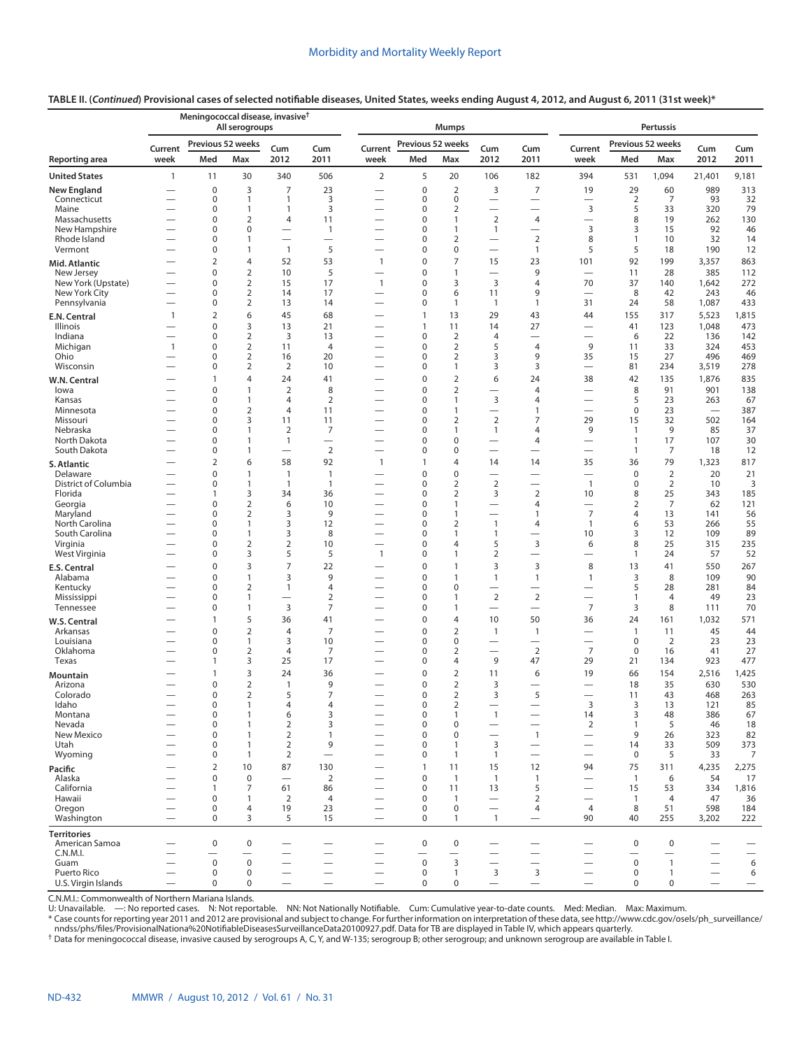# **TABLE II. (***Continued***) Provisional cases of selected notifiable diseases, United States, weeks ending August 4, 2012, and August 6, 2011 (31st week)\***

|                                      |                          | Meningococcal disease, invasive <sup>†</sup> | All serogroups                 |                                          |                               |                                                      |                   | <b>Mumps</b>                     |                                                      |                                            |                          |                            | <b>Pertussis</b>     |                          |                          |
|--------------------------------------|--------------------------|----------------------------------------------|--------------------------------|------------------------------------------|-------------------------------|------------------------------------------------------|-------------------|----------------------------------|------------------------------------------------------|--------------------------------------------|--------------------------|----------------------------|----------------------|--------------------------|--------------------------|
|                                      | Current                  | Previous 52 weeks                            |                                | Cum                                      | Cum                           | Current                                              | Previous 52 weeks |                                  | Cum                                                  | Cum                                        | Current                  | Previous 52 weeks          |                      | Cum                      | Cum                      |
| Reporting area                       | week                     | Med                                          | Max                            | 2012                                     | 2011                          | week                                                 | Med               | Max                              | 2012                                                 | 2011                                       | week                     | Med                        | Max                  | 2012                     | 2011                     |
| <b>United States</b>                 | 1                        | 11                                           | 30                             | 340                                      | 506                           | $\overline{2}$                                       | 5                 | 20                               | 106                                                  | 182                                        | 394                      | 531                        | 1,094                | 21,401                   | 9,181                    |
| <b>New England</b>                   |                          | $\mathbf 0$                                  | 3                              | 7                                        | 23                            |                                                      | $\mathbf 0$       | $\mathbf 2$                      | 3                                                    | $\overline{7}$                             | 19                       | 29                         | 60                   | 989                      | 313                      |
| Connecticut<br>Maine                 |                          | 0<br>0                                       | 1<br>1                         | $\mathbf{1}$<br>$\mathbf{1}$             | 3<br>3                        | —                                                    | 0<br>0            | $\mathbf 0$<br>$\overline{2}$    | $\overline{\phantom{0}}$<br>$\overline{\phantom{0}}$ | $\overline{\phantom{0}}$                   | 3                        | $\overline{2}$<br>5        | 7<br>33              | 93<br>320                | 32<br>79                 |
| Massachusetts                        |                          | 0                                            | 2                              | $\overline{4}$                           | 11                            | -                                                    | 0                 | $\mathbf{1}$                     | $\overline{2}$                                       | 4                                          | $\overline{\phantom{0}}$ | 8                          | 19                   | 262                      | 130                      |
| New Hampshire                        |                          | $\mathbf 0$                                  | 0                              | -                                        | $\mathbf{1}$                  | -                                                    | 0                 | $\mathbf{1}$                     | $\mathbf{1}$                                         |                                            | 3                        | 3                          | 15                   | 92                       | 46                       |
| Rhode Island                         |                          | 0                                            | 1                              | $\overline{\phantom{0}}$                 | $\overline{\phantom{0}}$      | $\overline{\phantom{0}}$                             | 0                 | $\overline{2}$                   | $\overline{\phantom{0}}$                             | $\overline{2}$                             | 8                        | $\mathbf{1}$               | 10                   | 32                       | 14                       |
| Vermont                              |                          | 0<br>$\overline{2}$                          | 1<br>4                         | $\mathbf{1}$<br>52                       | 5<br>53                       | -<br>$\mathbf{1}$                                    | 0<br>0            | $\mathbf 0$<br>$\overline{7}$    | $\overline{\phantom{0}}$<br>15                       | $\mathbf{1}$<br>23                         | 5<br>101                 | 5<br>92                    | 18<br>199            | 190<br>3,357             | 12<br>863                |
| Mid. Atlantic<br>New Jersey          |                          | 0                                            | $\overline{2}$                 | 10                                       | 5                             | $\overline{\phantom{0}}$                             | 0                 | $\mathbf{1}$                     |                                                      | 9                                          |                          | 11                         | 28                   | 385                      | 112                      |
| New York (Upstate)                   |                          | 0                                            | $\overline{2}$                 | 15                                       | 17                            | $\mathbf{1}$                                         | 0                 | 3                                | $\overline{3}$                                       | 4                                          | 70                       | 37                         | 140                  | 1,642                    | 272                      |
| New York City                        |                          | $\mathbf 0$                                  | $\overline{2}$                 | 14                                       | 17                            |                                                      | 0                 | 6                                | 11                                                   | 9                                          | $\overline{\phantom{0}}$ | 8                          | 42                   | 243                      | 46                       |
| Pennsylvania                         | $\overline{\phantom{0}}$ | 0                                            | $\overline{2}$                 | 13                                       | 14                            |                                                      | 0                 | $\mathbf{1}$                     | $\overline{1}$                                       | 1                                          | 31                       | 24                         | 58                   | 1,087                    | 433                      |
| E.N. Central<br>Illinois             | $\mathbf{1}$             | $\overline{2}$<br>0                          | 6<br>3                         | 45<br>13                                 | 68<br>21                      | -                                                    | 1<br>$\mathbf{1}$ | 13<br>11                         | 29<br>14                                             | 43<br>27                                   | 44                       | 155<br>41                  | 317<br>123           | 5,523<br>1,048           | 1,815<br>473             |
| Indiana                              | $\overline{\phantom{0}}$ | 0                                            | $\overline{2}$                 | 3                                        | 13                            | -                                                    | 0                 | $\overline{2}$                   | 4                                                    |                                            | -                        | 6                          | 22                   | 136                      | 142                      |
| Michigan                             | $\mathbf{1}$             | 0                                            | $\mathbf 2$                    | 11                                       | $\overline{4}$                |                                                      | 0                 | $\overline{2}$                   | 5                                                    | 4                                          | 9                        | 11                         | 33                   | 324                      | 453                      |
| Ohio                                 |                          | 0                                            | $\overline{2}$                 | 16                                       | 20                            | -                                                    | 0                 | 2                                | 3                                                    | 9                                          | 35                       | 15                         | 27                   | 496                      | 469                      |
| Wisconsin                            |                          | 0<br>1                                       | $\overline{2}$<br>4            | $\overline{2}$                           | 10                            |                                                      | 0<br>0            | $\mathbf{1}$                     | 3<br>6                                               | 3                                          |                          | 81                         | 234                  | 3,519                    | 278                      |
| W.N. Central<br>lowa                 |                          | 0                                            | 1                              | 24<br>$\overline{2}$                     | 41<br>8                       |                                                      | 0                 | $\mathbf 2$<br>$\mathbf 2$       |                                                      | 24<br>4                                    | 38                       | 42<br>8                    | 135<br>91            | 1,876<br>901             | 835<br>138               |
| Kansas                               |                          | 0                                            | 1                              | $\overline{4}$                           | $\overline{2}$                | -                                                    | 0                 | $\mathbf{1}$                     | 3                                                    | 4                                          | $\overline{\phantom{0}}$ | 5                          | 23                   | 263                      | 67                       |
| Minnesota                            |                          | 0                                            | $\overline{2}$                 | $\overline{4}$                           | 11                            | -                                                    | 0                 | $\mathbf{1}$                     |                                                      | 1                                          | $\overline{\phantom{0}}$ | $\mathbf 0$                | 23                   | $\overline{\phantom{0}}$ | 387                      |
| Missouri                             |                          | 0                                            | 3<br>1                         | 11                                       | 11                            |                                                      | 0                 | $\mathbf 2$                      | $\overline{2}$                                       | $\overline{7}$                             | 29                       | 15                         | 32                   | 502                      | 164                      |
| Nebraska<br>North Dakota             |                          | 0<br>0                                       | 1                              | 2<br>$\mathbf{1}$                        | 7<br>$\overline{\phantom{0}}$ | -                                                    | 0<br>0            | 1<br>$\mathbf 0$                 | $\mathbf{1}$<br>$\overline{\phantom{0}}$             | 4<br>4                                     | 9                        | 1<br>$\mathbf{1}$          | 9<br>17              | 85<br>107                | 37<br>30                 |
| South Dakota                         |                          | 0                                            | 1                              | $\overline{\phantom{0}}$                 | $\overline{2}$                |                                                      | 0                 | 0                                | $\overline{\phantom{0}}$                             |                                            |                          | 1                          | 7                    | 18                       | 12                       |
| S. Atlantic                          |                          | $\overline{2}$                               | 6                              | 58                                       | 92                            | $\mathbf{1}$                                         | $\mathbf{1}$      | 4                                | 14                                                   | 14                                         | 35                       | 36                         | 79                   | 1,323                    | 817                      |
| Delaware                             |                          | 0                                            | $\mathbf{1}$                   | $\mathbf{1}$                             | $\mathbf{1}$                  |                                                      | 0                 | $\mathbf 0$                      | $\overline{\phantom{0}}$                             | $\overline{\phantom{0}}$                   |                          | $\mathbf 0$                | $\overline{2}$       | 20                       | 21                       |
| District of Columbia<br>Florida      |                          | 0<br>1                                       | 1<br>3                         | $\mathbf{1}$<br>34                       | $\overline{1}$<br>36          |                                                      | 0<br>0            | $\overline{2}$<br>$\overline{2}$ | $\overline{2}$<br>3                                  | $\overline{\phantom{0}}$<br>$\overline{2}$ | $\mathbf{1}$<br>10       | $\mathbf 0$<br>8           | $\overline{2}$<br>25 | 10<br>343                | 3<br>185                 |
| Georgia                              |                          | 0                                            | $\overline{2}$                 | 6                                        | 10                            |                                                      | 0                 | $\mathbf{1}$                     | -                                                    | 4                                          | $\overline{\phantom{0}}$ | $\overline{2}$             | 7                    | 62                       | 121                      |
| Maryland                             |                          | 0                                            | $\overline{2}$                 | 3                                        | 9                             |                                                      | 0                 | $\mathbf{1}$                     | $\overline{\phantom{0}}$                             | $\mathbf{1}$                               | 7                        | 4                          | 13                   | 141                      | 56                       |
| North Carolina                       |                          | 0<br>0                                       | 1<br>1                         | 3<br>3                                   | 12<br>8                       | -                                                    | 0<br>0            | $\overline{2}$<br>$\mathbf{1}$   | 1<br>1                                               | 4<br>$\overline{\phantom{0}}$              | $\mathbf{1}$<br>10       | 6<br>3                     | 53<br>12             | 266<br>109               | 55<br>89                 |
| South Carolina<br>Virginia           |                          | 0                                            | 2                              | $\overline{2}$                           | 10                            | -                                                    | 0                 | 4                                | 5                                                    | $\overline{3}$                             | 6                        | 8                          | 25                   | 315                      | 235                      |
| West Virginia                        |                          | 0                                            | 3                              | 5                                        | 5                             | $\mathbf{1}$                                         | 0                 | $\mathbf{1}$                     | 2                                                    | $\overline{\phantom{0}}$                   |                          | 1                          | 24                   | 57                       | 52                       |
| E.S. Central                         |                          | 0                                            | 3                              | $\overline{7}$                           | 22                            | $\overline{\phantom{0}}$                             | 0                 | $\mathbf{1}$                     | 3                                                    | 3                                          | 8                        | 13                         | 41                   | 550                      | 267                      |
| Alabama                              |                          | 0                                            | $\mathbf{1}$                   | 3                                        | 9                             |                                                      | 0                 | $\mathbf{1}$                     | $\mathbf{1}$                                         | $\mathbf{1}$                               | $\mathbf{1}$             | 3                          | 8                    | 109                      | 90                       |
| Kentucky<br>Mississippi              |                          | 0<br>0                                       | $\overline{2}$<br>$\mathbf{1}$ | $\mathbf{1}$<br>$\overline{\phantom{0}}$ | 4<br>$\overline{2}$           | -                                                    | 0<br>0            | $\mathbf 0$<br>$\mathbf{1}$      | --<br>$\overline{2}$                                 | $\overline{2}$                             | -                        | 5<br>$\mathbf{1}$          | 28<br>4              | 281<br>49                | 84<br>23                 |
| Tennessee                            |                          | 0                                            | 1                              | 3                                        | 7                             | $\overline{\phantom{0}}$                             | 0                 | $\overline{1}$                   | $\overline{\phantom{0}}$                             | $\overline{\phantom{0}}$                   | $\overline{7}$           | 3                          | 8                    | 111                      | 70                       |
| W.S. Central                         |                          | 1                                            | 5                              | 36                                       | 41                            |                                                      | 0                 | $\overline{4}$                   | 10                                                   | 50                                         | 36                       | 24                         | 161                  | 1,032                    | 571                      |
| Arkansas                             |                          | $\mathbf 0$                                  | $\overline{2}$                 | $\overline{4}$                           | $\overline{7}$                |                                                      | 0                 | $\mathbf 2$                      | $\mathbf{1}$                                         | $\mathbf{1}$                               | -                        | $\mathbf{1}$               | 11                   | 45                       | 44                       |
| Louisiana                            |                          | 0<br>0                                       | $\mathbf{1}$                   | 3<br>$\overline{4}$                      | 10                            |                                                      | 0<br>0            | 0                                | -                                                    | $\overline{\phantom{0}}$<br>$\overline{2}$ | -<br>$\overline{7}$      | $\mathbf 0$<br>$\mathbf 0$ | $\overline{2}$       | 23                       | 23                       |
| Oklahoma<br>Texas                    |                          | 1                                            | 2<br>3                         | 25                                       | 7<br>17                       |                                                      | 0                 | $\overline{2}$<br>4              | 9                                                    | 47                                         | 29                       | 21                         | 16<br>134            | 41<br>923                | 27<br>477                |
| Mountain                             |                          | 1                                            | 3                              | 24                                       | 36                            |                                                      | 0                 | $\overline{2}$                   | 11                                                   | 6                                          | 19                       | 66                         | 154                  | 2,516                    | 1,425                    |
| Arizona                              |                          | 0                                            | $\overline{2}$                 | $\mathbf{1}$                             | 9                             |                                                      | 0                 | $\overline{2}$                   | 3                                                    |                                            |                          | 18                         | 35                   | 630                      | 530                      |
| Colorado                             |                          | 0                                            | $\overline{2}$                 | 5                                        | 7                             | $\overline{\phantom{0}}$                             | 0                 | $\overline{2}$                   | 3                                                    | 5                                          | $\overline{\phantom{0}}$ | 11                         | 43                   | 468                      | 263                      |
| Idaho<br>Montana                     |                          | 0<br>0                                       | 1<br>1                         | 4<br>6                                   | 4<br>3                        |                                                      | 0<br>$\mathbf 0$  | 2<br>$\mathbf{1}$                | $\mathbf{1}$                                         | -                                          | 3<br>14                  | 3<br>3                     | 13<br>48             | 121<br>386               | 85<br>67                 |
| Nevada                               |                          | 0                                            | 1                              | $\overline{2}$                           | 3                             | $\overline{\phantom{0}}$                             | 0                 | $\mathbf 0$                      |                                                      | $\overline{\phantom{0}}$                   | $\overline{2}$           | 1                          | 5                    | 46                       | 18                       |
| New Mexico                           |                          | 0                                            | 1                              | $\overline{2}$                           | 1                             | $\overline{\phantom{0}}$                             | 0                 | $\mathbf 0$                      | $\overline{\phantom{0}}$                             | $\overline{1}$                             | $\overline{\phantom{0}}$ | 9                          | 26                   | 323                      | 82                       |
| Utah                                 |                          | 0                                            | $\mathbf{1}$                   | $\overline{2}$                           | 9                             | —                                                    | 0                 | $\mathbf{1}$                     | 3                                                    | $\overline{\phantom{0}}$                   |                          | 14                         | 33                   | 509                      | 373                      |
| Wyoming                              |                          | 0<br>2                                       | 1<br>10                        | $\overline{2}$<br>87                     | 130                           | —                                                    | 0<br>$\mathbf{1}$ | $\overline{1}$<br>11             | $\mathbf{1}$<br>15                                   | $\qquad \qquad$<br>12                      | 94                       | 0<br>75                    | 5<br>311             | 33<br>4,235              | 7                        |
| Pacific<br>Alaska                    |                          | 0                                            | $\bf 0$                        | $\overline{\phantom{0}}$                 | $\overline{2}$                |                                                      | $\mathbf 0$       | $\overline{1}$                   | $\overline{1}$                                       | $\overline{1}$                             |                          | $\overline{1}$             | 6                    | 54                       | 2,275<br>17              |
| California                           | $\overline{\phantom{0}}$ | 1                                            | 7                              | 61                                       | 86                            | $\overline{\phantom{0}}$                             | 0                 | 11                               | 13                                                   | 5                                          | $\overline{\phantom{0}}$ | 15                         | 53                   | 334                      | 1,816                    |
| Hawaii                               |                          | 0                                            | $\mathbf{1}$                   | 2                                        | $\overline{4}$                | $\overline{\phantom{0}}$                             | $\mathbf 0$       | $\mathbf{1}$                     | $\overline{\phantom{0}}$                             | $\overline{2}$                             |                          | $\mathbf{1}$               | $\overline{4}$       | 47                       | 36                       |
| Oregon<br>Washington                 |                          | 0<br>$\mathbf 0$                             | 4<br>3                         | 19<br>5                                  | 23<br>15                      | $\overline{\phantom{0}}$<br>$\overline{\phantom{0}}$ | 0<br>$\mathbf 0$  | 0<br>$\mathbf{1}$                | $\overline{\phantom{0}}$<br>$\mathbf{1}$             | 4<br>$\qquad \qquad$                       | 4<br>90                  | 8<br>40                    | 51<br>255            | 598<br>3,202             | 184<br>222               |
|                                      |                          |                                              |                                |                                          |                               |                                                      |                   |                                  |                                                      |                                            |                          |                            |                      |                          |                          |
| <b>Territories</b><br>American Samoa |                          | 0                                            | 0                              |                                          |                               |                                                      | $\pmb{0}$         | $\mathbf 0$                      |                                                      |                                            |                          | 0                          | 0                    |                          |                          |
| C.N.M.I.                             |                          |                                              | $\overline{\phantom{0}}$       | —                                        |                               |                                                      |                   | $\qquad \qquad$                  |                                                      |                                            |                          | $\overline{\phantom{0}}$   |                      |                          | $\overline{\phantom{0}}$ |
| Guam<br>Puerto Rico                  |                          | $\mathbf 0$<br>$\mathbf 0$                   | $\mathbf 0$<br>0               |                                          |                               | $\overline{\phantom{0}}$                             | $\mathbf 0$<br>0  | 3<br>$\mathbf{1}$                | $\overline{\phantom{0}}$<br>3                        | $\mathbf{3}$                               |                          | $\mathsf 0$<br>$\mathbf 0$ | $\overline{1}$<br>1  | $\overline{\phantom{0}}$ | 6<br>6                   |
| U.S. Virgin Islands                  | $\overline{\phantom{0}}$ | $\mathbf 0$                                  | 0                              | $\overline{\phantom{0}}$                 | $\overline{\phantom{0}}$      | $\overline{\phantom{0}}$                             | $\mathbf 0$       | $\mathbf 0$                      | $\overline{\phantom{0}}$                             |                                            |                          | 0                          | 0                    |                          | $\overline{\phantom{m}}$ |

C.N.M.I.: Commonwealth of Northern Mariana Islands.

U: Unavailable. —: No reported cases. N: Not reportable. NN: Not Nationally Notifiable. Cum: Cumulative year-to-date counts. Med: Median. Max: Maximum.

\* Case counts for reporting year 2011 and 2012 are provisional and subject to change. For further information on interpretation of these data, see [http://www.cdc.gov/osels/ph\\_surveillance/](http://www.cdc.gov/osels/ph_surveillance/nndss/phs/files/ProvisionalNationa%20NotifiableDiseasesSurveillanceData20100927.pdf)<br>nndss/phs/files/ProvisionalNation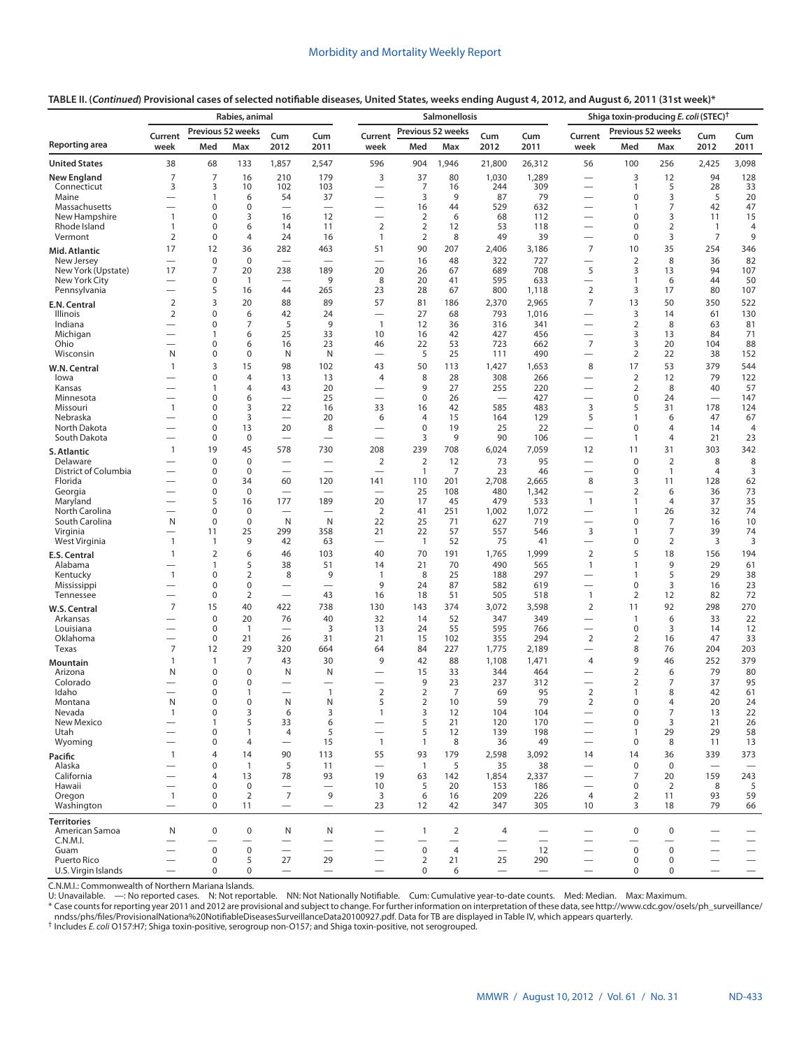| Previous 52 weeks<br>Previous 52 weeks<br>Previous 52 weeks<br>Current<br>Current<br>Cum<br>Cum<br>Current<br>Cum<br>Cum<br>Cum<br>Cum<br>Max<br>2012<br>Max<br>2012<br>Med<br>2012<br>2011<br>week<br>Med<br>2011<br>week<br>Med<br>2011<br>week<br>Max<br>38<br>68<br>1,857<br>2,547<br>596<br>904<br>1,946<br>26,312<br>56<br>100<br>2,425<br>3,098<br>133<br>21,800<br>256<br>128<br>7<br>7<br>16<br>210<br>179<br>3<br>37<br>80<br>1,030<br>1,289<br>3<br>12<br>94<br>3<br>3<br>103<br>7<br>244<br>309<br>5<br>28<br>33<br>Connecticut<br>10<br>102<br>16<br>$\mathbf{1}$<br>54<br>37<br>3<br>9<br>87<br>79<br>$\mathbf 0$<br>3<br>5<br>20<br>Maine<br>1<br>6<br>$\overline{\phantom{0}}$<br>$\overline{\phantom{0}}$<br>0<br>$\mathbf 0$<br>44<br>529<br>632<br>7<br>42<br>47<br>Massachusetts<br>16<br>$\overline{\phantom{0}}$<br>1<br>$\mathbf{1}$<br>0<br>3<br>12<br>$\overline{2}$<br>6<br>68<br>$\mathbf 0$<br>3<br>11<br>15<br>New Hampshire<br>16<br>112<br>$\overline{\phantom{0}}$<br>$\overline{\phantom{0}}$<br>0<br>$\overline{2}$<br>$\overline{2}$<br>12<br>53<br>118<br>$\mathbf 0$<br>$\overline{2}$<br>Rhode Island<br>$\mathbf{1}$<br>6<br>14<br>11<br>$\mathbf{1}$<br>$\overline{4}$<br>9<br>Vermont<br>$\overline{2}$<br>$\mathbf 0$<br>$\overline{4}$<br>24<br>2<br>8<br>49<br>39<br>$\mathbf 0$<br>3<br>$\overline{7}$<br>16<br>$\mathbf{1}$<br>$\overline{7}$<br>35<br>17<br>12<br>463<br>51<br>90<br>207<br>2,406<br>10<br>254<br>346<br>36<br>282<br>3,186<br>Mid. Atlantic<br>$\mathbf 0$<br>$\mathbf 0$<br>16<br>48<br>322<br>727<br>$\overline{2}$<br>8<br>36<br>82<br>New Jersey<br>$\overline{\phantom{0}}$<br>$\overline{\phantom{0}}$<br>$\overline{\phantom{0}}$<br>$\overline{\phantom{0}}$<br>$\overline{\phantom{0}}$<br>17<br>7<br>20<br>238<br>189<br>20<br>26<br>67<br>689<br>708<br>5<br>13<br>94<br>107<br>New York (Upstate)<br>3<br>0<br>9<br>8<br>20<br>595<br>633<br>6<br>44<br>50<br>New York City<br>$\mathbf{1}$<br>41<br>1<br>$\overline{\phantom{0}}$<br>$\overline{\phantom{0}}$<br>$\overline{\phantom{0}}$<br>$\overline{2}$<br>5<br>23<br>28<br>800<br>3<br>80<br>107<br>Pennsylvania<br>265<br>67<br>1,118<br>17<br>$\overline{\phantom{0}}$<br>16<br>44<br>3<br>$\overline{7}$<br>$\overline{2}$<br>20<br>88<br>89<br>57<br>81<br>186<br>2,965<br>13<br>50<br>350<br>522<br>2,370<br>E.N. Central<br>$\mathbf 0$<br>$\overline{2}$<br>6<br>42<br>27<br>68<br>793<br>1,016<br>3<br>61<br>130<br>Illinois<br>24<br>14<br>0<br>7<br>5<br>9<br>12<br>316<br>341<br>$\overline{2}$<br>8<br>81<br>Indiana<br>$\mathbf{1}$<br>36<br>63<br>-<br>25<br>33<br>42<br>427<br>456<br>13<br>84<br>71<br>Michigan<br>6<br>10<br>16<br>3<br>1<br>$\overline{7}$<br>Ohio<br>0<br>23<br>22<br>53<br>723<br>3<br>20<br>104<br>88<br>6<br>16<br>46<br>662<br>$\overline{\phantom{0}}$<br>0<br>5<br>25<br>490<br>$\overline{2}$<br>22<br>38<br>152<br>Wisconsin<br>N<br>$\mathbf 0$<br>N<br>N<br>111<br>$\overline{\phantom{0}}$<br>3<br>379<br>15<br>98<br>102<br>43<br>50<br>113<br>1,427<br>8<br>17<br>53<br>544<br>$\mathbf{1}$<br>1,653<br>W.N. Central<br>0<br>$\overline{4}$<br>13<br>$\overline{4}$<br>8<br>28<br>308<br>266<br>$\overline{2}$<br>12<br>79<br>122<br>13<br>lowa<br>$\overline{4}$<br>43<br>20<br>9<br>27<br>255<br>220<br>$\overline{2}$<br>8<br>40<br>57<br>Kansas<br>1<br>$\overline{\phantom{0}}$<br>0<br>25<br>$\mathbf 0$<br>26<br>427<br>24<br>147<br>Minnesota<br>6<br>0<br>$\overline{\phantom{0}}$<br>$\overline{\phantom{a}}$<br>$\overline{\phantom{0}}$<br>0<br>3<br>22<br>33<br>42<br>585<br>483<br>3<br>5<br>31<br>178<br>124<br>Missouri<br>$\mathbf{1}$<br>16<br>16<br>3<br>20<br>6<br>$\overline{4}$<br>15<br>129<br>5<br>47<br>67<br>0<br>164<br>$\mathbf{1}$<br>6<br>Nebraska<br>$\overline{\phantom{0}}$<br>19<br>0<br>13<br>20<br>8<br>$\mathbf 0$<br>25<br>22<br>$\mathbf 0$<br>$\overline{4}$<br>North Dakota<br>4<br>14<br>$\overline{\phantom{0}}$<br>$\overline{\phantom{0}}$<br>$\mathbf 0$<br>$\mathbf 0$<br>3<br>9<br>90<br>21<br>23<br>South Dakota<br>106<br>4<br>$\overline{\phantom{0}}$<br>1<br>$\overline{\phantom{0}}$<br>303<br>342<br>19<br>45<br>730<br>208<br>239<br>708<br>6,024<br>7,059<br>$\mathbf{1}$<br>578<br>12<br>11<br>31<br>S. Atlantic<br>$\mathbf 0$<br>$\mathbf 0$<br>$\overline{2}$<br>$\overline{2}$<br>12<br>73<br>95<br>$\mathbf 0$<br>$\overline{2}$<br>8<br>8<br>Delaware<br>District of Columbia<br>0<br>$\mathbf 0$<br>7<br>23<br>$\overline{4}$<br>3<br>$\mathbf{1}$<br>46<br>$\mathbf 0$<br>$\mathbf{1}$<br>$\overline{\phantom{0}}$<br>$\overline{\phantom{0}}$<br>$\overline{\phantom{0}}$<br>$\overline{\phantom{0}}$<br>8<br>Florida<br>$\mathbf 0$<br>2,708<br>3<br>62<br>34<br>60<br>120<br>141<br>110<br>201<br>2,665<br>11<br>128<br>73<br>0<br>$\mathbf 0$<br>480<br>1,342<br>Georgia<br>25<br>108<br>2<br>6<br>36<br>$\overline{\phantom{0}}$<br>$\overline{\phantom{0}}$<br>$\overline{\phantom{0}}$<br>$\overline{\phantom{0}}$<br>5<br>177<br>189<br>20<br>479<br>533<br>37<br>35<br>Maryland<br>16<br>17<br>45<br>$\mathbf{1}$<br>4<br>1<br>$\overline{\phantom{0}}$<br>$\mathbf 0$<br>$\overline{2}$<br>41<br>1,072<br>32<br>74<br>North Carolina<br>$\mathbf 0$<br>251<br>1,002<br>26<br>1<br>$\overline{\phantom{0}}$<br>$\overline{\phantom{0}}$<br>$\mathsf{N}$<br>N<br>$\mathbf 0$<br>$\mathbf 0$<br>N<br>22<br>71<br>627<br>719<br>$\mathbf 0$<br>7<br>10<br>South Carolina<br>25<br>16<br>$\overline{7}$<br>74<br>25<br>299<br>21<br>22<br>57<br>546<br>3<br>39<br>Virginia<br>11<br>358<br>557<br>1<br>$\overline{\phantom{0}}$<br>9<br>52<br>75<br>$\overline{2}$<br>3<br>3<br>West Virginia<br>$\mathbf{1}$<br>42<br>63<br>$\overline{1}$<br>41<br>0<br>1<br>$\overline{\phantom{0}}$<br>$\overline{\phantom{0}}$<br>$\overline{2}$<br>6<br>$\overline{2}$<br>5<br>70<br>191<br>18<br>156<br>194<br>$\mathbf{1}$<br>46<br>103<br>40<br>1,765<br>1,999<br>E.S. Central<br>5<br>490<br>9<br>38<br>51<br>21<br>70<br>565<br>29<br>61<br>Alabama<br>1<br>14<br>$\mathbf{1}$<br>$\mathbf{1}$<br>$\overline{\phantom{0}}$<br>$\overline{2}$<br>$\mathbf{1}$<br>0<br>8<br>9<br>8<br>25<br>188<br>297<br>5<br>29<br>38<br>Kentucky<br>$\mathbf{1}$<br>1<br>$\overline{\phantom{0}}$<br>9<br>0<br>$\mathbf 0$<br>87<br>582<br>619<br>$\mathbf 0$<br>3<br>23<br>Mississippi<br>24<br>16<br>-<br>$\overline{2}$<br>$\mathbf 0$<br>43<br>16<br>18<br>51<br>505<br>518<br>$\overline{2}$<br>12<br>82<br>72<br>Tennessee<br>$\mathbf{1}$<br>$\overline{\phantom{0}}$<br>$\overline{\phantom{0}}$<br>$\overline{7}$<br>$\overline{2}$<br>298<br>270<br>15<br>40<br>422<br>738<br>374<br>3,072<br>11<br>92<br>130<br>143<br>3,598<br>W.S. Central<br>52<br>22<br>$\mathbf 0$<br>20<br>76<br>40<br>32<br>347<br>349<br>6<br>33<br>Arkansas<br>14<br>$\mathbf{1}$<br>$\overline{\phantom{0}}$<br>$\mathbf 0$<br>3<br>24<br>55<br>595<br>3<br>12<br>Louisiana<br>13<br>766<br>$\mathbf 0$<br>14<br>1<br>$\overline{\phantom{0}}$<br>$\overline{2}$<br>$\mathbf 0$<br>21<br>355<br>294<br>47<br>33<br>Oklahoma<br>21<br>26<br>31<br>15<br>102<br>2<br>16<br>$\overline{\phantom{0}}$<br>$\overline{7}$<br>29<br>227<br>8<br>204<br>203<br>Texas<br>320<br>664<br>64<br>84<br>1,775<br>2,189<br>76<br>12<br>$\overline{\phantom{0}}$<br>$\overline{7}$<br>379<br>9<br>42<br>88<br>1,108<br>1,471<br>9<br>252<br>1<br>43<br>30<br>4<br>46<br>1<br>Mountain<br>80<br>0<br>$\mathbf 0$<br>33<br>344<br>464<br>$\overline{2}$<br>6<br>79<br>Arizona<br>N<br>N<br>N<br>15<br>0<br>9<br>23<br>237<br>312<br>37<br>95<br>Colorado<br>$\mathbf 0$<br>2<br>7<br>$\overline{\phantom{0}}$<br>$\overline{2}$<br>$\overline{2}$<br>0<br>$\overline{1}$<br>$\overline{2}$<br>$\overline{7}$<br>Idaho<br>69<br>95<br>8<br>42<br>61<br>1<br>$\overline{\phantom{0}}$<br>1<br>$\overline{\phantom{0}}$<br>N<br>59<br>79<br>$\Omega$<br>$\Omega$<br>N<br>N<br>5<br>$\overline{2}$<br>10<br>2<br>$\Omega$<br>20<br>24<br>Montana<br>4<br>3<br>$\mathsf 3$<br>3<br>$\pmb{0}$<br>$\overline{7}$<br>Nevada<br>$\mathbf 0$<br>$\mathbf{1}$<br>104<br>13<br>22<br>$\mathbf{1}$<br>6<br>12<br>104<br>5<br>5<br>26<br>New Mexico<br>33<br>6<br>$\mathbf 0$<br>3<br>21<br>21<br>120<br>170<br>1<br>$\overline{\phantom{0}}$<br>$\overline{\phantom{0}}$<br>$\overline{\phantom{0}}$<br>58<br>Utah<br>0<br>5<br>198<br>29<br>29<br>$\mathbf{1}$<br>4<br>5<br>12<br>139<br>1<br>$\overline{\phantom{0}}$<br>15<br>$\overline{1}$<br>Wyoming<br>0<br>$\overline{4}$<br>$\mathbf{1}$<br>8<br>36<br>49<br>0<br>8<br>11<br>13<br>$\overline{\phantom{0}}$<br>$\overline{\phantom{0}}$<br>113<br>55<br>93<br>179<br>2,598<br>36<br>339<br>373<br>$\mathbf{1}$<br>4<br>14<br>90<br>3,092<br>14<br>14<br>Pacific<br>$\mathbf 0$<br>5<br>5<br>$\mathbf 0$<br>$\mathbf{1}$<br>11<br>$\overline{1}$<br>35<br>38<br>$\mathbf 0$<br>Alaska<br>$\equiv$<br>$\overline{\phantom{0}}$<br>$\overbrace{\phantom{123221111}}$<br>243<br>California<br>93<br>19<br>7<br>159<br>4<br>13<br>78<br>63<br>142<br>1,854<br>2,337<br>20<br>$\overline{\phantom{0}}$<br>$\pmb{0}$<br>$\mathbf 0$<br>0<br>5<br>Hawaii<br>10<br>5<br>20<br>153<br>186<br>2<br>8<br>$\overline{\phantom{0}}$<br>$\overline{\phantom{0}}$<br>$\overline{\phantom{0}}$<br>$\overline{\phantom{0}}$<br>$\overline{7}$<br>$\overline{2}$<br>9<br>59<br>Oregon<br>$\mathbf{1}$<br>$\mathbf 0$<br>3<br>6<br>209<br>4<br>93<br>16<br>226<br>2<br>11<br>$\mathbf 0$<br>23<br>3<br>79<br>66<br>Washington<br>11<br>12<br>42<br>347<br>305<br>10<br>18<br>$\overline{\phantom{0}}$<br>$\overline{\phantom{0}}$<br>$\overline{\phantom{0}}$<br><b>Territories</b><br>N<br>$\mathbf 0$<br>$\mathbf 0$<br>N<br>$\mathbf{1}$<br>$\overline{2}$<br>$\pmb{0}$<br>$\mathbf 0$<br>American Samoa<br>N<br>4<br>C.N.M.I.<br>$\overline{\phantom{0}}$<br>$\overline{\phantom{0}}$<br>$\overline{\phantom{0}}$<br>$\overline{\phantom{0}}$<br>$\overline{\phantom{0}}$<br>$\overline{\phantom{0}}$<br>$\overline{\phantom{0}}$<br>-<br>Guam<br>$\mathbf 0$<br>$\mathbf 0$<br>$\mathbf 0$<br>$\overline{4}$<br>12<br>$\mathbf 0$<br>$\mathbf 0$<br>$\overline{\phantom{0}}$<br>$\overline{\phantom{0}}$<br>$\qquad \qquad$<br>Puerto Rico<br>$\pmb{0}$<br>5<br>27<br>29<br>$\overline{2}$<br>21<br>25<br>290<br>$\mathbf 0$<br>0 |                      | Rabies, animal |   |             |  |                               |  |   | Shiga toxin-producing E. coli (STEC) <sup>†</sup> |                 |                   |  |   |   |  |   |
|------------------------------------------------------------------------------------------------------------------------------------------------------------------------------------------------------------------------------------------------------------------------------------------------------------------------------------------------------------------------------------------------------------------------------------------------------------------------------------------------------------------------------------------------------------------------------------------------------------------------------------------------------------------------------------------------------------------------------------------------------------------------------------------------------------------------------------------------------------------------------------------------------------------------------------------------------------------------------------------------------------------------------------------------------------------------------------------------------------------------------------------------------------------------------------------------------------------------------------------------------------------------------------------------------------------------------------------------------------------------------------------------------------------------------------------------------------------------------------------------------------------------------------------------------------------------------------------------------------------------------------------------------------------------------------------------------------------------------------------------------------------------------------------------------------------------------------------------------------------------------------------------------------------------------------------------------------------------------------------------------------------------------------------------------------------------------------------------------------------------------------------------------------------------------------------------------------------------------------------------------------------------------------------------------------------------------------------------------------------------------------------------------------------------------------------------------------------------------------------------------------------------------------------------------------------------------------------------------------------------------------------------------------------------------------------------------------------------------------------------------------------------------------------------------------------------------------------------------------------------------------------------------------------------------------------------------------------------------------------------------------------------------------------------------------------------------------------------------------------------------------------------------------------------------------------------------------------------------------------------------------------------------------------------------------------------------------------------------------------------------------------------------------------------------------------------------------------------------------------------------------------------------------------------------------------------------------------------------------------------------------------------------------------------------------------------------------------------------------------------------------------------------------------------------------------------------------------------------------------------------------------------------------------------------------------------------------------------------------------------------------------------------------------------------------------------------------------------------------------------------------------------------------------------------------------------------------------------------------------------------------------------------------------------------------------------------------------------------------------------------------------------------------------------------------------------------------------------------------------------------------------------------------------------------------------------------------------------------------------------------------------------------------------------------------------------------------------------------------------------------------------------------------------------------------------------------------------------------------------------------------------------------------------------------------------------------------------------------------------------------------------------------------------------------------------------------------------------------------------------------------------------------------------------------------------------------------------------------------------------------------------------------------------------------------------------------------------------------------------------------------------------------------------------------------------------------------------------------------------------------------------------------------------------------------------------------------------------------------------------------------------------------------------------------------------------------------------------------------------------------------------------------------------------------------------------------------------------------------------------------------------------------------------------------------------------------------------------------------------------------------------------------------------------------------------------------------------------------------------------------------------------------------------------------------------------------------------------------------------------------------------------------------------------------------------------------------------------------------------------------------------------------------------------------------------------------------------------------------------------------------------------------------------------------------------------------------------------------------------------------------------------------------------------------------------------------------------------------------------------------------------------------------------------------------------------------------------------------------------------------------------------------------------------------------------------------------------------------------------------------------------------------------------------------------------------------------------------------------------------------------------------------------------------------------------------------------------------------------------------------------------------------------------------------------------------------------------------------------------------------------------------------------------------------------------------------------------------------------------------------------------------------------------------------------------------------------------------------------------------------------------------------------------------------------------------------------------------------------------------------------------------------------------------------------------------------------------------------------------------------------------------------------------------------------------------------------------------------------------------------------------------------------------------------------------------------------------------------------------------------------------------------------------------------------------------------------------------------------------------------------------------------------------------------------------------------------------------------------------------------------------------------------------------------------------------------------------------------------------------------------------------------------------------------------------------------------------------------------------------------------------------------------------------------------------------------------------------------------------------------------------------------------------------------------------------------------------------------------------------------------------------------------------------------------------------------------------------------------------------------------------------------------------------------------------------------------------------------------------------------------------------------------------------------------------------------------------------------------------------------------------------------------------------------------------------------------------------------------------------------------------------------------------------------------------------------------------------------------------------------------------------------------------------------------------------------------------------------------------------------------------------------------------------------------------------------------------------------------------------------------------------------------------------------------------------------------------------------------------------------------------------------------------------------------------------------------------------------------------------------------------------------------------------------------------------------------------------------------------------------------------------------------------------------------------------------------------------------------------------------------------------|----------------------|----------------|---|-------------|--|-------------------------------|--|---|---------------------------------------------------|-----------------|-------------------|--|---|---|--|---|
|                                                                                                                                                                                                                                                                                                                                                                                                                                                                                                                                                                                                                                                                                                                                                                                                                                                                                                                                                                                                                                                                                                                                                                                                                                                                                                                                                                                                                                                                                                                                                                                                                                                                                                                                                                                                                                                                                                                                                                                                                                                                                                                                                                                                                                                                                                                                                                                                                                                                                                                                                                                                                                                                                                                                                                                                                                                                                                                                                                                                                                                                                                                                                                                                                                                                                                                                                                                                                                                                                                                                                                                                                                                                                                                                                                                                                                                                                                                                                                                                                                                                                                                                                                                                                                                                                                                                                                                                                                                                                                                                                                                                                                                                                                                                                                                                                                                                                                                                                                                                                                                                                                                                                                                                                                                                                                                                                                                                                                                                                                                                                                                                                                                                                                                                                                                                                                                                                                                                                                                                                                                                                                                                                                                                                                                                                                                                                                                                                                                                                                                                                                                                                                                                                                                                                                                                                                                                                                                                                                                                                                                                                                                                                                                                                                                                                                                                                                                                                                                                                                                                                                                                                                                                                                                                                                                                                                                                                                                                                                                                                                                                                                                                                                                                                                                                                                                                                                                                                                                                                                                                                                                                                                                                                                                                                                                                                                                                                                                                                                                                                                                                                                                                                                                                                                                                                                                                                                                                                                                                                                                                                                                                                                                                                                                                                                                                                                                                                                                                                                                                                                                                                                                                                                                                                                                                        |                      |                |   |             |  |                               |  |   |                                                   |                 |                   |  |   |   |  |   |
|                                                                                                                                                                                                                                                                                                                                                                                                                                                                                                                                                                                                                                                                                                                                                                                                                                                                                                                                                                                                                                                                                                                                                                                                                                                                                                                                                                                                                                                                                                                                                                                                                                                                                                                                                                                                                                                                                                                                                                                                                                                                                                                                                                                                                                                                                                                                                                                                                                                                                                                                                                                                                                                                                                                                                                                                                                                                                                                                                                                                                                                                                                                                                                                                                                                                                                                                                                                                                                                                                                                                                                                                                                                                                                                                                                                                                                                                                                                                                                                                                                                                                                                                                                                                                                                                                                                                                                                                                                                                                                                                                                                                                                                                                                                                                                                                                                                                                                                                                                                                                                                                                                                                                                                                                                                                                                                                                                                                                                                                                                                                                                                                                                                                                                                                                                                                                                                                                                                                                                                                                                                                                                                                                                                                                                                                                                                                                                                                                                                                                                                                                                                                                                                                                                                                                                                                                                                                                                                                                                                                                                                                                                                                                                                                                                                                                                                                                                                                                                                                                                                                                                                                                                                                                                                                                                                                                                                                                                                                                                                                                                                                                                                                                                                                                                                                                                                                                                                                                                                                                                                                                                                                                                                                                                                                                                                                                                                                                                                                                                                                                                                                                                                                                                                                                                                                                                                                                                                                                                                                                                                                                                                                                                                                                                                                                                                                                                                                                                                                                                                                                                                                                                                                                                                                                                                                        | Reporting area       |                |   |             |  |                               |  |   |                                                   |                 |                   |  |   |   |  |   |
|                                                                                                                                                                                                                                                                                                                                                                                                                                                                                                                                                                                                                                                                                                                                                                                                                                                                                                                                                                                                                                                                                                                                                                                                                                                                                                                                                                                                                                                                                                                                                                                                                                                                                                                                                                                                                                                                                                                                                                                                                                                                                                                                                                                                                                                                                                                                                                                                                                                                                                                                                                                                                                                                                                                                                                                                                                                                                                                                                                                                                                                                                                                                                                                                                                                                                                                                                                                                                                                                                                                                                                                                                                                                                                                                                                                                                                                                                                                                                                                                                                                                                                                                                                                                                                                                                                                                                                                                                                                                                                                                                                                                                                                                                                                                                                                                                                                                                                                                                                                                                                                                                                                                                                                                                                                                                                                                                                                                                                                                                                                                                                                                                                                                                                                                                                                                                                                                                                                                                                                                                                                                                                                                                                                                                                                                                                                                                                                                                                                                                                                                                                                                                                                                                                                                                                                                                                                                                                                                                                                                                                                                                                                                                                                                                                                                                                                                                                                                                                                                                                                                                                                                                                                                                                                                                                                                                                                                                                                                                                                                                                                                                                                                                                                                                                                                                                                                                                                                                                                                                                                                                                                                                                                                                                                                                                                                                                                                                                                                                                                                                                                                                                                                                                                                                                                                                                                                                                                                                                                                                                                                                                                                                                                                                                                                                                                                                                                                                                                                                                                                                                                                                                                                                                                                                                                                        | <b>United States</b> |                |   |             |  |                               |  |   |                                                   |                 |                   |  |   |   |  |   |
|                                                                                                                                                                                                                                                                                                                                                                                                                                                                                                                                                                                                                                                                                                                                                                                                                                                                                                                                                                                                                                                                                                                                                                                                                                                                                                                                                                                                                                                                                                                                                                                                                                                                                                                                                                                                                                                                                                                                                                                                                                                                                                                                                                                                                                                                                                                                                                                                                                                                                                                                                                                                                                                                                                                                                                                                                                                                                                                                                                                                                                                                                                                                                                                                                                                                                                                                                                                                                                                                                                                                                                                                                                                                                                                                                                                                                                                                                                                                                                                                                                                                                                                                                                                                                                                                                                                                                                                                                                                                                                                                                                                                                                                                                                                                                                                                                                                                                                                                                                                                                                                                                                                                                                                                                                                                                                                                                                                                                                                                                                                                                                                                                                                                                                                                                                                                                                                                                                                                                                                                                                                                                                                                                                                                                                                                                                                                                                                                                                                                                                                                                                                                                                                                                                                                                                                                                                                                                                                                                                                                                                                                                                                                                                                                                                                                                                                                                                                                                                                                                                                                                                                                                                                                                                                                                                                                                                                                                                                                                                                                                                                                                                                                                                                                                                                                                                                                                                                                                                                                                                                                                                                                                                                                                                                                                                                                                                                                                                                                                                                                                                                                                                                                                                                                                                                                                                                                                                                                                                                                                                                                                                                                                                                                                                                                                                                                                                                                                                                                                                                                                                                                                                                                                                                                                                                                        | <b>New England</b>   |                |   |             |  |                               |  |   |                                                   |                 |                   |  |   |   |  |   |
|                                                                                                                                                                                                                                                                                                                                                                                                                                                                                                                                                                                                                                                                                                                                                                                                                                                                                                                                                                                                                                                                                                                                                                                                                                                                                                                                                                                                                                                                                                                                                                                                                                                                                                                                                                                                                                                                                                                                                                                                                                                                                                                                                                                                                                                                                                                                                                                                                                                                                                                                                                                                                                                                                                                                                                                                                                                                                                                                                                                                                                                                                                                                                                                                                                                                                                                                                                                                                                                                                                                                                                                                                                                                                                                                                                                                                                                                                                                                                                                                                                                                                                                                                                                                                                                                                                                                                                                                                                                                                                                                                                                                                                                                                                                                                                                                                                                                                                                                                                                                                                                                                                                                                                                                                                                                                                                                                                                                                                                                                                                                                                                                                                                                                                                                                                                                                                                                                                                                                                                                                                                                                                                                                                                                                                                                                                                                                                                                                                                                                                                                                                                                                                                                                                                                                                                                                                                                                                                                                                                                                                                                                                                                                                                                                                                                                                                                                                                                                                                                                                                                                                                                                                                                                                                                                                                                                                                                                                                                                                                                                                                                                                                                                                                                                                                                                                                                                                                                                                                                                                                                                                                                                                                                                                                                                                                                                                                                                                                                                                                                                                                                                                                                                                                                                                                                                                                                                                                                                                                                                                                                                                                                                                                                                                                                                                                                                                                                                                                                                                                                                                                                                                                                                                                                                                                                        |                      |                |   |             |  |                               |  |   |                                                   |                 |                   |  |   |   |  |   |
|                                                                                                                                                                                                                                                                                                                                                                                                                                                                                                                                                                                                                                                                                                                                                                                                                                                                                                                                                                                                                                                                                                                                                                                                                                                                                                                                                                                                                                                                                                                                                                                                                                                                                                                                                                                                                                                                                                                                                                                                                                                                                                                                                                                                                                                                                                                                                                                                                                                                                                                                                                                                                                                                                                                                                                                                                                                                                                                                                                                                                                                                                                                                                                                                                                                                                                                                                                                                                                                                                                                                                                                                                                                                                                                                                                                                                                                                                                                                                                                                                                                                                                                                                                                                                                                                                                                                                                                                                                                                                                                                                                                                                                                                                                                                                                                                                                                                                                                                                                                                                                                                                                                                                                                                                                                                                                                                                                                                                                                                                                                                                                                                                                                                                                                                                                                                                                                                                                                                                                                                                                                                                                                                                                                                                                                                                                                                                                                                                                                                                                                                                                                                                                                                                                                                                                                                                                                                                                                                                                                                                                                                                                                                                                                                                                                                                                                                                                                                                                                                                                                                                                                                                                                                                                                                                                                                                                                                                                                                                                                                                                                                                                                                                                                                                                                                                                                                                                                                                                                                                                                                                                                                                                                                                                                                                                                                                                                                                                                                                                                                                                                                                                                                                                                                                                                                                                                                                                                                                                                                                                                                                                                                                                                                                                                                                                                                                                                                                                                                                                                                                                                                                                                                                                                                                                                                        |                      |                |   |             |  |                               |  |   |                                                   |                 |                   |  |   |   |  |   |
|                                                                                                                                                                                                                                                                                                                                                                                                                                                                                                                                                                                                                                                                                                                                                                                                                                                                                                                                                                                                                                                                                                                                                                                                                                                                                                                                                                                                                                                                                                                                                                                                                                                                                                                                                                                                                                                                                                                                                                                                                                                                                                                                                                                                                                                                                                                                                                                                                                                                                                                                                                                                                                                                                                                                                                                                                                                                                                                                                                                                                                                                                                                                                                                                                                                                                                                                                                                                                                                                                                                                                                                                                                                                                                                                                                                                                                                                                                                                                                                                                                                                                                                                                                                                                                                                                                                                                                                                                                                                                                                                                                                                                                                                                                                                                                                                                                                                                                                                                                                                                                                                                                                                                                                                                                                                                                                                                                                                                                                                                                                                                                                                                                                                                                                                                                                                                                                                                                                                                                                                                                                                                                                                                                                                                                                                                                                                                                                                                                                                                                                                                                                                                                                                                                                                                                                                                                                                                                                                                                                                                                                                                                                                                                                                                                                                                                                                                                                                                                                                                                                                                                                                                                                                                                                                                                                                                                                                                                                                                                                                                                                                                                                                                                                                                                                                                                                                                                                                                                                                                                                                                                                                                                                                                                                                                                                                                                                                                                                                                                                                                                                                                                                                                                                                                                                                                                                                                                                                                                                                                                                                                                                                                                                                                                                                                                                                                                                                                                                                                                                                                                                                                                                                                                                                                                                                        |                      |                |   |             |  |                               |  |   |                                                   |                 |                   |  |   |   |  |   |
|                                                                                                                                                                                                                                                                                                                                                                                                                                                                                                                                                                                                                                                                                                                                                                                                                                                                                                                                                                                                                                                                                                                                                                                                                                                                                                                                                                                                                                                                                                                                                                                                                                                                                                                                                                                                                                                                                                                                                                                                                                                                                                                                                                                                                                                                                                                                                                                                                                                                                                                                                                                                                                                                                                                                                                                                                                                                                                                                                                                                                                                                                                                                                                                                                                                                                                                                                                                                                                                                                                                                                                                                                                                                                                                                                                                                                                                                                                                                                                                                                                                                                                                                                                                                                                                                                                                                                                                                                                                                                                                                                                                                                                                                                                                                                                                                                                                                                                                                                                                                                                                                                                                                                                                                                                                                                                                                                                                                                                                                                                                                                                                                                                                                                                                                                                                                                                                                                                                                                                                                                                                                                                                                                                                                                                                                                                                                                                                                                                                                                                                                                                                                                                                                                                                                                                                                                                                                                                                                                                                                                                                                                                                                                                                                                                                                                                                                                                                                                                                                                                                                                                                                                                                                                                                                                                                                                                                                                                                                                                                                                                                                                                                                                                                                                                                                                                                                                                                                                                                                                                                                                                                                                                                                                                                                                                                                                                                                                                                                                                                                                                                                                                                                                                                                                                                                                                                                                                                                                                                                                                                                                                                                                                                                                                                                                                                                                                                                                                                                                                                                                                                                                                                                                                                                                                                                        |                      |                |   |             |  |                               |  |   |                                                   |                 |                   |  |   |   |  |   |
|                                                                                                                                                                                                                                                                                                                                                                                                                                                                                                                                                                                                                                                                                                                                                                                                                                                                                                                                                                                                                                                                                                                                                                                                                                                                                                                                                                                                                                                                                                                                                                                                                                                                                                                                                                                                                                                                                                                                                                                                                                                                                                                                                                                                                                                                                                                                                                                                                                                                                                                                                                                                                                                                                                                                                                                                                                                                                                                                                                                                                                                                                                                                                                                                                                                                                                                                                                                                                                                                                                                                                                                                                                                                                                                                                                                                                                                                                                                                                                                                                                                                                                                                                                                                                                                                                                                                                                                                                                                                                                                                                                                                                                                                                                                                                                                                                                                                                                                                                                                                                                                                                                                                                                                                                                                                                                                                                                                                                                                                                                                                                                                                                                                                                                                                                                                                                                                                                                                                                                                                                                                                                                                                                                                                                                                                                                                                                                                                                                                                                                                                                                                                                                                                                                                                                                                                                                                                                                                                                                                                                                                                                                                                                                                                                                                                                                                                                                                                                                                                                                                                                                                                                                                                                                                                                                                                                                                                                                                                                                                                                                                                                                                                                                                                                                                                                                                                                                                                                                                                                                                                                                                                                                                                                                                                                                                                                                                                                                                                                                                                                                                                                                                                                                                                                                                                                                                                                                                                                                                                                                                                                                                                                                                                                                                                                                                                                                                                                                                                                                                                                                                                                                                                                                                                                                                                        |                      |                |   |             |  |                               |  |   |                                                   |                 |                   |  |   |   |  |   |
|                                                                                                                                                                                                                                                                                                                                                                                                                                                                                                                                                                                                                                                                                                                                                                                                                                                                                                                                                                                                                                                                                                                                                                                                                                                                                                                                                                                                                                                                                                                                                                                                                                                                                                                                                                                                                                                                                                                                                                                                                                                                                                                                                                                                                                                                                                                                                                                                                                                                                                                                                                                                                                                                                                                                                                                                                                                                                                                                                                                                                                                                                                                                                                                                                                                                                                                                                                                                                                                                                                                                                                                                                                                                                                                                                                                                                                                                                                                                                                                                                                                                                                                                                                                                                                                                                                                                                                                                                                                                                                                                                                                                                                                                                                                                                                                                                                                                                                                                                                                                                                                                                                                                                                                                                                                                                                                                                                                                                                                                                                                                                                                                                                                                                                                                                                                                                                                                                                                                                                                                                                                                                                                                                                                                                                                                                                                                                                                                                                                                                                                                                                                                                                                                                                                                                                                                                                                                                                                                                                                                                                                                                                                                                                                                                                                                                                                                                                                                                                                                                                                                                                                                                                                                                                                                                                                                                                                                                                                                                                                                                                                                                                                                                                                                                                                                                                                                                                                                                                                                                                                                                                                                                                                                                                                                                                                                                                                                                                                                                                                                                                                                                                                                                                                                                                                                                                                                                                                                                                                                                                                                                                                                                                                                                                                                                                                                                                                                                                                                                                                                                                                                                                                                                                                                                                                                        |                      |                |   |             |  |                               |  |   |                                                   |                 |                   |  |   |   |  |   |
|                                                                                                                                                                                                                                                                                                                                                                                                                                                                                                                                                                                                                                                                                                                                                                                                                                                                                                                                                                                                                                                                                                                                                                                                                                                                                                                                                                                                                                                                                                                                                                                                                                                                                                                                                                                                                                                                                                                                                                                                                                                                                                                                                                                                                                                                                                                                                                                                                                                                                                                                                                                                                                                                                                                                                                                                                                                                                                                                                                                                                                                                                                                                                                                                                                                                                                                                                                                                                                                                                                                                                                                                                                                                                                                                                                                                                                                                                                                                                                                                                                                                                                                                                                                                                                                                                                                                                                                                                                                                                                                                                                                                                                                                                                                                                                                                                                                                                                                                                                                                                                                                                                                                                                                                                                                                                                                                                                                                                                                                                                                                                                                                                                                                                                                                                                                                                                                                                                                                                                                                                                                                                                                                                                                                                                                                                                                                                                                                                                                                                                                                                                                                                                                                                                                                                                                                                                                                                                                                                                                                                                                                                                                                                                                                                                                                                                                                                                                                                                                                                                                                                                                                                                                                                                                                                                                                                                                                                                                                                                                                                                                                                                                                                                                                                                                                                                                                                                                                                                                                                                                                                                                                                                                                                                                                                                                                                                                                                                                                                                                                                                                                                                                                                                                                                                                                                                                                                                                                                                                                                                                                                                                                                                                                                                                                                                                                                                                                                                                                                                                                                                                                                                                                                                                                                                                                        |                      |                |   |             |  |                               |  |   |                                                   |                 |                   |  |   |   |  |   |
|                                                                                                                                                                                                                                                                                                                                                                                                                                                                                                                                                                                                                                                                                                                                                                                                                                                                                                                                                                                                                                                                                                                                                                                                                                                                                                                                                                                                                                                                                                                                                                                                                                                                                                                                                                                                                                                                                                                                                                                                                                                                                                                                                                                                                                                                                                                                                                                                                                                                                                                                                                                                                                                                                                                                                                                                                                                                                                                                                                                                                                                                                                                                                                                                                                                                                                                                                                                                                                                                                                                                                                                                                                                                                                                                                                                                                                                                                                                                                                                                                                                                                                                                                                                                                                                                                                                                                                                                                                                                                                                                                                                                                                                                                                                                                                                                                                                                                                                                                                                                                                                                                                                                                                                                                                                                                                                                                                                                                                                                                                                                                                                                                                                                                                                                                                                                                                                                                                                                                                                                                                                                                                                                                                                                                                                                                                                                                                                                                                                                                                                                                                                                                                                                                                                                                                                                                                                                                                                                                                                                                                                                                                                                                                                                                                                                                                                                                                                                                                                                                                                                                                                                                                                                                                                                                                                                                                                                                                                                                                                                                                                                                                                                                                                                                                                                                                                                                                                                                                                                                                                                                                                                                                                                                                                                                                                                                                                                                                                                                                                                                                                                                                                                                                                                                                                                                                                                                                                                                                                                                                                                                                                                                                                                                                                                                                                                                                                                                                                                                                                                                                                                                                                                                                                                                                                                        |                      |                |   |             |  |                               |  |   |                                                   |                 |                   |  |   |   |  |   |
|                                                                                                                                                                                                                                                                                                                                                                                                                                                                                                                                                                                                                                                                                                                                                                                                                                                                                                                                                                                                                                                                                                                                                                                                                                                                                                                                                                                                                                                                                                                                                                                                                                                                                                                                                                                                                                                                                                                                                                                                                                                                                                                                                                                                                                                                                                                                                                                                                                                                                                                                                                                                                                                                                                                                                                                                                                                                                                                                                                                                                                                                                                                                                                                                                                                                                                                                                                                                                                                                                                                                                                                                                                                                                                                                                                                                                                                                                                                                                                                                                                                                                                                                                                                                                                                                                                                                                                                                                                                                                                                                                                                                                                                                                                                                                                                                                                                                                                                                                                                                                                                                                                                                                                                                                                                                                                                                                                                                                                                                                                                                                                                                                                                                                                                                                                                                                                                                                                                                                                                                                                                                                                                                                                                                                                                                                                                                                                                                                                                                                                                                                                                                                                                                                                                                                                                                                                                                                                                                                                                                                                                                                                                                                                                                                                                                                                                                                                                                                                                                                                                                                                                                                                                                                                                                                                                                                                                                                                                                                                                                                                                                                                                                                                                                                                                                                                                                                                                                                                                                                                                                                                                                                                                                                                                                                                                                                                                                                                                                                                                                                                                                                                                                                                                                                                                                                                                                                                                                                                                                                                                                                                                                                                                                                                                                                                                                                                                                                                                                                                                                                                                                                                                                                                                                                                                                        |                      |                |   |             |  |                               |  |   |                                                   |                 |                   |  |   |   |  |   |
|                                                                                                                                                                                                                                                                                                                                                                                                                                                                                                                                                                                                                                                                                                                                                                                                                                                                                                                                                                                                                                                                                                                                                                                                                                                                                                                                                                                                                                                                                                                                                                                                                                                                                                                                                                                                                                                                                                                                                                                                                                                                                                                                                                                                                                                                                                                                                                                                                                                                                                                                                                                                                                                                                                                                                                                                                                                                                                                                                                                                                                                                                                                                                                                                                                                                                                                                                                                                                                                                                                                                                                                                                                                                                                                                                                                                                                                                                                                                                                                                                                                                                                                                                                                                                                                                                                                                                                                                                                                                                                                                                                                                                                                                                                                                                                                                                                                                                                                                                                                                                                                                                                                                                                                                                                                                                                                                                                                                                                                                                                                                                                                                                                                                                                                                                                                                                                                                                                                                                                                                                                                                                                                                                                                                                                                                                                                                                                                                                                                                                                                                                                                                                                                                                                                                                                                                                                                                                                                                                                                                                                                                                                                                                                                                                                                                                                                                                                                                                                                                                                                                                                                                                                                                                                                                                                                                                                                                                                                                                                                                                                                                                                                                                                                                                                                                                                                                                                                                                                                                                                                                                                                                                                                                                                                                                                                                                                                                                                                                                                                                                                                                                                                                                                                                                                                                                                                                                                                                                                                                                                                                                                                                                                                                                                                                                                                                                                                                                                                                                                                                                                                                                                                                                                                                                                                                        |                      |                |   |             |  |                               |  |   |                                                   |                 |                   |  |   |   |  |   |
|                                                                                                                                                                                                                                                                                                                                                                                                                                                                                                                                                                                                                                                                                                                                                                                                                                                                                                                                                                                                                                                                                                                                                                                                                                                                                                                                                                                                                                                                                                                                                                                                                                                                                                                                                                                                                                                                                                                                                                                                                                                                                                                                                                                                                                                                                                                                                                                                                                                                                                                                                                                                                                                                                                                                                                                                                                                                                                                                                                                                                                                                                                                                                                                                                                                                                                                                                                                                                                                                                                                                                                                                                                                                                                                                                                                                                                                                                                                                                                                                                                                                                                                                                                                                                                                                                                                                                                                                                                                                                                                                                                                                                                                                                                                                                                                                                                                                                                                                                                                                                                                                                                                                                                                                                                                                                                                                                                                                                                                                                                                                                                                                                                                                                                                                                                                                                                                                                                                                                                                                                                                                                                                                                                                                                                                                                                                                                                                                                                                                                                                                                                                                                                                                                                                                                                                                                                                                                                                                                                                                                                                                                                                                                                                                                                                                                                                                                                                                                                                                                                                                                                                                                                                                                                                                                                                                                                                                                                                                                                                                                                                                                                                                                                                                                                                                                                                                                                                                                                                                                                                                                                                                                                                                                                                                                                                                                                                                                                                                                                                                                                                                                                                                                                                                                                                                                                                                                                                                                                                                                                                                                                                                                                                                                                                                                                                                                                                                                                                                                                                                                                                                                                                                                                                                                                                                        |                      |                |   |             |  |                               |  |   |                                                   |                 |                   |  |   |   |  |   |
|                                                                                                                                                                                                                                                                                                                                                                                                                                                                                                                                                                                                                                                                                                                                                                                                                                                                                                                                                                                                                                                                                                                                                                                                                                                                                                                                                                                                                                                                                                                                                                                                                                                                                                                                                                                                                                                                                                                                                                                                                                                                                                                                                                                                                                                                                                                                                                                                                                                                                                                                                                                                                                                                                                                                                                                                                                                                                                                                                                                                                                                                                                                                                                                                                                                                                                                                                                                                                                                                                                                                                                                                                                                                                                                                                                                                                                                                                                                                                                                                                                                                                                                                                                                                                                                                                                                                                                                                                                                                                                                                                                                                                                                                                                                                                                                                                                                                                                                                                                                                                                                                                                                                                                                                                                                                                                                                                                                                                                                                                                                                                                                                                                                                                                                                                                                                                                                                                                                                                                                                                                                                                                                                                                                                                                                                                                                                                                                                                                                                                                                                                                                                                                                                                                                                                                                                                                                                                                                                                                                                                                                                                                                                                                                                                                                                                                                                                                                                                                                                                                                                                                                                                                                                                                                                                                                                                                                                                                                                                                                                                                                                                                                                                                                                                                                                                                                                                                                                                                                                                                                                                                                                                                                                                                                                                                                                                                                                                                                                                                                                                                                                                                                                                                                                                                                                                                                                                                                                                                                                                                                                                                                                                                                                                                                                                                                                                                                                                                                                                                                                                                                                                                                                                                                                                                                                        |                      |                |   |             |  |                               |  |   |                                                   |                 |                   |  |   |   |  |   |
|                                                                                                                                                                                                                                                                                                                                                                                                                                                                                                                                                                                                                                                                                                                                                                                                                                                                                                                                                                                                                                                                                                                                                                                                                                                                                                                                                                                                                                                                                                                                                                                                                                                                                                                                                                                                                                                                                                                                                                                                                                                                                                                                                                                                                                                                                                                                                                                                                                                                                                                                                                                                                                                                                                                                                                                                                                                                                                                                                                                                                                                                                                                                                                                                                                                                                                                                                                                                                                                                                                                                                                                                                                                                                                                                                                                                                                                                                                                                                                                                                                                                                                                                                                                                                                                                                                                                                                                                                                                                                                                                                                                                                                                                                                                                                                                                                                                                                                                                                                                                                                                                                                                                                                                                                                                                                                                                                                                                                                                                                                                                                                                                                                                                                                                                                                                                                                                                                                                                                                                                                                                                                                                                                                                                                                                                                                                                                                                                                                                                                                                                                                                                                                                                                                                                                                                                                                                                                                                                                                                                                                                                                                                                                                                                                                                                                                                                                                                                                                                                                                                                                                                                                                                                                                                                                                                                                                                                                                                                                                                                                                                                                                                                                                                                                                                                                                                                                                                                                                                                                                                                                                                                                                                                                                                                                                                                                                                                                                                                                                                                                                                                                                                                                                                                                                                                                                                                                                                                                                                                                                                                                                                                                                                                                                                                                                                                                                                                                                                                                                                                                                                                                                                                                                                                                                                                        |                      |                |   |             |  |                               |  |   |                                                   |                 |                   |  |   |   |  |   |
|                                                                                                                                                                                                                                                                                                                                                                                                                                                                                                                                                                                                                                                                                                                                                                                                                                                                                                                                                                                                                                                                                                                                                                                                                                                                                                                                                                                                                                                                                                                                                                                                                                                                                                                                                                                                                                                                                                                                                                                                                                                                                                                                                                                                                                                                                                                                                                                                                                                                                                                                                                                                                                                                                                                                                                                                                                                                                                                                                                                                                                                                                                                                                                                                                                                                                                                                                                                                                                                                                                                                                                                                                                                                                                                                                                                                                                                                                                                                                                                                                                                                                                                                                                                                                                                                                                                                                                                                                                                                                                                                                                                                                                                                                                                                                                                                                                                                                                                                                                                                                                                                                                                                                                                                                                                                                                                                                                                                                                                                                                                                                                                                                                                                                                                                                                                                                                                                                                                                                                                                                                                                                                                                                                                                                                                                                                                                                                                                                                                                                                                                                                                                                                                                                                                                                                                                                                                                                                                                                                                                                                                                                                                                                                                                                                                                                                                                                                                                                                                                                                                                                                                                                                                                                                                                                                                                                                                                                                                                                                                                                                                                                                                                                                                                                                                                                                                                                                                                                                                                                                                                                                                                                                                                                                                                                                                                                                                                                                                                                                                                                                                                                                                                                                                                                                                                                                                                                                                                                                                                                                                                                                                                                                                                                                                                                                                                                                                                                                                                                                                                                                                                                                                                                                                                                                                                        |                      |                |   |             |  |                               |  |   |                                                   |                 |                   |  |   |   |  |   |
|                                                                                                                                                                                                                                                                                                                                                                                                                                                                                                                                                                                                                                                                                                                                                                                                                                                                                                                                                                                                                                                                                                                                                                                                                                                                                                                                                                                                                                                                                                                                                                                                                                                                                                                                                                                                                                                                                                                                                                                                                                                                                                                                                                                                                                                                                                                                                                                                                                                                                                                                                                                                                                                                                                                                                                                                                                                                                                                                                                                                                                                                                                                                                                                                                                                                                                                                                                                                                                                                                                                                                                                                                                                                                                                                                                                                                                                                                                                                                                                                                                                                                                                                                                                                                                                                                                                                                                                                                                                                                                                                                                                                                                                                                                                                                                                                                                                                                                                                                                                                                                                                                                                                                                                                                                                                                                                                                                                                                                                                                                                                                                                                                                                                                                                                                                                                                                                                                                                                                                                                                                                                                                                                                                                                                                                                                                                                                                                                                                                                                                                                                                                                                                                                                                                                                                                                                                                                                                                                                                                                                                                                                                                                                                                                                                                                                                                                                                                                                                                                                                                                                                                                                                                                                                                                                                                                                                                                                                                                                                                                                                                                                                                                                                                                                                                                                                                                                                                                                                                                                                                                                                                                                                                                                                                                                                                                                                                                                                                                                                                                                                                                                                                                                                                                                                                                                                                                                                                                                                                                                                                                                                                                                                                                                                                                                                                                                                                                                                                                                                                                                                                                                                                                                                                                                                                                        |                      |                |   |             |  |                               |  |   |                                                   |                 |                   |  |   |   |  |   |
|                                                                                                                                                                                                                                                                                                                                                                                                                                                                                                                                                                                                                                                                                                                                                                                                                                                                                                                                                                                                                                                                                                                                                                                                                                                                                                                                                                                                                                                                                                                                                                                                                                                                                                                                                                                                                                                                                                                                                                                                                                                                                                                                                                                                                                                                                                                                                                                                                                                                                                                                                                                                                                                                                                                                                                                                                                                                                                                                                                                                                                                                                                                                                                                                                                                                                                                                                                                                                                                                                                                                                                                                                                                                                                                                                                                                                                                                                                                                                                                                                                                                                                                                                                                                                                                                                                                                                                                                                                                                                                                                                                                                                                                                                                                                                                                                                                                                                                                                                                                                                                                                                                                                                                                                                                                                                                                                                                                                                                                                                                                                                                                                                                                                                                                                                                                                                                                                                                                                                                                                                                                                                                                                                                                                                                                                                                                                                                                                                                                                                                                                                                                                                                                                                                                                                                                                                                                                                                                                                                                                                                                                                                                                                                                                                                                                                                                                                                                                                                                                                                                                                                                                                                                                                                                                                                                                                                                                                                                                                                                                                                                                                                                                                                                                                                                                                                                                                                                                                                                                                                                                                                                                                                                                                                                                                                                                                                                                                                                                                                                                                                                                                                                                                                                                                                                                                                                                                                                                                                                                                                                                                                                                                                                                                                                                                                                                                                                                                                                                                                                                                                                                                                                                                                                                                                                                        |                      |                |   |             |  |                               |  |   |                                                   |                 |                   |  |   |   |  |   |
|                                                                                                                                                                                                                                                                                                                                                                                                                                                                                                                                                                                                                                                                                                                                                                                                                                                                                                                                                                                                                                                                                                                                                                                                                                                                                                                                                                                                                                                                                                                                                                                                                                                                                                                                                                                                                                                                                                                                                                                                                                                                                                                                                                                                                                                                                                                                                                                                                                                                                                                                                                                                                                                                                                                                                                                                                                                                                                                                                                                                                                                                                                                                                                                                                                                                                                                                                                                                                                                                                                                                                                                                                                                                                                                                                                                                                                                                                                                                                                                                                                                                                                                                                                                                                                                                                                                                                                                                                                                                                                                                                                                                                                                                                                                                                                                                                                                                                                                                                                                                                                                                                                                                                                                                                                                                                                                                                                                                                                                                                                                                                                                                                                                                                                                                                                                                                                                                                                                                                                                                                                                                                                                                                                                                                                                                                                                                                                                                                                                                                                                                                                                                                                                                                                                                                                                                                                                                                                                                                                                                                                                                                                                                                                                                                                                                                                                                                                                                                                                                                                                                                                                                                                                                                                                                                                                                                                                                                                                                                                                                                                                                                                                                                                                                                                                                                                                                                                                                                                                                                                                                                                                                                                                                                                                                                                                                                                                                                                                                                                                                                                                                                                                                                                                                                                                                                                                                                                                                                                                                                                                                                                                                                                                                                                                                                                                                                                                                                                                                                                                                                                                                                                                                                                                                                                                                        |                      |                |   |             |  |                               |  |   |                                                   |                 |                   |  |   |   |  |   |
|                                                                                                                                                                                                                                                                                                                                                                                                                                                                                                                                                                                                                                                                                                                                                                                                                                                                                                                                                                                                                                                                                                                                                                                                                                                                                                                                                                                                                                                                                                                                                                                                                                                                                                                                                                                                                                                                                                                                                                                                                                                                                                                                                                                                                                                                                                                                                                                                                                                                                                                                                                                                                                                                                                                                                                                                                                                                                                                                                                                                                                                                                                                                                                                                                                                                                                                                                                                                                                                                                                                                                                                                                                                                                                                                                                                                                                                                                                                                                                                                                                                                                                                                                                                                                                                                                                                                                                                                                                                                                                                                                                                                                                                                                                                                                                                                                                                                                                                                                                                                                                                                                                                                                                                                                                                                                                                                                                                                                                                                                                                                                                                                                                                                                                                                                                                                                                                                                                                                                                                                                                                                                                                                                                                                                                                                                                                                                                                                                                                                                                                                                                                                                                                                                                                                                                                                                                                                                                                                                                                                                                                                                                                                                                                                                                                                                                                                                                                                                                                                                                                                                                                                                                                                                                                                                                                                                                                                                                                                                                                                                                                                                                                                                                                                                                                                                                                                                                                                                                                                                                                                                                                                                                                                                                                                                                                                                                                                                                                                                                                                                                                                                                                                                                                                                                                                                                                                                                                                                                                                                                                                                                                                                                                                                                                                                                                                                                                                                                                                                                                                                                                                                                                                                                                                                                                                        |                      |                |   |             |  |                               |  |   |                                                   |                 |                   |  |   |   |  |   |
|                                                                                                                                                                                                                                                                                                                                                                                                                                                                                                                                                                                                                                                                                                                                                                                                                                                                                                                                                                                                                                                                                                                                                                                                                                                                                                                                                                                                                                                                                                                                                                                                                                                                                                                                                                                                                                                                                                                                                                                                                                                                                                                                                                                                                                                                                                                                                                                                                                                                                                                                                                                                                                                                                                                                                                                                                                                                                                                                                                                                                                                                                                                                                                                                                                                                                                                                                                                                                                                                                                                                                                                                                                                                                                                                                                                                                                                                                                                                                                                                                                                                                                                                                                                                                                                                                                                                                                                                                                                                                                                                                                                                                                                                                                                                                                                                                                                                                                                                                                                                                                                                                                                                                                                                                                                                                                                                                                                                                                                                                                                                                                                                                                                                                                                                                                                                                                                                                                                                                                                                                                                                                                                                                                                                                                                                                                                                                                                                                                                                                                                                                                                                                                                                                                                                                                                                                                                                                                                                                                                                                                                                                                                                                                                                                                                                                                                                                                                                                                                                                                                                                                                                                                                                                                                                                                                                                                                                                                                                                                                                                                                                                                                                                                                                                                                                                                                                                                                                                                                                                                                                                                                                                                                                                                                                                                                                                                                                                                                                                                                                                                                                                                                                                                                                                                                                                                                                                                                                                                                                                                                                                                                                                                                                                                                                                                                                                                                                                                                                                                                                                                                                                                                                                                                                                                                                        |                      |                |   |             |  |                               |  |   |                                                   |                 |                   |  |   |   |  |   |
|                                                                                                                                                                                                                                                                                                                                                                                                                                                                                                                                                                                                                                                                                                                                                                                                                                                                                                                                                                                                                                                                                                                                                                                                                                                                                                                                                                                                                                                                                                                                                                                                                                                                                                                                                                                                                                                                                                                                                                                                                                                                                                                                                                                                                                                                                                                                                                                                                                                                                                                                                                                                                                                                                                                                                                                                                                                                                                                                                                                                                                                                                                                                                                                                                                                                                                                                                                                                                                                                                                                                                                                                                                                                                                                                                                                                                                                                                                                                                                                                                                                                                                                                                                                                                                                                                                                                                                                                                                                                                                                                                                                                                                                                                                                                                                                                                                                                                                                                                                                                                                                                                                                                                                                                                                                                                                                                                                                                                                                                                                                                                                                                                                                                                                                                                                                                                                                                                                                                                                                                                                                                                                                                                                                                                                                                                                                                                                                                                                                                                                                                                                                                                                                                                                                                                                                                                                                                                                                                                                                                                                                                                                                                                                                                                                                                                                                                                                                                                                                                                                                                                                                                                                                                                                                                                                                                                                                                                                                                                                                                                                                                                                                                                                                                                                                                                                                                                                                                                                                                                                                                                                                                                                                                                                                                                                                                                                                                                                                                                                                                                                                                                                                                                                                                                                                                                                                                                                                                                                                                                                                                                                                                                                                                                                                                                                                                                                                                                                                                                                                                                                                                                                                                                                                                                                                                        |                      |                |   |             |  |                               |  |   |                                                   |                 |                   |  |   |   |  |   |
|                                                                                                                                                                                                                                                                                                                                                                                                                                                                                                                                                                                                                                                                                                                                                                                                                                                                                                                                                                                                                                                                                                                                                                                                                                                                                                                                                                                                                                                                                                                                                                                                                                                                                                                                                                                                                                                                                                                                                                                                                                                                                                                                                                                                                                                                                                                                                                                                                                                                                                                                                                                                                                                                                                                                                                                                                                                                                                                                                                                                                                                                                                                                                                                                                                                                                                                                                                                                                                                                                                                                                                                                                                                                                                                                                                                                                                                                                                                                                                                                                                                                                                                                                                                                                                                                                                                                                                                                                                                                                                                                                                                                                                                                                                                                                                                                                                                                                                                                                                                                                                                                                                                                                                                                                                                                                                                                                                                                                                                                                                                                                                                                                                                                                                                                                                                                                                                                                                                                                                                                                                                                                                                                                                                                                                                                                                                                                                                                                                                                                                                                                                                                                                                                                                                                                                                                                                                                                                                                                                                                                                                                                                                                                                                                                                                                                                                                                                                                                                                                                                                                                                                                                                                                                                                                                                                                                                                                                                                                                                                                                                                                                                                                                                                                                                                                                                                                                                                                                                                                                                                                                                                                                                                                                                                                                                                                                                                                                                                                                                                                                                                                                                                                                                                                                                                                                                                                                                                                                                                                                                                                                                                                                                                                                                                                                                                                                                                                                                                                                                                                                                                                                                                                                                                                                                                                        |                      |                |   |             |  |                               |  |   |                                                   |                 |                   |  |   |   |  |   |
|                                                                                                                                                                                                                                                                                                                                                                                                                                                                                                                                                                                                                                                                                                                                                                                                                                                                                                                                                                                                                                                                                                                                                                                                                                                                                                                                                                                                                                                                                                                                                                                                                                                                                                                                                                                                                                                                                                                                                                                                                                                                                                                                                                                                                                                                                                                                                                                                                                                                                                                                                                                                                                                                                                                                                                                                                                                                                                                                                                                                                                                                                                                                                                                                                                                                                                                                                                                                                                                                                                                                                                                                                                                                                                                                                                                                                                                                                                                                                                                                                                                                                                                                                                                                                                                                                                                                                                                                                                                                                                                                                                                                                                                                                                                                                                                                                                                                                                                                                                                                                                                                                                                                                                                                                                                                                                                                                                                                                                                                                                                                                                                                                                                                                                                                                                                                                                                                                                                                                                                                                                                                                                                                                                                                                                                                                                                                                                                                                                                                                                                                                                                                                                                                                                                                                                                                                                                                                                                                                                                                                                                                                                                                                                                                                                                                                                                                                                                                                                                                                                                                                                                                                                                                                                                                                                                                                                                                                                                                                                                                                                                                                                                                                                                                                                                                                                                                                                                                                                                                                                                                                                                                                                                                                                                                                                                                                                                                                                                                                                                                                                                                                                                                                                                                                                                                                                                                                                                                                                                                                                                                                                                                                                                                                                                                                                                                                                                                                                                                                                                                                                                                                                                                                                                                                                                                        |                      |                |   |             |  |                               |  |   |                                                   |                 |                   |  |   |   |  |   |
|                                                                                                                                                                                                                                                                                                                                                                                                                                                                                                                                                                                                                                                                                                                                                                                                                                                                                                                                                                                                                                                                                                                                                                                                                                                                                                                                                                                                                                                                                                                                                                                                                                                                                                                                                                                                                                                                                                                                                                                                                                                                                                                                                                                                                                                                                                                                                                                                                                                                                                                                                                                                                                                                                                                                                                                                                                                                                                                                                                                                                                                                                                                                                                                                                                                                                                                                                                                                                                                                                                                                                                                                                                                                                                                                                                                                                                                                                                                                                                                                                                                                                                                                                                                                                                                                                                                                                                                                                                                                                                                                                                                                                                                                                                                                                                                                                                                                                                                                                                                                                                                                                                                                                                                                                                                                                                                                                                                                                                                                                                                                                                                                                                                                                                                                                                                                                                                                                                                                                                                                                                                                                                                                                                                                                                                                                                                                                                                                                                                                                                                                                                                                                                                                                                                                                                                                                                                                                                                                                                                                                                                                                                                                                                                                                                                                                                                                                                                                                                                                                                                                                                                                                                                                                                                                                                                                                                                                                                                                                                                                                                                                                                                                                                                                                                                                                                                                                                                                                                                                                                                                                                                                                                                                                                                                                                                                                                                                                                                                                                                                                                                                                                                                                                                                                                                                                                                                                                                                                                                                                                                                                                                                                                                                                                                                                                                                                                                                                                                                                                                                                                                                                                                                                                                                                                                                        |                      |                |   |             |  |                               |  |   |                                                   |                 |                   |  |   |   |  |   |
|                                                                                                                                                                                                                                                                                                                                                                                                                                                                                                                                                                                                                                                                                                                                                                                                                                                                                                                                                                                                                                                                                                                                                                                                                                                                                                                                                                                                                                                                                                                                                                                                                                                                                                                                                                                                                                                                                                                                                                                                                                                                                                                                                                                                                                                                                                                                                                                                                                                                                                                                                                                                                                                                                                                                                                                                                                                                                                                                                                                                                                                                                                                                                                                                                                                                                                                                                                                                                                                                                                                                                                                                                                                                                                                                                                                                                                                                                                                                                                                                                                                                                                                                                                                                                                                                                                                                                                                                                                                                                                                                                                                                                                                                                                                                                                                                                                                                                                                                                                                                                                                                                                                                                                                                                                                                                                                                                                                                                                                                                                                                                                                                                                                                                                                                                                                                                                                                                                                                                                                                                                                                                                                                                                                                                                                                                                                                                                                                                                                                                                                                                                                                                                                                                                                                                                                                                                                                                                                                                                                                                                                                                                                                                                                                                                                                                                                                                                                                                                                                                                                                                                                                                                                                                                                                                                                                                                                                                                                                                                                                                                                                                                                                                                                                                                                                                                                                                                                                                                                                                                                                                                                                                                                                                                                                                                                                                                                                                                                                                                                                                                                                                                                                                                                                                                                                                                                                                                                                                                                                                                                                                                                                                                                                                                                                                                                                                                                                                                                                                                                                                                                                                                                                                                                                                                                                        |                      |                |   |             |  |                               |  |   |                                                   |                 |                   |  |   |   |  |   |
|                                                                                                                                                                                                                                                                                                                                                                                                                                                                                                                                                                                                                                                                                                                                                                                                                                                                                                                                                                                                                                                                                                                                                                                                                                                                                                                                                                                                                                                                                                                                                                                                                                                                                                                                                                                                                                                                                                                                                                                                                                                                                                                                                                                                                                                                                                                                                                                                                                                                                                                                                                                                                                                                                                                                                                                                                                                                                                                                                                                                                                                                                                                                                                                                                                                                                                                                                                                                                                                                                                                                                                                                                                                                                                                                                                                                                                                                                                                                                                                                                                                                                                                                                                                                                                                                                                                                                                                                                                                                                                                                                                                                                                                                                                                                                                                                                                                                                                                                                                                                                                                                                                                                                                                                                                                                                                                                                                                                                                                                                                                                                                                                                                                                                                                                                                                                                                                                                                                                                                                                                                                                                                                                                                                                                                                                                                                                                                                                                                                                                                                                                                                                                                                                                                                                                                                                                                                                                                                                                                                                                                                                                                                                                                                                                                                                                                                                                                                                                                                                                                                                                                                                                                                                                                                                                                                                                                                                                                                                                                                                                                                                                                                                                                                                                                                                                                                                                                                                                                                                                                                                                                                                                                                                                                                                                                                                                                                                                                                                                                                                                                                                                                                                                                                                                                                                                                                                                                                                                                                                                                                                                                                                                                                                                                                                                                                                                                                                                                                                                                                                                                                                                                                                                                                                                                                                        |                      |                |   |             |  |                               |  |   |                                                   |                 |                   |  |   |   |  |   |
|                                                                                                                                                                                                                                                                                                                                                                                                                                                                                                                                                                                                                                                                                                                                                                                                                                                                                                                                                                                                                                                                                                                                                                                                                                                                                                                                                                                                                                                                                                                                                                                                                                                                                                                                                                                                                                                                                                                                                                                                                                                                                                                                                                                                                                                                                                                                                                                                                                                                                                                                                                                                                                                                                                                                                                                                                                                                                                                                                                                                                                                                                                                                                                                                                                                                                                                                                                                                                                                                                                                                                                                                                                                                                                                                                                                                                                                                                                                                                                                                                                                                                                                                                                                                                                                                                                                                                                                                                                                                                                                                                                                                                                                                                                                                                                                                                                                                                                                                                                                                                                                                                                                                                                                                                                                                                                                                                                                                                                                                                                                                                                                                                                                                                                                                                                                                                                                                                                                                                                                                                                                                                                                                                                                                                                                                                                                                                                                                                                                                                                                                                                                                                                                                                                                                                                                                                                                                                                                                                                                                                                                                                                                                                                                                                                                                                                                                                                                                                                                                                                                                                                                                                                                                                                                                                                                                                                                                                                                                                                                                                                                                                                                                                                                                                                                                                                                                                                                                                                                                                                                                                                                                                                                                                                                                                                                                                                                                                                                                                                                                                                                                                                                                                                                                                                                                                                                                                                                                                                                                                                                                                                                                                                                                                                                                                                                                                                                                                                                                                                                                                                                                                                                                                                                                                                                                        |                      |                |   |             |  |                               |  |   |                                                   |                 |                   |  |   |   |  |   |
|                                                                                                                                                                                                                                                                                                                                                                                                                                                                                                                                                                                                                                                                                                                                                                                                                                                                                                                                                                                                                                                                                                                                                                                                                                                                                                                                                                                                                                                                                                                                                                                                                                                                                                                                                                                                                                                                                                                                                                                                                                                                                                                                                                                                                                                                                                                                                                                                                                                                                                                                                                                                                                                                                                                                                                                                                                                                                                                                                                                                                                                                                                                                                                                                                                                                                                                                                                                                                                                                                                                                                                                                                                                                                                                                                                                                                                                                                                                                                                                                                                                                                                                                                                                                                                                                                                                                                                                                                                                                                                                                                                                                                                                                                                                                                                                                                                                                                                                                                                                                                                                                                                                                                                                                                                                                                                                                                                                                                                                                                                                                                                                                                                                                                                                                                                                                                                                                                                                                                                                                                                                                                                                                                                                                                                                                                                                                                                                                                                                                                                                                                                                                                                                                                                                                                                                                                                                                                                                                                                                                                                                                                                                                                                                                                                                                                                                                                                                                                                                                                                                                                                                                                                                                                                                                                                                                                                                                                                                                                                                                                                                                                                                                                                                                                                                                                                                                                                                                                                                                                                                                                                                                                                                                                                                                                                                                                                                                                                                                                                                                                                                                                                                                                                                                                                                                                                                                                                                                                                                                                                                                                                                                                                                                                                                                                                                                                                                                                                                                                                                                                                                                                                                                                                                                                                                                        |                      |                |   |             |  |                               |  |   |                                                   |                 |                   |  |   |   |  |   |
|                                                                                                                                                                                                                                                                                                                                                                                                                                                                                                                                                                                                                                                                                                                                                                                                                                                                                                                                                                                                                                                                                                                                                                                                                                                                                                                                                                                                                                                                                                                                                                                                                                                                                                                                                                                                                                                                                                                                                                                                                                                                                                                                                                                                                                                                                                                                                                                                                                                                                                                                                                                                                                                                                                                                                                                                                                                                                                                                                                                                                                                                                                                                                                                                                                                                                                                                                                                                                                                                                                                                                                                                                                                                                                                                                                                                                                                                                                                                                                                                                                                                                                                                                                                                                                                                                                                                                                                                                                                                                                                                                                                                                                                                                                                                                                                                                                                                                                                                                                                                                                                                                                                                                                                                                                                                                                                                                                                                                                                                                                                                                                                                                                                                                                                                                                                                                                                                                                                                                                                                                                                                                                                                                                                                                                                                                                                                                                                                                                                                                                                                                                                                                                                                                                                                                                                                                                                                                                                                                                                                                                                                                                                                                                                                                                                                                                                                                                                                                                                                                                                                                                                                                                                                                                                                                                                                                                                                                                                                                                                                                                                                                                                                                                                                                                                                                                                                                                                                                                                                                                                                                                                                                                                                                                                                                                                                                                                                                                                                                                                                                                                                                                                                                                                                                                                                                                                                                                                                                                                                                                                                                                                                                                                                                                                                                                                                                                                                                                                                                                                                                                                                                                                                                                                                                                                                        |                      |                |   |             |  |                               |  |   |                                                   |                 |                   |  |   |   |  |   |
|                                                                                                                                                                                                                                                                                                                                                                                                                                                                                                                                                                                                                                                                                                                                                                                                                                                                                                                                                                                                                                                                                                                                                                                                                                                                                                                                                                                                                                                                                                                                                                                                                                                                                                                                                                                                                                                                                                                                                                                                                                                                                                                                                                                                                                                                                                                                                                                                                                                                                                                                                                                                                                                                                                                                                                                                                                                                                                                                                                                                                                                                                                                                                                                                                                                                                                                                                                                                                                                                                                                                                                                                                                                                                                                                                                                                                                                                                                                                                                                                                                                                                                                                                                                                                                                                                                                                                                                                                                                                                                                                                                                                                                                                                                                                                                                                                                                                                                                                                                                                                                                                                                                                                                                                                                                                                                                                                                                                                                                                                                                                                                                                                                                                                                                                                                                                                                                                                                                                                                                                                                                                                                                                                                                                                                                                                                                                                                                                                                                                                                                                                                                                                                                                                                                                                                                                                                                                                                                                                                                                                                                                                                                                                                                                                                                                                                                                                                                                                                                                                                                                                                                                                                                                                                                                                                                                                                                                                                                                                                                                                                                                                                                                                                                                                                                                                                                                                                                                                                                                                                                                                                                                                                                                                                                                                                                                                                                                                                                                                                                                                                                                                                                                                                                                                                                                                                                                                                                                                                                                                                                                                                                                                                                                                                                                                                                                                                                                                                                                                                                                                                                                                                                                                                                                                                                                        |                      |                |   |             |  |                               |  |   |                                                   |                 |                   |  |   |   |  |   |
|                                                                                                                                                                                                                                                                                                                                                                                                                                                                                                                                                                                                                                                                                                                                                                                                                                                                                                                                                                                                                                                                                                                                                                                                                                                                                                                                                                                                                                                                                                                                                                                                                                                                                                                                                                                                                                                                                                                                                                                                                                                                                                                                                                                                                                                                                                                                                                                                                                                                                                                                                                                                                                                                                                                                                                                                                                                                                                                                                                                                                                                                                                                                                                                                                                                                                                                                                                                                                                                                                                                                                                                                                                                                                                                                                                                                                                                                                                                                                                                                                                                                                                                                                                                                                                                                                                                                                                                                                                                                                                                                                                                                                                                                                                                                                                                                                                                                                                                                                                                                                                                                                                                                                                                                                                                                                                                                                                                                                                                                                                                                                                                                                                                                                                                                                                                                                                                                                                                                                                                                                                                                                                                                                                                                                                                                                                                                                                                                                                                                                                                                                                                                                                                                                                                                                                                                                                                                                                                                                                                                                                                                                                                                                                                                                                                                                                                                                                                                                                                                                                                                                                                                                                                                                                                                                                                                                                                                                                                                                                                                                                                                                                                                                                                                                                                                                                                                                                                                                                                                                                                                                                                                                                                                                                                                                                                                                                                                                                                                                                                                                                                                                                                                                                                                                                                                                                                                                                                                                                                                                                                                                                                                                                                                                                                                                                                                                                                                                                                                                                                                                                                                                                                                                                                                                                                                        |                      |                |   |             |  |                               |  |   |                                                   |                 |                   |  |   |   |  |   |
|                                                                                                                                                                                                                                                                                                                                                                                                                                                                                                                                                                                                                                                                                                                                                                                                                                                                                                                                                                                                                                                                                                                                                                                                                                                                                                                                                                                                                                                                                                                                                                                                                                                                                                                                                                                                                                                                                                                                                                                                                                                                                                                                                                                                                                                                                                                                                                                                                                                                                                                                                                                                                                                                                                                                                                                                                                                                                                                                                                                                                                                                                                                                                                                                                                                                                                                                                                                                                                                                                                                                                                                                                                                                                                                                                                                                                                                                                                                                                                                                                                                                                                                                                                                                                                                                                                                                                                                                                                                                                                                                                                                                                                                                                                                                                                                                                                                                                                                                                                                                                                                                                                                                                                                                                                                                                                                                                                                                                                                                                                                                                                                                                                                                                                                                                                                                                                                                                                                                                                                                                                                                                                                                                                                                                                                                                                                                                                                                                                                                                                                                                                                                                                                                                                                                                                                                                                                                                                                                                                                                                                                                                                                                                                                                                                                                                                                                                                                                                                                                                                                                                                                                                                                                                                                                                                                                                                                                                                                                                                                                                                                                                                                                                                                                                                                                                                                                                                                                                                                                                                                                                                                                                                                                                                                                                                                                                                                                                                                                                                                                                                                                                                                                                                                                                                                                                                                                                                                                                                                                                                                                                                                                                                                                                                                                                                                                                                                                                                                                                                                                                                                                                                                                                                                                                                                                        |                      |                |   |             |  |                               |  |   |                                                   |                 |                   |  |   |   |  |   |
|                                                                                                                                                                                                                                                                                                                                                                                                                                                                                                                                                                                                                                                                                                                                                                                                                                                                                                                                                                                                                                                                                                                                                                                                                                                                                                                                                                                                                                                                                                                                                                                                                                                                                                                                                                                                                                                                                                                                                                                                                                                                                                                                                                                                                                                                                                                                                                                                                                                                                                                                                                                                                                                                                                                                                                                                                                                                                                                                                                                                                                                                                                                                                                                                                                                                                                                                                                                                                                                                                                                                                                                                                                                                                                                                                                                                                                                                                                                                                                                                                                                                                                                                                                                                                                                                                                                                                                                                                                                                                                                                                                                                                                                                                                                                                                                                                                                                                                                                                                                                                                                                                                                                                                                                                                                                                                                                                                                                                                                                                                                                                                                                                                                                                                                                                                                                                                                                                                                                                                                                                                                                                                                                                                                                                                                                                                                                                                                                                                                                                                                                                                                                                                                                                                                                                                                                                                                                                                                                                                                                                                                                                                                                                                                                                                                                                                                                                                                                                                                                                                                                                                                                                                                                                                                                                                                                                                                                                                                                                                                                                                                                                                                                                                                                                                                                                                                                                                                                                                                                                                                                                                                                                                                                                                                                                                                                                                                                                                                                                                                                                                                                                                                                                                                                                                                                                                                                                                                                                                                                                                                                                                                                                                                                                                                                                                                                                                                                                                                                                                                                                                                                                                                                                                                                                                                                        |                      |                |   |             |  |                               |  |   |                                                   |                 |                   |  |   |   |  |   |
|                                                                                                                                                                                                                                                                                                                                                                                                                                                                                                                                                                                                                                                                                                                                                                                                                                                                                                                                                                                                                                                                                                                                                                                                                                                                                                                                                                                                                                                                                                                                                                                                                                                                                                                                                                                                                                                                                                                                                                                                                                                                                                                                                                                                                                                                                                                                                                                                                                                                                                                                                                                                                                                                                                                                                                                                                                                                                                                                                                                                                                                                                                                                                                                                                                                                                                                                                                                                                                                                                                                                                                                                                                                                                                                                                                                                                                                                                                                                                                                                                                                                                                                                                                                                                                                                                                                                                                                                                                                                                                                                                                                                                                                                                                                                                                                                                                                                                                                                                                                                                                                                                                                                                                                                                                                                                                                                                                                                                                                                                                                                                                                                                                                                                                                                                                                                                                                                                                                                                                                                                                                                                                                                                                                                                                                                                                                                                                                                                                                                                                                                                                                                                                                                                                                                                                                                                                                                                                                                                                                                                                                                                                                                                                                                                                                                                                                                                                                                                                                                                                                                                                                                                                                                                                                                                                                                                                                                                                                                                                                                                                                                                                                                                                                                                                                                                                                                                                                                                                                                                                                                                                                                                                                                                                                                                                                                                                                                                                                                                                                                                                                                                                                                                                                                                                                                                                                                                                                                                                                                                                                                                                                                                                                                                                                                                                                                                                                                                                                                                                                                                                                                                                                                                                                                                                                                        |                      |                |   |             |  |                               |  |   |                                                   |                 |                   |  |   |   |  |   |
|                                                                                                                                                                                                                                                                                                                                                                                                                                                                                                                                                                                                                                                                                                                                                                                                                                                                                                                                                                                                                                                                                                                                                                                                                                                                                                                                                                                                                                                                                                                                                                                                                                                                                                                                                                                                                                                                                                                                                                                                                                                                                                                                                                                                                                                                                                                                                                                                                                                                                                                                                                                                                                                                                                                                                                                                                                                                                                                                                                                                                                                                                                                                                                                                                                                                                                                                                                                                                                                                                                                                                                                                                                                                                                                                                                                                                                                                                                                                                                                                                                                                                                                                                                                                                                                                                                                                                                                                                                                                                                                                                                                                                                                                                                                                                                                                                                                                                                                                                                                                                                                                                                                                                                                                                                                                                                                                                                                                                                                                                                                                                                                                                                                                                                                                                                                                                                                                                                                                                                                                                                                                                                                                                                                                                                                                                                                                                                                                                                                                                                                                                                                                                                                                                                                                                                                                                                                                                                                                                                                                                                                                                                                                                                                                                                                                                                                                                                                                                                                                                                                                                                                                                                                                                                                                                                                                                                                                                                                                                                                                                                                                                                                                                                                                                                                                                                                                                                                                                                                                                                                                                                                                                                                                                                                                                                                                                                                                                                                                                                                                                                                                                                                                                                                                                                                                                                                                                                                                                                                                                                                                                                                                                                                                                                                                                                                                                                                                                                                                                                                                                                                                                                                                                                                                                                                                        |                      |                |   |             |  |                               |  |   |                                                   |                 |                   |  |   |   |  |   |
|                                                                                                                                                                                                                                                                                                                                                                                                                                                                                                                                                                                                                                                                                                                                                                                                                                                                                                                                                                                                                                                                                                                                                                                                                                                                                                                                                                                                                                                                                                                                                                                                                                                                                                                                                                                                                                                                                                                                                                                                                                                                                                                                                                                                                                                                                                                                                                                                                                                                                                                                                                                                                                                                                                                                                                                                                                                                                                                                                                                                                                                                                                                                                                                                                                                                                                                                                                                                                                                                                                                                                                                                                                                                                                                                                                                                                                                                                                                                                                                                                                                                                                                                                                                                                                                                                                                                                                                                                                                                                                                                                                                                                                                                                                                                                                                                                                                                                                                                                                                                                                                                                                                                                                                                                                                                                                                                                                                                                                                                                                                                                                                                                                                                                                                                                                                                                                                                                                                                                                                                                                                                                                                                                                                                                                                                                                                                                                                                                                                                                                                                                                                                                                                                                                                                                                                                                                                                                                                                                                                                                                                                                                                                                                                                                                                                                                                                                                                                                                                                                                                                                                                                                                                                                                                                                                                                                                                                                                                                                                                                                                                                                                                                                                                                                                                                                                                                                                                                                                                                                                                                                                                                                                                                                                                                                                                                                                                                                                                                                                                                                                                                                                                                                                                                                                                                                                                                                                                                                                                                                                                                                                                                                                                                                                                                                                                                                                                                                                                                                                                                                                                                                                                                                                                                                                                                        |                      |                |   |             |  |                               |  |   |                                                   |                 |                   |  |   |   |  |   |
|                                                                                                                                                                                                                                                                                                                                                                                                                                                                                                                                                                                                                                                                                                                                                                                                                                                                                                                                                                                                                                                                                                                                                                                                                                                                                                                                                                                                                                                                                                                                                                                                                                                                                                                                                                                                                                                                                                                                                                                                                                                                                                                                                                                                                                                                                                                                                                                                                                                                                                                                                                                                                                                                                                                                                                                                                                                                                                                                                                                                                                                                                                                                                                                                                                                                                                                                                                                                                                                                                                                                                                                                                                                                                                                                                                                                                                                                                                                                                                                                                                                                                                                                                                                                                                                                                                                                                                                                                                                                                                                                                                                                                                                                                                                                                                                                                                                                                                                                                                                                                                                                                                                                                                                                                                                                                                                                                                                                                                                                                                                                                                                                                                                                                                                                                                                                                                                                                                                                                                                                                                                                                                                                                                                                                                                                                                                                                                                                                                                                                                                                                                                                                                                                                                                                                                                                                                                                                                                                                                                                                                                                                                                                                                                                                                                                                                                                                                                                                                                                                                                                                                                                                                                                                                                                                                                                                                                                                                                                                                                                                                                                                                                                                                                                                                                                                                                                                                                                                                                                                                                                                                                                                                                                                                                                                                                                                                                                                                                                                                                                                                                                                                                                                                                                                                                                                                                                                                                                                                                                                                                                                                                                                                                                                                                                                                                                                                                                                                                                                                                                                                                                                                                                                                                                                                                                        |                      |                |   |             |  |                               |  |   |                                                   |                 |                   |  |   |   |  |   |
|                                                                                                                                                                                                                                                                                                                                                                                                                                                                                                                                                                                                                                                                                                                                                                                                                                                                                                                                                                                                                                                                                                                                                                                                                                                                                                                                                                                                                                                                                                                                                                                                                                                                                                                                                                                                                                                                                                                                                                                                                                                                                                                                                                                                                                                                                                                                                                                                                                                                                                                                                                                                                                                                                                                                                                                                                                                                                                                                                                                                                                                                                                                                                                                                                                                                                                                                                                                                                                                                                                                                                                                                                                                                                                                                                                                                                                                                                                                                                                                                                                                                                                                                                                                                                                                                                                                                                                                                                                                                                                                                                                                                                                                                                                                                                                                                                                                                                                                                                                                                                                                                                                                                                                                                                                                                                                                                                                                                                                                                                                                                                                                                                                                                                                                                                                                                                                                                                                                                                                                                                                                                                                                                                                                                                                                                                                                                                                                                                                                                                                                                                                                                                                                                                                                                                                                                                                                                                                                                                                                                                                                                                                                                                                                                                                                                                                                                                                                                                                                                                                                                                                                                                                                                                                                                                                                                                                                                                                                                                                                                                                                                                                                                                                                                                                                                                                                                                                                                                                                                                                                                                                                                                                                                                                                                                                                                                                                                                                                                                                                                                                                                                                                                                                                                                                                                                                                                                                                                                                                                                                                                                                                                                                                                                                                                                                                                                                                                                                                                                                                                                                                                                                                                                                                                                                                                        |                      |                |   |             |  |                               |  |   |                                                   |                 |                   |  |   |   |  |   |
|                                                                                                                                                                                                                                                                                                                                                                                                                                                                                                                                                                                                                                                                                                                                                                                                                                                                                                                                                                                                                                                                                                                                                                                                                                                                                                                                                                                                                                                                                                                                                                                                                                                                                                                                                                                                                                                                                                                                                                                                                                                                                                                                                                                                                                                                                                                                                                                                                                                                                                                                                                                                                                                                                                                                                                                                                                                                                                                                                                                                                                                                                                                                                                                                                                                                                                                                                                                                                                                                                                                                                                                                                                                                                                                                                                                                                                                                                                                                                                                                                                                                                                                                                                                                                                                                                                                                                                                                                                                                                                                                                                                                                                                                                                                                                                                                                                                                                                                                                                                                                                                                                                                                                                                                                                                                                                                                                                                                                                                                                                                                                                                                                                                                                                                                                                                                                                                                                                                                                                                                                                                                                                                                                                                                                                                                                                                                                                                                                                                                                                                                                                                                                                                                                                                                                                                                                                                                                                                                                                                                                                                                                                                                                                                                                                                                                                                                                                                                                                                                                                                                                                                                                                                                                                                                                                                                                                                                                                                                                                                                                                                                                                                                                                                                                                                                                                                                                                                                                                                                                                                                                                                                                                                                                                                                                                                                                                                                                                                                                                                                                                                                                                                                                                                                                                                                                                                                                                                                                                                                                                                                                                                                                                                                                                                                                                                                                                                                                                                                                                                                                                                                                                                                                                                                                                                                        |                      |                |   |             |  |                               |  |   |                                                   |                 |                   |  |   |   |  |   |
|                                                                                                                                                                                                                                                                                                                                                                                                                                                                                                                                                                                                                                                                                                                                                                                                                                                                                                                                                                                                                                                                                                                                                                                                                                                                                                                                                                                                                                                                                                                                                                                                                                                                                                                                                                                                                                                                                                                                                                                                                                                                                                                                                                                                                                                                                                                                                                                                                                                                                                                                                                                                                                                                                                                                                                                                                                                                                                                                                                                                                                                                                                                                                                                                                                                                                                                                                                                                                                                                                                                                                                                                                                                                                                                                                                                                                                                                                                                                                                                                                                                                                                                                                                                                                                                                                                                                                                                                                                                                                                                                                                                                                                                                                                                                                                                                                                                                                                                                                                                                                                                                                                                                                                                                                                                                                                                                                                                                                                                                                                                                                                                                                                                                                                                                                                                                                                                                                                                                                                                                                                                                                                                                                                                                                                                                                                                                                                                                                                                                                                                                                                                                                                                                                                                                                                                                                                                                                                                                                                                                                                                                                                                                                                                                                                                                                                                                                                                                                                                                                                                                                                                                                                                                                                                                                                                                                                                                                                                                                                                                                                                                                                                                                                                                                                                                                                                                                                                                                                                                                                                                                                                                                                                                                                                                                                                                                                                                                                                                                                                                                                                                                                                                                                                                                                                                                                                                                                                                                                                                                                                                                                                                                                                                                                                                                                                                                                                                                                                                                                                                                                                                                                                                                                                                                                                                        |                      |                |   |             |  |                               |  |   |                                                   |                 |                   |  |   |   |  |   |
|                                                                                                                                                                                                                                                                                                                                                                                                                                                                                                                                                                                                                                                                                                                                                                                                                                                                                                                                                                                                                                                                                                                                                                                                                                                                                                                                                                                                                                                                                                                                                                                                                                                                                                                                                                                                                                                                                                                                                                                                                                                                                                                                                                                                                                                                                                                                                                                                                                                                                                                                                                                                                                                                                                                                                                                                                                                                                                                                                                                                                                                                                                                                                                                                                                                                                                                                                                                                                                                                                                                                                                                                                                                                                                                                                                                                                                                                                                                                                                                                                                                                                                                                                                                                                                                                                                                                                                                                                                                                                                                                                                                                                                                                                                                                                                                                                                                                                                                                                                                                                                                                                                                                                                                                                                                                                                                                                                                                                                                                                                                                                                                                                                                                                                                                                                                                                                                                                                                                                                                                                                                                                                                                                                                                                                                                                                                                                                                                                                                                                                                                                                                                                                                                                                                                                                                                                                                                                                                                                                                                                                                                                                                                                                                                                                                                                                                                                                                                                                                                                                                                                                                                                                                                                                                                                                                                                                                                                                                                                                                                                                                                                                                                                                                                                                                                                                                                                                                                                                                                                                                                                                                                                                                                                                                                                                                                                                                                                                                                                                                                                                                                                                                                                                                                                                                                                                                                                                                                                                                                                                                                                                                                                                                                                                                                                                                                                                                                                                                                                                                                                                                                                                                                                                                                                                                                        |                      |                |   |             |  |                               |  |   |                                                   |                 |                   |  |   |   |  |   |
|                                                                                                                                                                                                                                                                                                                                                                                                                                                                                                                                                                                                                                                                                                                                                                                                                                                                                                                                                                                                                                                                                                                                                                                                                                                                                                                                                                                                                                                                                                                                                                                                                                                                                                                                                                                                                                                                                                                                                                                                                                                                                                                                                                                                                                                                                                                                                                                                                                                                                                                                                                                                                                                                                                                                                                                                                                                                                                                                                                                                                                                                                                                                                                                                                                                                                                                                                                                                                                                                                                                                                                                                                                                                                                                                                                                                                                                                                                                                                                                                                                                                                                                                                                                                                                                                                                                                                                                                                                                                                                                                                                                                                                                                                                                                                                                                                                                                                                                                                                                                                                                                                                                                                                                                                                                                                                                                                                                                                                                                                                                                                                                                                                                                                                                                                                                                                                                                                                                                                                                                                                                                                                                                                                                                                                                                                                                                                                                                                                                                                                                                                                                                                                                                                                                                                                                                                                                                                                                                                                                                                                                                                                                                                                                                                                                                                                                                                                                                                                                                                                                                                                                                                                                                                                                                                                                                                                                                                                                                                                                                                                                                                                                                                                                                                                                                                                                                                                                                                                                                                                                                                                                                                                                                                                                                                                                                                                                                                                                                                                                                                                                                                                                                                                                                                                                                                                                                                                                                                                                                                                                                                                                                                                                                                                                                                                                                                                                                                                                                                                                                                                                                                                                                                                                                                                                                        |                      |                |   |             |  |                               |  |   |                                                   |                 |                   |  |   |   |  |   |
|                                                                                                                                                                                                                                                                                                                                                                                                                                                                                                                                                                                                                                                                                                                                                                                                                                                                                                                                                                                                                                                                                                                                                                                                                                                                                                                                                                                                                                                                                                                                                                                                                                                                                                                                                                                                                                                                                                                                                                                                                                                                                                                                                                                                                                                                                                                                                                                                                                                                                                                                                                                                                                                                                                                                                                                                                                                                                                                                                                                                                                                                                                                                                                                                                                                                                                                                                                                                                                                                                                                                                                                                                                                                                                                                                                                                                                                                                                                                                                                                                                                                                                                                                                                                                                                                                                                                                                                                                                                                                                                                                                                                                                                                                                                                                                                                                                                                                                                                                                                                                                                                                                                                                                                                                                                                                                                                                                                                                                                                                                                                                                                                                                                                                                                                                                                                                                                                                                                                                                                                                                                                                                                                                                                                                                                                                                                                                                                                                                                                                                                                                                                                                                                                                                                                                                                                                                                                                                                                                                                                                                                                                                                                                                                                                                                                                                                                                                                                                                                                                                                                                                                                                                                                                                                                                                                                                                                                                                                                                                                                                                                                                                                                                                                                                                                                                                                                                                                                                                                                                                                                                                                                                                                                                                                                                                                                                                                                                                                                                                                                                                                                                                                                                                                                                                                                                                                                                                                                                                                                                                                                                                                                                                                                                                                                                                                                                                                                                                                                                                                                                                                                                                                                                                                                                                                                        |                      |                |   |             |  |                               |  |   |                                                   |                 |                   |  |   |   |  |   |
|                                                                                                                                                                                                                                                                                                                                                                                                                                                                                                                                                                                                                                                                                                                                                                                                                                                                                                                                                                                                                                                                                                                                                                                                                                                                                                                                                                                                                                                                                                                                                                                                                                                                                                                                                                                                                                                                                                                                                                                                                                                                                                                                                                                                                                                                                                                                                                                                                                                                                                                                                                                                                                                                                                                                                                                                                                                                                                                                                                                                                                                                                                                                                                                                                                                                                                                                                                                                                                                                                                                                                                                                                                                                                                                                                                                                                                                                                                                                                                                                                                                                                                                                                                                                                                                                                                                                                                                                                                                                                                                                                                                                                                                                                                                                                                                                                                                                                                                                                                                                                                                                                                                                                                                                                                                                                                                                                                                                                                                                                                                                                                                                                                                                                                                                                                                                                                                                                                                                                                                                                                                                                                                                                                                                                                                                                                                                                                                                                                                                                                                                                                                                                                                                                                                                                                                                                                                                                                                                                                                                                                                                                                                                                                                                                                                                                                                                                                                                                                                                                                                                                                                                                                                                                                                                                                                                                                                                                                                                                                                                                                                                                                                                                                                                                                                                                                                                                                                                                                                                                                                                                                                                                                                                                                                                                                                                                                                                                                                                                                                                                                                                                                                                                                                                                                                                                                                                                                                                                                                                                                                                                                                                                                                                                                                                                                                                                                                                                                                                                                                                                                                                                                                                                                                                                                                                        |                      |                |   |             |  |                               |  |   |                                                   |                 |                   |  |   |   |  |   |
|                                                                                                                                                                                                                                                                                                                                                                                                                                                                                                                                                                                                                                                                                                                                                                                                                                                                                                                                                                                                                                                                                                                                                                                                                                                                                                                                                                                                                                                                                                                                                                                                                                                                                                                                                                                                                                                                                                                                                                                                                                                                                                                                                                                                                                                                                                                                                                                                                                                                                                                                                                                                                                                                                                                                                                                                                                                                                                                                                                                                                                                                                                                                                                                                                                                                                                                                                                                                                                                                                                                                                                                                                                                                                                                                                                                                                                                                                                                                                                                                                                                                                                                                                                                                                                                                                                                                                                                                                                                                                                                                                                                                                                                                                                                                                                                                                                                                                                                                                                                                                                                                                                                                                                                                                                                                                                                                                                                                                                                                                                                                                                                                                                                                                                                                                                                                                                                                                                                                                                                                                                                                                                                                                                                                                                                                                                                                                                                                                                                                                                                                                                                                                                                                                                                                                                                                                                                                                                                                                                                                                                                                                                                                                                                                                                                                                                                                                                                                                                                                                                                                                                                                                                                                                                                                                                                                                                                                                                                                                                                                                                                                                                                                                                                                                                                                                                                                                                                                                                                                                                                                                                                                                                                                                                                                                                                                                                                                                                                                                                                                                                                                                                                                                                                                                                                                                                                                                                                                                                                                                                                                                                                                                                                                                                                                                                                                                                                                                                                                                                                                                                                                                                                                                                                                                                                                        |                      |                |   |             |  |                               |  |   |                                                   |                 |                   |  |   |   |  |   |
|                                                                                                                                                                                                                                                                                                                                                                                                                                                                                                                                                                                                                                                                                                                                                                                                                                                                                                                                                                                                                                                                                                                                                                                                                                                                                                                                                                                                                                                                                                                                                                                                                                                                                                                                                                                                                                                                                                                                                                                                                                                                                                                                                                                                                                                                                                                                                                                                                                                                                                                                                                                                                                                                                                                                                                                                                                                                                                                                                                                                                                                                                                                                                                                                                                                                                                                                                                                                                                                                                                                                                                                                                                                                                                                                                                                                                                                                                                                                                                                                                                                                                                                                                                                                                                                                                                                                                                                                                                                                                                                                                                                                                                                                                                                                                                                                                                                                                                                                                                                                                                                                                                                                                                                                                                                                                                                                                                                                                                                                                                                                                                                                                                                                                                                                                                                                                                                                                                                                                                                                                                                                                                                                                                                                                                                                                                                                                                                                                                                                                                                                                                                                                                                                                                                                                                                                                                                                                                                                                                                                                                                                                                                                                                                                                                                                                                                                                                                                                                                                                                                                                                                                                                                                                                                                                                                                                                                                                                                                                                                                                                                                                                                                                                                                                                                                                                                                                                                                                                                                                                                                                                                                                                                                                                                                                                                                                                                                                                                                                                                                                                                                                                                                                                                                                                                                                                                                                                                                                                                                                                                                                                                                                                                                                                                                                                                                                                                                                                                                                                                                                                                                                                                                                                                                                                                                        |                      |                |   |             |  |                               |  |   |                                                   |                 |                   |  |   |   |  |   |
|                                                                                                                                                                                                                                                                                                                                                                                                                                                                                                                                                                                                                                                                                                                                                                                                                                                                                                                                                                                                                                                                                                                                                                                                                                                                                                                                                                                                                                                                                                                                                                                                                                                                                                                                                                                                                                                                                                                                                                                                                                                                                                                                                                                                                                                                                                                                                                                                                                                                                                                                                                                                                                                                                                                                                                                                                                                                                                                                                                                                                                                                                                                                                                                                                                                                                                                                                                                                                                                                                                                                                                                                                                                                                                                                                                                                                                                                                                                                                                                                                                                                                                                                                                                                                                                                                                                                                                                                                                                                                                                                                                                                                                                                                                                                                                                                                                                                                                                                                                                                                                                                                                                                                                                                                                                                                                                                                                                                                                                                                                                                                                                                                                                                                                                                                                                                                                                                                                                                                                                                                                                                                                                                                                                                                                                                                                                                                                                                                                                                                                                                                                                                                                                                                                                                                                                                                                                                                                                                                                                                                                                                                                                                                                                                                                                                                                                                                                                                                                                                                                                                                                                                                                                                                                                                                                                                                                                                                                                                                                                                                                                                                                                                                                                                                                                                                                                                                                                                                                                                                                                                                                                                                                                                                                                                                                                                                                                                                                                                                                                                                                                                                                                                                                                                                                                                                                                                                                                                                                                                                                                                                                                                                                                                                                                                                                                                                                                                                                                                                                                                                                                                                                                                                                                                                                                                        |                      |                |   |             |  |                               |  |   |                                                   |                 |                   |  |   |   |  |   |
|                                                                                                                                                                                                                                                                                                                                                                                                                                                                                                                                                                                                                                                                                                                                                                                                                                                                                                                                                                                                                                                                                                                                                                                                                                                                                                                                                                                                                                                                                                                                                                                                                                                                                                                                                                                                                                                                                                                                                                                                                                                                                                                                                                                                                                                                                                                                                                                                                                                                                                                                                                                                                                                                                                                                                                                                                                                                                                                                                                                                                                                                                                                                                                                                                                                                                                                                                                                                                                                                                                                                                                                                                                                                                                                                                                                                                                                                                                                                                                                                                                                                                                                                                                                                                                                                                                                                                                                                                                                                                                                                                                                                                                                                                                                                                                                                                                                                                                                                                                                                                                                                                                                                                                                                                                                                                                                                                                                                                                                                                                                                                                                                                                                                                                                                                                                                                                                                                                                                                                                                                                                                                                                                                                                                                                                                                                                                                                                                                                                                                                                                                                                                                                                                                                                                                                                                                                                                                                                                                                                                                                                                                                                                                                                                                                                                                                                                                                                                                                                                                                                                                                                                                                                                                                                                                                                                                                                                                                                                                                                                                                                                                                                                                                                                                                                                                                                                                                                                                                                                                                                                                                                                                                                                                                                                                                                                                                                                                                                                                                                                                                                                                                                                                                                                                                                                                                                                                                                                                                                                                                                                                                                                                                                                                                                                                                                                                                                                                                                                                                                                                                                                                                                                                                                                                                                                        |                      |                |   |             |  |                               |  |   |                                                   |                 |                   |  |   |   |  |   |
|                                                                                                                                                                                                                                                                                                                                                                                                                                                                                                                                                                                                                                                                                                                                                                                                                                                                                                                                                                                                                                                                                                                                                                                                                                                                                                                                                                                                                                                                                                                                                                                                                                                                                                                                                                                                                                                                                                                                                                                                                                                                                                                                                                                                                                                                                                                                                                                                                                                                                                                                                                                                                                                                                                                                                                                                                                                                                                                                                                                                                                                                                                                                                                                                                                                                                                                                                                                                                                                                                                                                                                                                                                                                                                                                                                                                                                                                                                                                                                                                                                                                                                                                                                                                                                                                                                                                                                                                                                                                                                                                                                                                                                                                                                                                                                                                                                                                                                                                                                                                                                                                                                                                                                                                                                                                                                                                                                                                                                                                                                                                                                                                                                                                                                                                                                                                                                                                                                                                                                                                                                                                                                                                                                                                                                                                                                                                                                                                                                                                                                                                                                                                                                                                                                                                                                                                                                                                                                                                                                                                                                                                                                                                                                                                                                                                                                                                                                                                                                                                                                                                                                                                                                                                                                                                                                                                                                                                                                                                                                                                                                                                                                                                                                                                                                                                                                                                                                                                                                                                                                                                                                                                                                                                                                                                                                                                                                                                                                                                                                                                                                                                                                                                                                                                                                                                                                                                                                                                                                                                                                                                                                                                                                                                                                                                                                                                                                                                                                                                                                                                                                                                                                                                                                                                                                                                        |                      |                |   |             |  |                               |  |   |                                                   |                 |                   |  |   |   |  |   |
|                                                                                                                                                                                                                                                                                                                                                                                                                                                                                                                                                                                                                                                                                                                                                                                                                                                                                                                                                                                                                                                                                                                                                                                                                                                                                                                                                                                                                                                                                                                                                                                                                                                                                                                                                                                                                                                                                                                                                                                                                                                                                                                                                                                                                                                                                                                                                                                                                                                                                                                                                                                                                                                                                                                                                                                                                                                                                                                                                                                                                                                                                                                                                                                                                                                                                                                                                                                                                                                                                                                                                                                                                                                                                                                                                                                                                                                                                                                                                                                                                                                                                                                                                                                                                                                                                                                                                                                                                                                                                                                                                                                                                                                                                                                                                                                                                                                                                                                                                                                                                                                                                                                                                                                                                                                                                                                                                                                                                                                                                                                                                                                                                                                                                                                                                                                                                                                                                                                                                                                                                                                                                                                                                                                                                                                                                                                                                                                                                                                                                                                                                                                                                                                                                                                                                                                                                                                                                                                                                                                                                                                                                                                                                                                                                                                                                                                                                                                                                                                                                                                                                                                                                                                                                                                                                                                                                                                                                                                                                                                                                                                                                                                                                                                                                                                                                                                                                                                                                                                                                                                                                                                                                                                                                                                                                                                                                                                                                                                                                                                                                                                                                                                                                                                                                                                                                                                                                                                                                                                                                                                                                                                                                                                                                                                                                                                                                                                                                                                                                                                                                                                                                                                                                                                                                                                                        |                      |                |   |             |  |                               |  |   |                                                   |                 |                   |  |   |   |  |   |
|                                                                                                                                                                                                                                                                                                                                                                                                                                                                                                                                                                                                                                                                                                                                                                                                                                                                                                                                                                                                                                                                                                                                                                                                                                                                                                                                                                                                                                                                                                                                                                                                                                                                                                                                                                                                                                                                                                                                                                                                                                                                                                                                                                                                                                                                                                                                                                                                                                                                                                                                                                                                                                                                                                                                                                                                                                                                                                                                                                                                                                                                                                                                                                                                                                                                                                                                                                                                                                                                                                                                                                                                                                                                                                                                                                                                                                                                                                                                                                                                                                                                                                                                                                                                                                                                                                                                                                                                                                                                                                                                                                                                                                                                                                                                                                                                                                                                                                                                                                                                                                                                                                                                                                                                                                                                                                                                                                                                                                                                                                                                                                                                                                                                                                                                                                                                                                                                                                                                                                                                                                                                                                                                                                                                                                                                                                                                                                                                                                                                                                                                                                                                                                                                                                                                                                                                                                                                                                                                                                                                                                                                                                                                                                                                                                                                                                                                                                                                                                                                                                                                                                                                                                                                                                                                                                                                                                                                                                                                                                                                                                                                                                                                                                                                                                                                                                                                                                                                                                                                                                                                                                                                                                                                                                                                                                                                                                                                                                                                                                                                                                                                                                                                                                                                                                                                                                                                                                                                                                                                                                                                                                                                                                                                                                                                                                                                                                                                                                                                                                                                                                                                                                                                                                                                                                                                        |                      |                |   |             |  |                               |  |   |                                                   |                 |                   |  |   |   |  |   |
|                                                                                                                                                                                                                                                                                                                                                                                                                                                                                                                                                                                                                                                                                                                                                                                                                                                                                                                                                                                                                                                                                                                                                                                                                                                                                                                                                                                                                                                                                                                                                                                                                                                                                                                                                                                                                                                                                                                                                                                                                                                                                                                                                                                                                                                                                                                                                                                                                                                                                                                                                                                                                                                                                                                                                                                                                                                                                                                                                                                                                                                                                                                                                                                                                                                                                                                                                                                                                                                                                                                                                                                                                                                                                                                                                                                                                                                                                                                                                                                                                                                                                                                                                                                                                                                                                                                                                                                                                                                                                                                                                                                                                                                                                                                                                                                                                                                                                                                                                                                                                                                                                                                                                                                                                                                                                                                                                                                                                                                                                                                                                                                                                                                                                                                                                                                                                                                                                                                                                                                                                                                                                                                                                                                                                                                                                                                                                                                                                                                                                                                                                                                                                                                                                                                                                                                                                                                                                                                                                                                                                                                                                                                                                                                                                                                                                                                                                                                                                                                                                                                                                                                                                                                                                                                                                                                                                                                                                                                                                                                                                                                                                                                                                                                                                                                                                                                                                                                                                                                                                                                                                                                                                                                                                                                                                                                                                                                                                                                                                                                                                                                                                                                                                                                                                                                                                                                                                                                                                                                                                                                                                                                                                                                                                                                                                                                                                                                                                                                                                                                                                                                                                                                                                                                                                                                                        |                      |                |   |             |  |                               |  |   |                                                   |                 |                   |  |   |   |  |   |
|                                                                                                                                                                                                                                                                                                                                                                                                                                                                                                                                                                                                                                                                                                                                                                                                                                                                                                                                                                                                                                                                                                                                                                                                                                                                                                                                                                                                                                                                                                                                                                                                                                                                                                                                                                                                                                                                                                                                                                                                                                                                                                                                                                                                                                                                                                                                                                                                                                                                                                                                                                                                                                                                                                                                                                                                                                                                                                                                                                                                                                                                                                                                                                                                                                                                                                                                                                                                                                                                                                                                                                                                                                                                                                                                                                                                                                                                                                                                                                                                                                                                                                                                                                                                                                                                                                                                                                                                                                                                                                                                                                                                                                                                                                                                                                                                                                                                                                                                                                                                                                                                                                                                                                                                                                                                                                                                                                                                                                                                                                                                                                                                                                                                                                                                                                                                                                                                                                                                                                                                                                                                                                                                                                                                                                                                                                                                                                                                                                                                                                                                                                                                                                                                                                                                                                                                                                                                                                                                                                                                                                                                                                                                                                                                                                                                                                                                                                                                                                                                                                                                                                                                                                                                                                                                                                                                                                                                                                                                                                                                                                                                                                                                                                                                                                                                                                                                                                                                                                                                                                                                                                                                                                                                                                                                                                                                                                                                                                                                                                                                                                                                                                                                                                                                                                                                                                                                                                                                                                                                                                                                                                                                                                                                                                                                                                                                                                                                                                                                                                                                                                                                                                                                                                                                                                                                        | U.S. Virgin Islands  |                | 0 | $\mathbf 0$ |  | $\overbrace{\phantom{13333}}$ |  | 0 | 6                                                 | $\qquad \qquad$ | $\qquad \qquad -$ |  | 0 | 0 |  | — |

C.N.M.I.: Commonwealth of Northern Mariana Islands.<br>U: Unavailable. —: No reported cases. N: Not reportable. NN: Not Nationally Notifiable. Cum: Cumulative year-to-date counts. Med: Median. Max: Maximum.

\* Case counts for reporting year 2011 and 2012 are provisional and subject to change. For further information on interpretation of these data, see [http://www.cdc.gov/osels/ph\\_surveillance/](http://www.cdc.gov/osels/ph_surveillance/nndss/phs/files/ProvisionalNationa%20NotifiableDiseasesSurveillanceData20100927.pdf)<br>nndss/phs/files/ProvisionalNation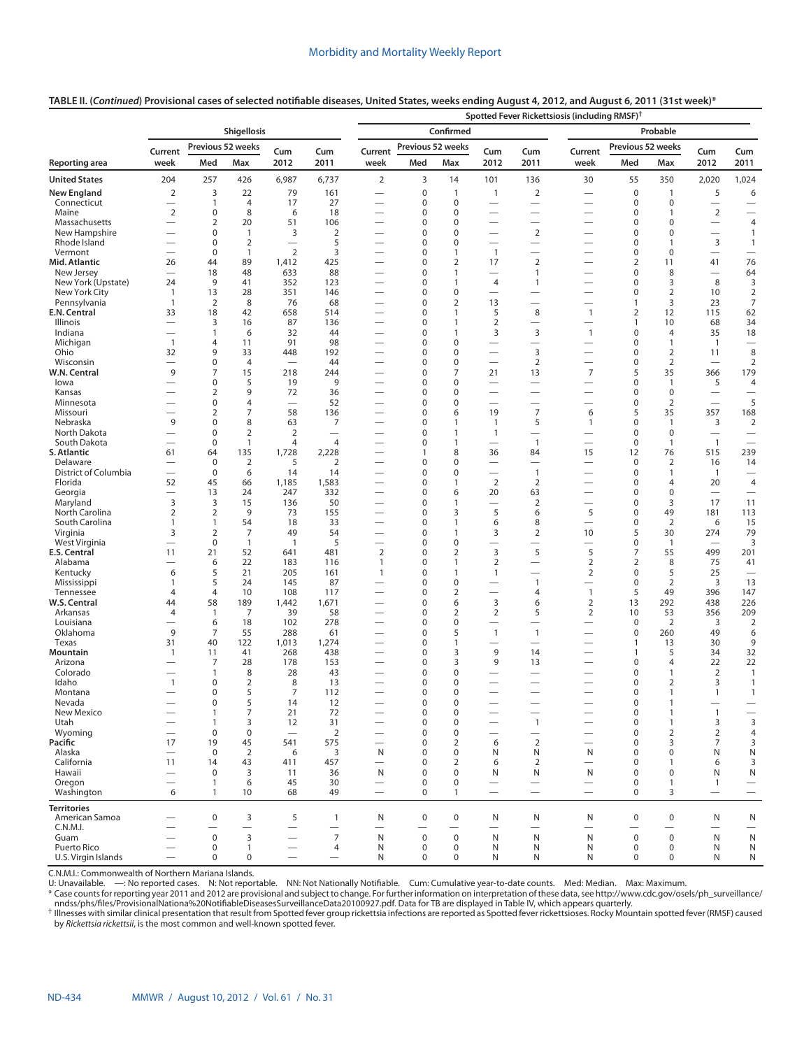# **TABLE II. (***Continued***) Provisional cases of selected notifiable diseases, United States, weeks ending August 4, 2012, and August 6, 2011 (31st week)\***

|                                      |                                                      |                             |                                  |                                       |                               | Spotted Fever Rickettsiosis (including RMSF) <sup>†</sup> |                   |                              |                                                      |                                              |                                  |                                 |                                |                                        |                                                    |  |
|--------------------------------------|------------------------------------------------------|-----------------------------|----------------------------------|---------------------------------------|-------------------------------|-----------------------------------------------------------|-------------------|------------------------------|------------------------------------------------------|----------------------------------------------|----------------------------------|---------------------------------|--------------------------------|----------------------------------------|----------------------------------------------------|--|
|                                      |                                                      |                             | <b>Shigellosis</b>               |                                       |                               | Confirmed                                                 |                   |                              |                                                      |                                              | Probable                         |                                 |                                |                                        |                                                    |  |
|                                      | Current                                              |                             | Previous 52 weeks                | Cum                                   |                               | Current                                                   | Previous 52 weeks |                              | Cum                                                  | Cum                                          | Current                          | Previous 52 weeks               |                                | Cum                                    | Cum                                                |  |
| Reporting area                       | week                                                 | Med                         | Max                              | 2012                                  | Cum<br>2011                   | week                                                      | Med               | Max                          | 2012                                                 | 2011                                         | week                             | Med                             | Max                            | 2012                                   | 2011                                               |  |
| <b>United States</b>                 | 204                                                  | 257                         | 426                              | 6,987                                 | 6,737                         | 2                                                         | 3                 | 14                           | 101                                                  | 136                                          | 30                               | 55                              | 350                            | 2,020                                  | 1,024                                              |  |
| <b>New England</b>                   | $\overline{2}$                                       | 3                           | 22                               | 79                                    | 161                           | $\overline{\phantom{0}}$                                  | 0                 | $\mathbf{1}$                 | $\mathbf{1}$                                         | $\overline{2}$                               | $\overline{\phantom{0}}$         | $\mathbf 0$                     | $\mathbf{1}$                   | 5                                      | 6                                                  |  |
| Connecticut                          |                                                      | $\mathbf{1}$                | 4                                | 17                                    | 27                            | $\overline{\phantom{0}}$                                  | 0                 | $\mathbf 0$                  | $\overline{\phantom{0}}$                             |                                              | —                                | $\mathbf 0$                     | 0                              |                                        |                                                    |  |
| Maine<br>Massachusetts               | $\overline{2}$                                       | 0<br>$\overline{2}$         | 8<br>20                          | 6<br>51                               | 18<br>106                     | $\overline{\phantom{0}}$                                  | 0<br>0            | $\mathbf 0$<br>$\Omega$      | $\overline{\phantom{0}}$                             | $\overbrace{\phantom{12322111}}$<br>$\equiv$ | -                                | $\mathbf 0$<br>0                | $\mathbf{1}$<br>$\Omega$       | $\sqrt{2}$<br>$\overline{\phantom{0}}$ | $\overbrace{\phantom{12322111}}$<br>$\overline{4}$ |  |
| New Hampshire                        | $\overline{\phantom{0}}$                             | 0                           | 1                                | 3                                     | 2                             | $\overline{\phantom{0}}$                                  | 0                 | $\mathbf 0$                  | $\overline{\phantom{0}}$                             | $\mathbf 2$                                  | —                                | $\mathbf 0$                     | $\mathbf 0$                    | $\overbrace{\phantom{12322111}}$       | $\mathbf{1}$                                       |  |
| Rhode Island                         |                                                      | 0                           | $\overline{2}$                   | $\overline{\phantom{0}}$              | 5                             | $\overline{\phantom{0}}$                                  | 0                 | $\mathbf 0$                  | $\overline{\phantom{0}}$                             | $\overline{\phantom{0}}$                     | $\overline{\phantom{0}}$         | $\mathbf 0$                     | $\mathbf{1}$                   | $\overline{3}$                         | $\mathbf{1}$                                       |  |
| Vermont                              | $\overline{\phantom{0}}$                             | $\bf 0$                     | 1                                | 2                                     | 3                             | $\overline{\phantom{0}}$                                  | 0                 | $\mathbf{1}$                 | $\overline{1}$                                       |                                              | $\overline{\phantom{0}}$         | $\mathbf 0$                     | $\mathbf 0$                    |                                        |                                                    |  |
| Mid. Atlantic                        | 26                                                   | 44                          | 89                               | 1,412                                 | 425                           | $\overline{\phantom{0}}$                                  | 0                 | $\overline{2}$               | 17                                                   | $\mathbf 2$                                  | -                                | $\overline{2}$                  | 11                             | 41                                     | 76                                                 |  |
| New Jersey<br>New York (Upstate)     | 24                                                   | 18<br>9                     | 48<br>41                         | 633<br>352                            | 88<br>123                     | $\overline{\phantom{0}}$<br>$\overline{\phantom{0}}$      | 0<br>0            | $\mathbf{1}$<br>$\mathbf{1}$ | $\overline{\phantom{0}}$<br>$\overline{4}$           | 1<br>$\mathbf{1}$                            | —                                | $\mathbf 0$<br>$\mathbf 0$      | 8<br>3                         | 8                                      | 64<br>3                                            |  |
| New York City                        | $\mathbf{1}$                                         | 13                          | 28                               | 351                                   | 146                           |                                                           | 0                 | $\pmb{0}$                    | $\overline{\phantom{0}}$                             |                                              | $\overline{\phantom{0}}$         | $\mathbf 0$                     | $\overline{2}$                 | 10                                     | $\overline{2}$                                     |  |
| Pennsylvania                         | $\mathbf{1}$                                         | 2                           | 8                                | 76                                    | 68                            | $\overline{\phantom{0}}$                                  | 0                 | 2                            | 13                                                   | $\overline{\phantom{0}}$                     | $\overline{\phantom{0}}$         | $\mathbf{1}$                    | 3                              | 23                                     | $\overline{7}$                                     |  |
| E.N. Central                         | 33                                                   | 18                          | 42                               | 658                                   | 514                           |                                                           | 0                 | $\mathbf{1}$                 | 5                                                    | 8                                            | $\mathbf{1}$                     | $\overline{2}$                  | 12                             | 115                                    | 62                                                 |  |
| Illinois                             | $\overline{\phantom{0}}$                             | 3                           | 16                               | 87                                    | 136                           |                                                           | 0                 | $\mathbf{1}$                 | $\overline{2}$                                       | $\overline{\phantom{0}}$                     | $\overline{\phantom{0}}$         | $\mathbf{1}$                    | 10                             | 68                                     | 34                                                 |  |
| Indiana<br>Michigan                  | $\overline{\phantom{0}}$                             | $\mathbf{1}$<br>4           | 6<br>11                          | 32<br>91                              | 44<br>98                      |                                                           | 0<br>0            | $\mathbf{1}$<br>$\mathbf 0$  | 3                                                    | 3                                            | $\mathbf{1}$                     | $\mathbf 0$<br>$\mathbf 0$      | 4<br>$\mathbf{1}$              | 35<br>$\overline{1}$                   | 18                                                 |  |
| Ohio                                 | $\mathbf{1}$<br>32                                   | 9                           | 33                               | 448                                   | 192                           |                                                           | 0                 | $\mathbf 0$                  | $\overline{\phantom{0}}$<br>$\overline{\phantom{0}}$ | 3                                            |                                  | $\mathbf 0$                     | $\overline{2}$                 | 11                                     | 8                                                  |  |
| Wisconsin                            | $\overline{\phantom{0}}$                             | 0                           | $\overline{4}$                   | $\overline{\phantom{0}}$              | 44                            | $\overline{\phantom{0}}$                                  | 0                 | $\mathbf 0$                  | $\overline{\phantom{0}}$                             | $\overline{2}$                               | $\overline{\phantom{0}}$         | $\mathbf 0$                     | $\overline{2}$                 | $\overline{\phantom{0}}$               | 2                                                  |  |
| W.N. Central                         | 9                                                    | 7                           | 15                               | 218                                   | 244                           |                                                           | 0                 | $\overline{7}$               | 21                                                   | 13                                           | $\overline{7}$                   | 5                               | 35                             | 366                                    | 179                                                |  |
| lowa                                 | $\overline{\phantom{0}}$                             | 0                           | 5                                | 19                                    | 9                             | $\overline{\phantom{0}}$                                  | 0                 | $\mathbf 0$                  | $\overline{\phantom{0}}$                             | $\overline{\phantom{0}}$                     | $\overline{\phantom{0}}$         | $\mathbf 0$                     | $\mathbf{1}$                   | 5                                      | $\overline{4}$                                     |  |
| Kansas                               | —                                                    | $\overline{2}$              | 9                                | 72                                    | 36                            | $\overline{\phantom{0}}$                                  | 0                 | $\mathbf 0$                  | $\overline{\phantom{0}}$                             |                                              | $\overline{\phantom{0}}$         | $\mathbf 0$                     | $\mathbf 0$                    | $\qquad \qquad$                        |                                                    |  |
| Minnesota<br>Missouri                | $\overline{\phantom{0}}$<br>$\overline{\phantom{0}}$ | 0<br>$\overline{2}$         | $\overline{4}$<br>$\overline{7}$ | $\overline{\phantom{0}}$<br>58        | 52<br>136                     | $\overline{\phantom{0}}$<br>—                             | 0<br>0            | $\mathbf 0$<br>6             | $\overline{\phantom{0}}$<br>19                       | $\overline{\phantom{0}}$<br>$\overline{7}$   | $\overline{\phantom{0}}$<br>6    | $\boldsymbol{0}$<br>5           | $\overline{2}$<br>35           | $\overline{\phantom{0}}$<br>357        | 5<br>168                                           |  |
| Nebraska                             | 9                                                    | 0                           | 8                                | 63                                    | 7                             | $\overline{\phantom{0}}$                                  | 0                 | $\mathbf{1}$                 | $\mathbf{1}$                                         | 5                                            | $\mathbf{1}$                     | $\mathbf 0$                     | 1                              | 3                                      | $\overline{2}$                                     |  |
| North Dakota                         |                                                      | $\mathbf 0$                 | $\overline{2}$                   | $\overline{2}$                        |                               |                                                           | 0                 | $\mathbf{1}$                 | 1                                                    | $\overline{\phantom{0}}$                     |                                  | $\mathbf 0$                     | $\mathbf 0$                    | $\qquad \qquad$                        | $\qquad \qquad$                                    |  |
| South Dakota                         | $\overline{\phantom{0}}$                             | $\mathbf 0$                 | $\mathbf{1}$                     | 4                                     | $\overline{4}$                | $\overline{\phantom{0}}$                                  | 0                 | $\mathbf{1}$                 | $\overline{\phantom{0}}$                             | $\overline{1}$                               | $\overline{\phantom{0}}$         | $\mathbf 0$                     | $\mathbf{1}$                   | $\overline{1}$                         | $\overline{\phantom{0}}$                           |  |
| S. Atlantic                          | 61                                                   | 64                          | 135                              | 1,728                                 | 2,228                         | $\overline{\phantom{0}}$                                  | 1                 | 8                            | 36                                                   | 84                                           | 15                               | 12                              | 76                             | 515                                    | 239                                                |  |
| Delaware                             |                                                      | $\mathbf 0$                 | 2                                | 5                                     | $\overline{2}$                | $\overline{\phantom{0}}$                                  | 0                 | $\mathbf 0$                  | $\overline{\phantom{0}}$                             | $\overline{\phantom{0}}$                     | $\overline{\phantom{0}}$         | $\mathbf 0$                     | 2                              | 16                                     | 14                                                 |  |
| District of Columbia<br>Florida      | $\overline{\phantom{0}}$<br>52                       | $\mathbf 0$<br>45           | 6<br>66                          | 14<br>1,185                           | 14<br>1,583                   | $\overline{\phantom{0}}$                                  | 0<br>0            | $\Omega$<br>$\mathbf{1}$     | $\overline{\phantom{0}}$<br>$\overline{2}$           | $\mathbf{1}$<br>$\overline{2}$               | —<br>$\overline{\phantom{0}}$    | $\mathbf 0$<br>$\mathbf 0$      | 1<br>4                         | $\overline{1}$<br>20                   | $\overbrace{\phantom{1232211}}$<br>$\overline{4}$  |  |
| Georgia                              |                                                      | 13                          | 24                               | 247                                   | 332                           |                                                           | 0                 | 6                            | 20                                                   | 63                                           | -                                | $\mathbf 0$                     | $\Omega$                       | $\overline{\phantom{0}}$               | $\overline{\phantom{0}}$                           |  |
| Maryland                             | 3                                                    | 3                           | 15                               | 136                                   | 50                            | $\overline{\phantom{0}}$                                  | 0                 | 1                            |                                                      | 2                                            | —                                | 0                               | 3                              | 17                                     | 11                                                 |  |
| North Carolina                       | $\overline{2}$                                       | 2                           | 9                                | 73                                    | 155                           |                                                           | 0                 | 3                            | 5                                                    | 6                                            | 5                                | $\mathbf 0$                     | 49                             | 181                                    | 113                                                |  |
| South Carolina                       | 1                                                    | $\mathbf{1}$                | 54                               | 18                                    | 33                            | $\overline{\phantom{0}}$                                  | 0                 | $\mathbf{1}$                 | 6                                                    | 8                                            | $\overline{\phantom{0}}$         | $\mathbf 0$                     | 2                              | 6                                      | 15                                                 |  |
| Virginia<br>West Virginia            | 3<br>$\overline{\phantom{0}}$                        | $\overline{2}$<br>$\pmb{0}$ | 7<br>$\mathbf{1}$                | 49<br>$\mathbf{1}$                    | 54<br>5                       | $\overline{\phantom{0}}$                                  | 0<br>0            | $\mathbf{1}$<br>$\pmb{0}$    | 3<br>$\overline{\phantom{0}}$                        | $\overline{2}$                               | 10                               | 5<br>$\mathbf 0$                | 30<br>$\mathbf{1}$             | 274                                    | 79<br>3                                            |  |
| E.S. Central                         | 11                                                   | 21                          | 52                               | 641                                   | 481                           | $\overline{2}$                                            | 0                 | 2                            | 3                                                    | 5                                            | 5                                | 7                               | 55                             | 499                                    | 201                                                |  |
| Alabama                              |                                                      | 6                           | 22                               | 183                                   | 116                           | $\mathbf{1}$                                              | 0                 | $\mathbf{1}$                 | $\overline{2}$                                       | $\overline{\phantom{0}}$                     | $\overline{2}$                   | $\overline{2}$                  | 8                              | 75                                     | 41                                                 |  |
| Kentucky                             | 6                                                    | 5                           | 21                               | 205                                   | 161                           | $\mathbf{1}$                                              | 0                 | $\mathbf{1}$                 | $\mathbf{1}$                                         | $\overline{\phantom{0}}$                     | $\overline{2}$                   | $\mathbf 0$                     | 5                              | 25                                     |                                                    |  |
| Mississippi                          | 1                                                    | 5                           | 24                               | 145                                   | 87                            |                                                           | 0                 | $\pmb{0}$                    | $\overline{\phantom{0}}$                             | $\overline{1}$                               | $\overline{\phantom{0}}$         | $\mathbf 0$                     | $\overline{2}$                 | 3                                      | 13                                                 |  |
| Tennessee                            | $\overline{4}$                                       | $\overline{4}$              | 10                               | 108                                   | 117                           | $\overline{\phantom{0}}$                                  | 0<br>0            | $\overline{2}$               | $\overline{\phantom{0}}$<br>3                        | 4                                            | $\mathbf{1}$                     | 5                               | 49                             | 396                                    | 147                                                |  |
| W.S. Central<br>Arkansas             | 44<br>$\overline{4}$                                 | 58<br>$\overline{1}$        | 189<br>$\overline{7}$            | 1,442<br>39                           | 1,671<br>58                   |                                                           | 0                 | 6<br>2                       | $\overline{2}$                                       | 6<br>5                                       | $\overline{2}$<br>$\overline{2}$ | 13<br>10                        | 292<br>53                      | 438<br>356                             | 226<br>209                                         |  |
| Louisiana                            |                                                      | 6                           | 18                               | 102                                   | 278                           | $\overline{\phantom{0}}$                                  | 0                 | $\mathbf 0$                  | $\overline{\phantom{0}}$                             | $\overline{\phantom{0}}$                     | -                                | $\mathbf 0$                     | 2                              | 3                                      | $\overline{2}$                                     |  |
| Oklahoma                             | 9                                                    | $\overline{7}$              | 55                               | 288                                   | 61                            |                                                           | 0                 | 5                            | $\mathbf{1}$                                         | $\overline{1}$                               |                                  | $\mathbf 0$                     | 260                            | 49                                     | 6                                                  |  |
| Texas                                | 31                                                   | 40                          | 122                              | 1,013                                 | 1,274                         |                                                           | 0                 | $\mathbf{1}$                 |                                                      | $\overline{\phantom{0}}$                     |                                  | $\mathbf{1}$                    | 13                             | 30                                     | 9                                                  |  |
| Mountain                             | $\mathbf{1}$                                         | 11                          | 41                               | 268                                   | 438                           |                                                           | 0                 | 3                            | 9                                                    | 14                                           | $\overline{\phantom{0}}$         | $\mathbf{1}$                    | 5                              | 34                                     | 32                                                 |  |
| Arizona<br>Colorado                  |                                                      | 7<br>$\mathbf{1}$           | 28<br>8                          | 178<br>28                             | 153<br>43                     |                                                           | 0<br>0            | 3<br>$\mathbf 0$             | 9<br>$\overline{\phantom{0}}$                        | 13<br>$\overline{\phantom{0}}$               |                                  | $\boldsymbol{0}$<br>$\mathbf 0$ | 4<br>$\mathbf{1}$              | 22<br>$\overline{2}$                   | 22<br>$\mathbf{1}$                                 |  |
| Idaho                                | $\mathbf{1}$                                         | 0                           | $\overline{2}$                   | 8                                     | 13                            |                                                           | 0                 | $\mathbf 0$                  |                                                      |                                              |                                  | $\mathbf 0$                     | $\overline{2}$                 | 3                                      | $\mathbf{1}$                                       |  |
| Montana                              | $\overline{\phantom{0}}$                             | 0                           | 5                                | $\overline{7}$                        | 112                           | $\overbrace{\phantom{13333}}$                             | 0                 | $\Omega$                     |                                                      | $\overline{\phantom{0}}$                     | $\overline{\phantom{0}}$         | $\mathbf 0$                     | $\mathbf{1}$                   | $\mathbf{1}$                           | $\mathbf{1}$                                       |  |
| Nevada                               |                                                      | 0                           | 5                                | 14                                    | 12                            |                                                           | 0                 | 0                            |                                                      |                                              |                                  | $\Omega$                        | $\mathbf{1}$                   |                                        |                                                    |  |
| New Mexico                           |                                                      | $\mathbf{1}$                | 7                                | 21                                    | 72                            |                                                           | $\mathbf 0$       | $\pmb{0}$                    |                                                      |                                              |                                  | $\mathsf 0$                     | $\mathbf{1}$                   | $\mathbf{1}$                           |                                                    |  |
| Utah<br>Wyoming                      | $\overline{\phantom{0}}$                             | $\mathbf{1}$<br>$\mathbf 0$ | 3<br>$\mathbf 0$                 | 12<br>$\overbrace{\phantom{1232211}}$ | 31<br>2                       |                                                           | 0<br>0            | $\mathbf 0$<br>$\mathbf 0$   |                                                      | $\mathbf{1}$<br>$\overline{\phantom{0}}$     |                                  | $\mathsf 0$<br>$\mathbf 0$      | $\mathbf{1}$<br>$\overline{2}$ | 3<br>$\overline{2}$                    | $\overline{3}$<br>$\overline{4}$                   |  |
| Pacific                              | 17                                                   | 19                          | 45                               | 541                                   | 575                           | $\qquad \qquad$                                           | 0                 | $\overline{2}$               | 6                                                    | $\overline{2}$                               | $\overline{\phantom{0}}$         | $\mathbf 0$                     | 3                              | $\overline{7}$                         | 3                                                  |  |
| Alaska                               | $\overline{\phantom{0}}$                             | $\mathbf 0$                 | $\overline{2}$                   | 6                                     | 3                             | N                                                         | 0                 | $\mathbf 0$                  | N                                                    | N                                            | N                                | $\mathbf 0$                     | $\mathbf 0$                    | N                                      | ${\sf N}$                                          |  |
| California                           | 11                                                   | 14                          | 43                               | 411                                   | 457                           | $\overline{\phantom{0}}$                                  | 0                 | $\overline{2}$               | 6                                                    | 2                                            | $\overline{\phantom{0}}$         | $\mathbf 0$                     | 1                              | 6                                      | 3                                                  |  |
| Hawaii                               | $\overline{\phantom{0}}$                             | 0                           | 3                                | 11                                    | 36                            | N                                                         | 0                 | $\mathbf 0$                  | N                                                    | N                                            | N                                | $\mathbf 0$                     | 0                              | N                                      | ${\sf N}$                                          |  |
| Oregon                               |                                                      | $\mathbf{1}$                | 6                                | 45                                    | 30                            | $\overbrace{\phantom{1232211}}$                           | 0                 | $\Omega$                     | $\overline{\phantom{0}}$                             | $\overline{\phantom{0}}$                     | $\overline{\phantom{0}}$         | $\mathbf 0$                     | 1                              | $\mathbf{1}$                           | $\overline{\phantom{0}}$                           |  |
| Washington                           | 6                                                    | $\mathbf{1}$                | 10                               | 68                                    | 49                            | $\overline{\phantom{0}}$                                  | $\mathbf 0$       | $\mathbf{1}$                 | $\overline{\phantom{0}}$                             | $\equiv$                                     | $\overbrace{\phantom{12322111}}$ | $\mathbf 0$                     | 3                              | $\overbrace{\phantom{12322111}}$       | $\qquad \qquad$                                    |  |
| <b>Territories</b><br>American Samoa |                                                      | $\mathbf 0$                 |                                  |                                       |                               |                                                           | $\mathbf 0$       | $\mathbf 0$                  |                                                      |                                              |                                  | $\mathsf 0$                     | $\mathbf 0$                    |                                        |                                                    |  |
| C.N.M.I.                             |                                                      |                             | 3<br>$\overline{\phantom{0}}$    | 5                                     | $\mathbf{1}$                  | N                                                         |                   | $\overline{\phantom{0}}$     | N<br>$\overline{\phantom{0}}$                        | N                                            | N                                | $\overline{\phantom{0}}$        | $\overline{\phantom{0}}$       | N<br>$\overline{\phantom{0}}$          | N<br>$\qquad \qquad$                               |  |
| Guam                                 |                                                      | $\mathsf{O}\xspace$         | 3                                | $\overline{\phantom{0}}$              | $\overline{7}$                | N                                                         | $\mathbf 0$       | $\mathbf 0$                  | N                                                    | $\mathsf{N}$                                 | $\mathsf{N}$                     | $\mathsf 0$                     | $\mathbf 0$                    | N                                      | ${\sf N}$                                          |  |
| Puerto Rico                          | $\overline{\phantom{0}}$                             | $\mathbf 0$                 | $\mathbf{1}$                     |                                       | 4                             | N                                                         | $\pmb{0}$         | $\mathbf 0$                  | N                                                    | N                                            | N                                | 0                               | 0                              | N                                      | N                                                  |  |
| U.S. Virgin Islands                  | $\overline{\phantom{0}}$                             | $\mathbf 0$                 | $\mathbf 0$                      | $\overline{\phantom{0}}$              | $\overbrace{\phantom{13333}}$ | N                                                         | 0                 | $\mathbf 0$                  | N                                                    | N                                            | N                                | $\mathbf 0$                     | $\mathbf 0$                    | N                                      | N                                                  |  |

C.N.M.I.: Commonwealth of Northern Mariana Islands.

U: Unavailable. —: No reported cases. N: Not reportable. NN: Not Nationally Notifiable. Cum: Cumulative year-to-date counts. Med: Median. Max: Maximum.

\* Case counts for reporting year 2011 and 2012 are provisional and subject to change. For further information on interpretation of these data, see [http://www.cdc.gov/osels/ph\\_surveillance/](http://www.cdc.gov/osels/ph_surveillance/nndss/phs/files/ProvisionalNationa%20NotifiableDiseasesSurveillanceData20100927.pdf)<br>↑ Ilnesse with similar clinical p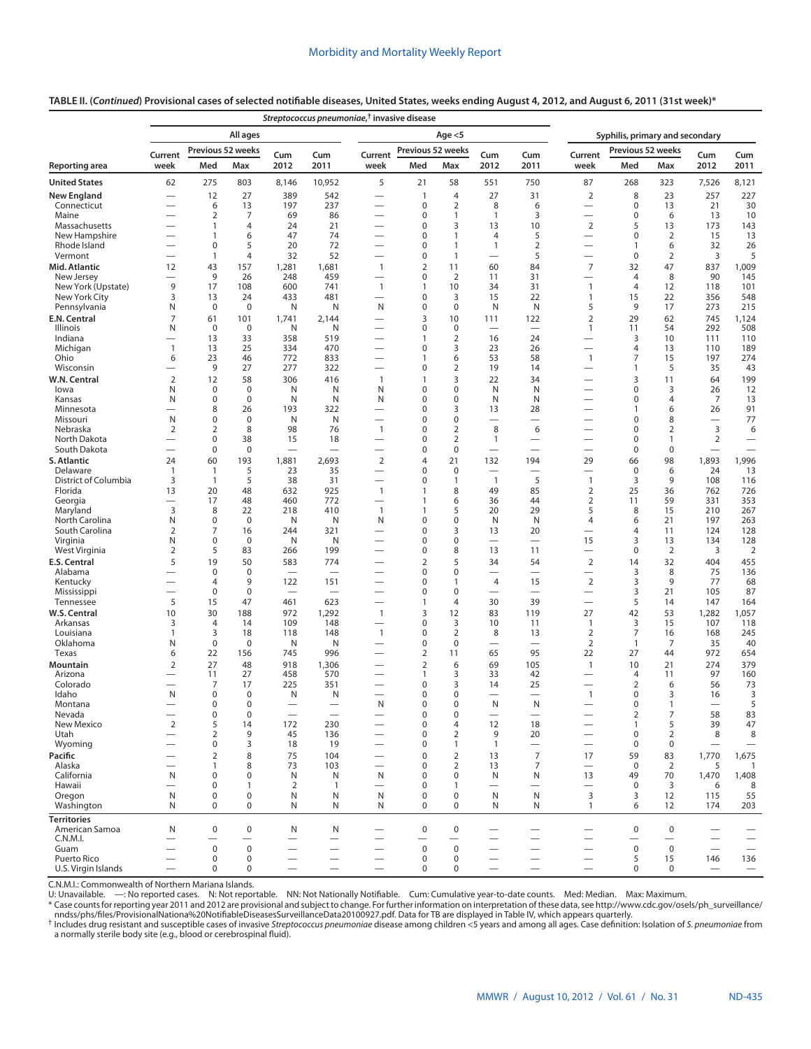#### **Reporting area** *Streptococcus pneumoniae***, † invasive disease All ages Age <5 Syphilis, primary and secondary Current week Previous 52 weeks Cum 2012 Cum 2011 Current week Previous 52 weeks Cum 2012 Cum 2011 Current week Previous 52 weeks Cum**<br>Med Max 2012 **2012 Cum Med Max Med Max Med Max 2011 United States** 62 275 803 8,146 10,952 5 21 58 551 750 87 268 323 7,526 8,121 **New England** — 12 27 389 542 — 1 4 27 31 2 8 23 257 227 Connecticut — 6 13 197 237 — 0 2 8 6 — 0 13 21 30 Maine — 2 7 69 86 — 0 1 1 3 — 0 6 13 10 Massachusetts — 1 4 24 21 — 0 3 13 10 2 5 13 173 143 New Hampshire — 1 6 47 74 — 0 1 4 5 — 0 2 15 13 Rhode Island — 0 5 20 72 — 0 1 1 2 — 1 6 32 26 Vermont — 1 4 32 52 — 0 1 — 5 — 0 2 3 5 **Mid. Atlantic** 12 43 157 1,281 1,681 1 2 11 60 84 7 32 47 837 1,009 New Jersey — 9 26 248 459 — 0 2 11 31 — 4 8 90 145 New York (Upstate) 9 17 108 600 741 1 1 10 34 31 1 4 12 118 101 New York City 3 13 24 433 481 — 0 3 15 22 1 15 22 356 548 Pennsylvania N 0 0 N N N 0 0 N N 5 9 17 273 215 **E.N. Central** 7 61 101 1,741 2,144 — 3 10 111 122 2 29 62 745 1,124 Illinois N 0 0 N N — 0 0 — — 1 11 54 292 508 Indiana — 13 33 358 519 — 1 2 16 24 — 3 10 111 110 Michigan 1 13 25 334 470 — 0 3 23 26 — 4 13 110 189 Ohio 6 23 46 772 833 — 1 6 53 58 1 7 15 197 274 Wisconsin — 9 27 277 322 — 0 2 19 14 — 1 5 35 43 **W.N. Central** 2 12 58 306 416 1 1 3 22 34 — 3 11 64 199 Iowa N 0 0 N N N 0 0 N N — 0 3 26 12 Kansas N 0 0 N N N 0 0 N N — 0 4 7 13 Minnesota — 8 26 193 322 — 0 3 13 28 — 1 6 26 91 Missouri N 0 0 N N — 0 0 — — — 0 8 — 77 Nebraska 2 2 8 98 76 1 0 2 8 6 — 0 2 3 6 North Dakota — 0 38 15 18 — 0 2 1 — — 0 1 2 — South Dakota — 0 0 — — — 0 0 — — — 0 0 — — **S. Atlantic** 24 60 193 1,881 2,693 2 4 21 132 194 29 66 98 1,893 1,996 Delaware 1 1 5 23 35 — 0 0 — — — 0 6 24 13 District of Columbia 3 1 5 38 31 — 0 1 1 5 1 3 9 108 116 Florida 13 20 48 632 925 1 1 8 49 85 2 25 36 762 726 Georgia — 17 48 460 772 — 1 6 36 44 2 11 59 331 353 Maryland 3 8 22 218 410 1 1 5 20 29 5 8 15 210 267 North Carolina N 0 0 N N N 0 0 N N 4 6 21 197 263 South Carolina 2 7 16 244 321 — 0 3 13 20 — 4 11 124 128 Virginia N 0 0 N N — 0 0 — — 15 3 13 134 128 West Virginia 2 5 83 266 199 — 0 8 13 11 — 0 2 3 2 **E.S. Central** 5 19 50 583 774 — 2 5 34 54 2 14 32 404 455 Alabama — 0 0 — — — 0 0 — — — 3 8 75 136 Kentucky — 4 9 122 151 — 0 1 4 15 2 3 9 77 68 Mississippi — 0 0 — — — 0 0 — — — 3 21 105 87 Tennessee 5 15 47 461 623 — 1 4 30 39 — 5 14 147 164 **W.S. Central** 10 30 188 972 1,292 1 3 12 83 119 27 42 53 1,282 1,057 Arkansas 3 4 14 109 148 — 0 3 10 11 1 3 15 107 118 Louisiana 1 3 18 118 148 1 0 2 8 13 2 7 16 168 245 Oklahoma N 0 0 N N — 0 0 — — 2 1 7 35 40 Texas 6 22 156 745 996 — 2 11 65 95 22 27 44 972 654 **Mountain** 2 27 48 918 1,306 — 2 6 69 105 1 10 21 274 379 Arizona — 11 27 458 570 — 1 3 33 42 — 4 11 97 160 Colorado — 7 17 225 351 — 0 3 14 25 — 2 6 56 73 Idaho N 0 0 N N — 0 0 — — 1 0 3 16 3 Montana — 0 0 — — N 0 0 N N — 0 1 — 5 Nevada — 0 0 — — — 0 0 — — — 2 7 58 83 New Mexico 2 5 14 172 230 — 0 4 12 18 — 1 5 39 47 Utah — 2 9 45 136 — 0 2 9 20 — 0 2 8 8 Wyoming — 0 3 18 19 — 0 1 1 — — 0 0 — — **Pacific** — 2 8 75 104 — 0 2 13 7 17 59 83 1,770 1,675 Alaska — 1 8 73 103 — 0 2 13 7 — 0 2 5 1 California N 0 0 N N N 0 0 N N 13 49 70 1,470 1,408 Hawaii — 0 1 2 1 — 0 1 — — — 0 3 6 8 Oregon N 0 0 N N N 0 0 N N 3 3 12 115 55 Washington N 0 0 N N N 0 0 N N 1 6 12 174 203 **Territories** American Samoa N 0 0 N N — 0 0 — — — 0 0 — —

# **TABLE II. (***Continued***) Provisional cases of selected notifiable diseases, United States, weeks ending August 4, 2012, and August 6, 2011 (31st week)\***

C.N.M.I.: Commonwealth of Northern Mariana Islands. NN: Not Nationally Notifiable. Cum: Cumulative year-to-date counts. Med: Median. Max: Maximum.

\* Case counts for reporting year 2011 and 2012 are provisional and subject to change. For further information on interpretation of these data, see [http://www.cdc.gov/osels/ph\\_surveillance/](http://www.cdc.gov/osels/ph_surveillance/nndss/phs/files/ProvisionalNationa%20NotifiableDiseasesSurveillanceData20100927.pdf)

C.N.M.I. — — — — — — — — — — — — — — — Guam — 0 0 — — — 0 0 — — — 0 0 — — Puerto Rico — 0 0 — — — 0 0 — — — 5 15 146 136 U.S. Virgin Islands — 0 0 — — 0 0 — — — — —

<sup>†</sup> Includes drug resistant and susceptible cases of invasive Streptococcus pneumoniae disease among children <5 years and among all ages. Case definition: Isolation of S. pneumoniae from a normally sterile body site (e.g., blood or cerebrospinal fluid).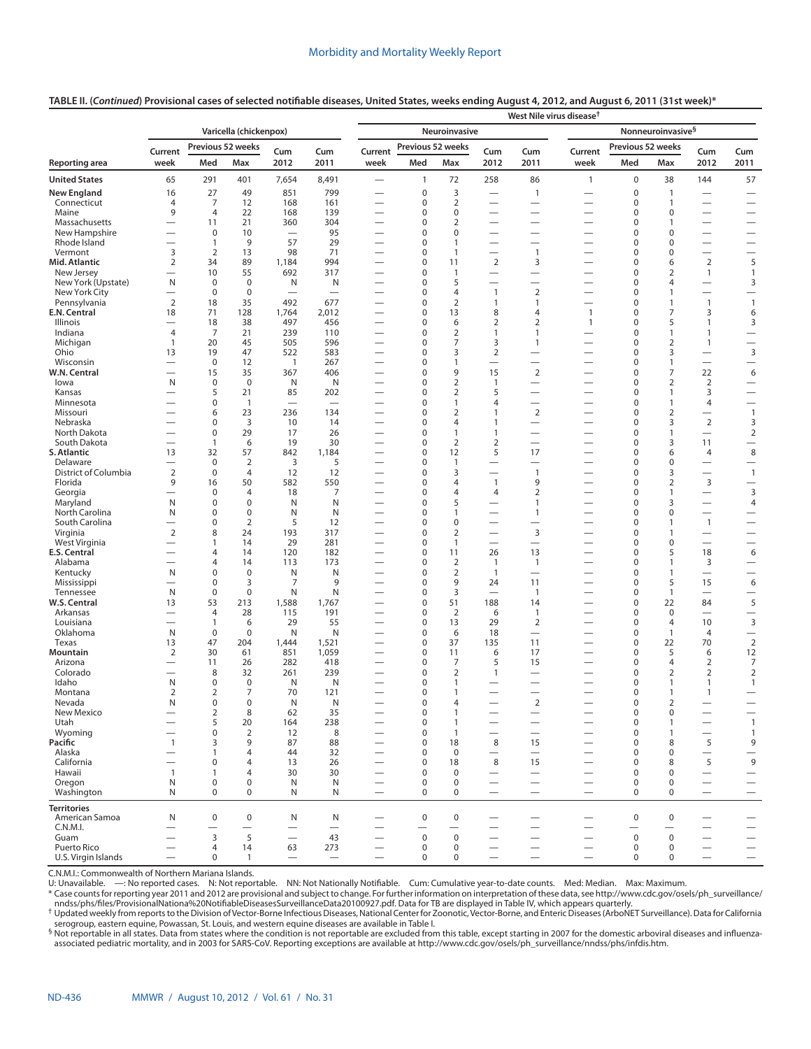## **TABLE II. (***Continued***) Provisional cases of selected notifiable diseases, United States, weeks ending August 4, 2012, and August 6, 2011 (31st week)\***

|                              |                                                      |                                |                               |                                                      |                                 | West Nile virus disease <sup>†</sup>                 |                            |                                |                                                      |                                                      |                                                      |                                         |                                         |                                                      |                                            |  |
|------------------------------|------------------------------------------------------|--------------------------------|-------------------------------|------------------------------------------------------|---------------------------------|------------------------------------------------------|----------------------------|--------------------------------|------------------------------------------------------|------------------------------------------------------|------------------------------------------------------|-----------------------------------------|-----------------------------------------|------------------------------------------------------|--------------------------------------------|--|
|                              |                                                      |                                | Varicella (chickenpox)        |                                                      |                                 | Neuroinvasive                                        |                            |                                |                                                      |                                                      | Nonneuroinvasive <sup>§</sup>                        |                                         |                                         |                                                      |                                            |  |
|                              | Current                                              |                                | Previous 52 weeks             | Cum                                                  | Cum                             | Current                                              | Previous 52 weeks          |                                | Cum                                                  | Cum                                                  | Current                                              |                                         | Previous 52 weeks                       | Cum                                                  | Cum                                        |  |
| Reporting area               | week                                                 | Med                            | Max                           | 2012                                                 | 2011                            | week                                                 | Med                        | Max                            | 2012                                                 | 2011                                                 | week                                                 | Med                                     | Max                                     | 2012                                                 | 2011                                       |  |
| <b>United States</b>         | 65                                                   | 291                            | 401                           | 7,654                                                | 8,491                           |                                                      | $\mathbf{1}$               | 72                             | 258                                                  | 86                                                   | $\mathbf{1}$                                         | $\mathbf 0$                             | 38                                      | 144                                                  | 57                                         |  |
| <b>New England</b>           | 16                                                   | 27                             | 49                            | 851                                                  | 799                             |                                                      | 0                          | 3                              |                                                      | $\mathbf{1}$                                         | $\overline{\phantom{0}}$                             | $\mathbf 0$                             | $\mathbf{1}$                            | $\overline{\phantom{0}}$                             |                                            |  |
| Connecticut<br>Maine         | 4<br>9                                               | 7<br>$\overline{4}$            | 12<br>22                      | 168<br>168                                           | 161<br>139                      | $\overline{\phantom{0}}$<br>$\overline{\phantom{0}}$ | 0<br>0                     | $\overline{2}$<br>$\mathbf 0$  | $\overline{\phantom{0}}$<br>$\overline{\phantom{0}}$ | $\overline{\phantom{0}}$<br>$\overline{\phantom{0}}$ | —<br>-                                               | $\mathbf 0$<br>0                        | $\mathbf{1}$<br>0                       | $\overline{\phantom{0}}$                             | $\overline{\phantom{0}}$                   |  |
| Massachusetts                | $\overline{\phantom{0}}$                             | 11                             | 21                            | 360                                                  | 304                             |                                                      | 0                          | $\overline{2}$                 |                                                      | $\overline{\phantom{0}}$                             |                                                      | 0                                       | 1                                       | $\overline{\phantom{0}}$                             | $\overline{\phantom{0}}$                   |  |
| New Hampshire                | $\overline{\phantom{0}}$                             | 0                              | 10                            |                                                      | 95                              | $\overline{\phantom{0}}$                             | 0                          | $\mathbf 0$                    | $\overline{\phantom{0}}$                             |                                                      | —                                                    | 0                                       | 0                                       |                                                      | $\overline{\phantom{0}}$                   |  |
| Rhode Island                 | $\overline{\phantom{0}}$                             | $\mathbf{1}$                   | 9                             | 57                                                   | 29                              |                                                      | 0                          | $\mathbf{1}$                   |                                                      | $\overline{\phantom{0}}$                             | $\overline{\phantom{0}}$                             | 0                                       | 0                                       | $\overline{\phantom{0}}$                             | $\overline{\phantom{0}}$                   |  |
| Vermont<br>Mid. Atlantic     | 3<br>2                                               | $\overline{2}$<br>34           | 13<br>89                      | 98<br>1,184                                          | 71<br>994                       | $\overline{\phantom{0}}$<br>$\overline{\phantom{0}}$ | 0<br>0                     | $\mathbf{1}$<br>11             | $\overline{\phantom{0}}$<br>$\overline{2}$           | $\mathbf{1}$<br>3                                    | $\overline{\phantom{0}}$<br>—                        | 0<br>$\mathbf 0$                        | 0<br>6                                  | $\overline{\phantom{0}}$<br>2                        | $\overline{\phantom{0}}$<br>5              |  |
| New Jersey                   | $\overline{\phantom{0}}$                             | 10                             | 55                            | 692                                                  | 317                             |                                                      | 0                          | 1                              | $\overline{\phantom{0}}$                             | $\overline{\phantom{0}}$                             | $\overline{\phantom{0}}$                             | 0                                       | 2                                       | $\mathbf{1}$                                         | $\mathbf{1}$                               |  |
| New York (Upstate)           | N                                                    | $\mathbf 0$                    | $\mathbf 0$                   | N                                                    | N                               |                                                      | 0                          | 5                              | $\overline{\phantom{0}}$                             | $\overline{\phantom{0}}$                             | $\overline{\phantom{0}}$                             | $\mathbf 0$                             | 4                                       |                                                      | 3                                          |  |
| New York City                | $\overline{\phantom{0}}$                             | 0                              | $\mathbf 0$                   | $\overline{\phantom{0}}$                             | $\overline{\phantom{0}}$        |                                                      | 0                          | 4                              | $\mathbf{1}$                                         | $\overline{2}$                                       | $\overline{\phantom{0}}$                             | 0                                       | $\mathbf{1}$                            |                                                      | $\overline{\phantom{0}}$                   |  |
| Pennsylvania<br>E.N. Central | 2<br>18                                              | 18<br>71                       | 35<br>128                     | 492<br>1,764                                         | 677<br>2,012                    | $\overline{\phantom{0}}$                             | 0<br>0                     | $\overline{2}$<br>13           | 1<br>8                                               | $\mathbf{1}$<br>4                                    | $\mathbf{1}$                                         | $\mathbf 0$<br>0                        | $\mathbf{1}$<br>$\overline{7}$          | $\mathbf{1}$<br>3                                    | $\mathbf{1}$<br>6                          |  |
| Illinois                     |                                                      | 18                             | 38                            | 497                                                  | 456                             |                                                      | 0                          | 6                              | 2                                                    | $\overline{2}$                                       | $\mathbf{1}$                                         | $\mathbf 0$                             | 5                                       | 1                                                    | 3                                          |  |
| Indiana                      | $\overline{4}$                                       | 7                              | 21                            | 239                                                  | 110                             |                                                      | 0                          | $\overline{2}$                 | $\mathbf{1}$                                         | $\mathbf{1}$                                         |                                                      | $\mathbf 0$                             | $\mathbf{1}$                            | $\mathbf{1}$                                         |                                            |  |
| Michigan                     | $\mathbf{1}$                                         | 20                             | 45                            | 505                                                  | 596                             | $\overline{\phantom{0}}$                             | 0                          | 7                              | 3                                                    | $\mathbf{1}$                                         | $\overline{\phantom{0}}$                             | $\mathbf 0$                             | $\overline{2}$                          | 1                                                    | $\overline{\phantom{0}}$                   |  |
| Ohio<br>Wisconsin            | 13<br>$\overline{\phantom{0}}$                       | 19<br>$\mathbf 0$              | 47<br>12                      | 522<br>$\overline{1}$                                | 583<br>267                      | $\overline{\phantom{0}}$                             | 0<br>0                     | 3<br>1                         | 2<br>$\overline{\phantom{0}}$                        | $\overline{\phantom{0}}$                             |                                                      | $\mathbf 0$<br>$\mathbf 0$              | 3<br>$\mathbf{1}$                       | $\overline{\phantom{0}}$                             | 3<br>$\overline{\phantom{0}}$              |  |
| W.N. Central                 | $\overline{\phantom{0}}$                             | 15                             | 35                            | 367                                                  | 406                             |                                                      | 0                          | 9                              | 15                                                   | $\overline{2}$                                       |                                                      | $\mathbf 0$                             | $\overline{7}$                          | 22                                                   | 6                                          |  |
| lowa                         | N                                                    | $\mathbf 0$                    | $\mathbf 0$                   | N                                                    | N                               | $\overline{\phantom{0}}$                             | 0                          | $\overline{2}$                 | 1                                                    |                                                      | —                                                    | $\mathbf 0$                             | $\overline{2}$                          | $\overline{2}$                                       |                                            |  |
| Kansas                       |                                                      | 5                              | 21                            | 85                                                   | 202                             | $\overline{\phantom{0}}$                             | 0                          | $\overline{2}$                 | 5                                                    |                                                      |                                                      | $\mathbf 0$                             | $\mathbf{1}$                            | 3                                                    | $\overline{\phantom{0}}$                   |  |
| Minnesota<br>Missouri        | $\overline{\phantom{0}}$<br>$\overline{\phantom{0}}$ | $\mathbf 0$<br>6               | $\overline{1}$<br>23          | $\overline{\phantom{0}}$<br>236                      | $\overline{\phantom{0}}$<br>134 | $\overline{\phantom{0}}$<br>—                        | 0<br>0                     | $\mathbf{1}$<br>$\overline{2}$ | 4<br>$\mathbf{1}$                                    | $\overline{2}$                                       | —<br>-                                               | $\mathbf 0$<br>$\mathbf 0$              | $\mathbf{1}$<br>2                       | 4<br>$\overline{\phantom{0}}$                        | $\overline{\phantom{0}}$<br>$\overline{1}$ |  |
| Nebraska                     | $\overline{\phantom{0}}$                             | 0                              | $\overline{3}$                | 10                                                   | 14                              | $\overline{\phantom{0}}$                             | 0                          | 4                              | 1                                                    |                                                      | $\overline{\phantom{0}}$                             | $\mathbf 0$                             | 3                                       | $\overline{2}$                                       | 3                                          |  |
| North Dakota                 |                                                      | 0                              | 29                            | 17                                                   | 26                              |                                                      | 0                          | $\mathbf{1}$                   | 1                                                    |                                                      | $\overline{\phantom{0}}$                             | $\mathbf 0$                             | 1                                       | $\overline{\phantom{m}}$                             | $\overline{2}$                             |  |
| South Dakota                 | $\overline{\phantom{0}}$                             | $\mathbf{1}$                   | 6                             | 19                                                   | 30                              | $\overline{\phantom{0}}$                             | 0                          | $\overline{2}$                 | 2                                                    | $\overline{\phantom{0}}$                             | —                                                    | $\mathbf 0$                             | 3                                       | 11                                                   | $\overline{\phantom{0}}$                   |  |
| S. Atlantic<br>Delaware      | 13<br>$\overline{\phantom{0}}$                       | 32<br>0                        | 57<br>$\overline{2}$          | 842<br>3                                             | 1,184<br>5                      | $\overline{\phantom{0}}$                             | 0<br>0                     | 12<br>$\mathbf{1}$             | 5<br>$\overline{\phantom{0}}$                        | 17<br>$\overline{\phantom{0}}$                       |                                                      | $\mathbf 0$<br>$\mathbf 0$              | 6<br>0                                  | 4<br>$\overline{\phantom{0}}$                        | 8<br>$\overline{\phantom{0}}$              |  |
| District of Columbia         | $\overline{2}$                                       | $\mathbf 0$                    | $\overline{4}$                | 12                                                   | 12                              |                                                      | 0                          | 3                              |                                                      | $\mathbf{1}$                                         | —                                                    | $\mathbf 0$                             | 3                                       | $\equiv$                                             | $\mathbf{1}$                               |  |
| Florida                      | 9                                                    | 16                             | 50                            | 582                                                  | 550                             | $\overline{\phantom{0}}$                             | 0                          | 4                              | $\mathbf{1}$                                         | 9                                                    | $\overline{\phantom{0}}$                             | $\mathbf 0$                             | $\overline{2}$                          | 3                                                    | $\overline{\phantom{0}}$                   |  |
| Georgia                      | -                                                    | 0                              | 4                             | 18                                                   | 7                               |                                                      | 0                          | 4                              | 4                                                    | $\overline{2}$                                       | —                                                    | $\mathbf 0$                             | $\mathbf{1}$                            | $\overline{\phantom{0}}$                             | 3                                          |  |
| Maryland<br>North Carolina   | N<br>N                                               | 0<br>0                         | $\mathbf 0$<br>$\mathbf 0$    | N<br>N                                               | N<br>N                          | $\overline{\phantom{0}}$                             | 0<br>0                     | 5<br>1                         | $\overline{\phantom{0}}$                             | 1<br>1                                               | $\overline{\phantom{0}}$                             | $\mathbf 0$<br>$\mathbf 0$              | 3<br>$\mathbf 0$                        | $\overline{\phantom{0}}$<br>$\overline{\phantom{0}}$ | 4<br>$\overline{\phantom{0}}$              |  |
| South Carolina               | $\overline{\phantom{0}}$                             | 0                              | $\overline{2}$                | 5                                                    | 12                              | $\overline{\phantom{0}}$                             | 0                          | $\mathbf 0$                    |                                                      |                                                      |                                                      | $\mathbf 0$                             | 1                                       | $\overline{1}$                                       | $\overline{\phantom{0}}$                   |  |
| Virginia                     | $\overline{2}$                                       | 8                              | 24                            | 193                                                  | 317                             |                                                      | 0                          | $\overline{2}$                 |                                                      | 3                                                    | $\overline{\phantom{0}}$                             | $\mathbf 0$                             | $\mathbf{1}$                            |                                                      | $\overline{\phantom{0}}$                   |  |
| West Virginia                | $\overline{\phantom{0}}$                             | 1                              | 14                            | 29                                                   | 281                             | $\overline{\phantom{0}}$                             | 0                          | $\mathbf{1}$                   | $\overline{\phantom{0}}$                             |                                                      | —                                                    | 0                                       | 0                                       | $\overline{\phantom{0}}$                             | $\overline{\phantom{0}}$                   |  |
| E.S. Central<br>Alabama      | $\overline{\phantom{0}}$<br>$\overline{\phantom{0}}$ | 4<br>4                         | 14<br>14                      | 120<br>113                                           | 182<br>173                      | $\overline{\phantom{0}}$                             | 0<br>0                     | 11<br>$\overline{2}$           | 26<br>$\mathbf{1}$                                   | 13<br>$\mathbf{1}$                                   | $\overline{\phantom{0}}$<br>$\overline{\phantom{0}}$ | $\mathbf 0$<br>0                        | 5<br>$\mathbf{1}$                       | 18<br>3                                              | 6<br>$\overline{\phantom{0}}$              |  |
| Kentucky                     | N                                                    | 0                              | $\mathbf 0$                   | N                                                    | N                               | $\overline{\phantom{0}}$                             | 0                          | $\overline{2}$                 | $\mathbf{1}$                                         | $\overline{\phantom{0}}$                             | $\overline{\phantom{0}}$                             | $\mathbf 0$                             | $\mathbf{1}$                            | $\overline{\phantom{0}}$                             | $\overline{\phantom{0}}$                   |  |
| Mississippi                  | $\overline{\phantom{0}}$                             | 0                              | 3                             | 7                                                    | 9                               |                                                      | 0                          | 9                              | 24                                                   | 11                                                   | —                                                    | 0                                       | 5                                       | 15                                                   | 6                                          |  |
| Tennessee                    | N                                                    | $\mathbf 0$                    | $\mathbf 0$                   | N                                                    | N                               |                                                      | 0                          | 3                              | $\overline{\phantom{0}}$                             | $\mathbf{1}$                                         | $\overline{\phantom{0}}$                             | $\mathbf 0$                             | $\mathbf{1}$                            | $\overline{\phantom{0}}$                             | $\overline{\phantom{0}}$                   |  |
| W.S. Central                 | 13                                                   | 53                             | 213                           | 1,588                                                | 1,767                           |                                                      | 0                          | 51                             | 188                                                  | 14                                                   |                                                      | $\mathbf 0$                             | 22                                      | 84                                                   | 5                                          |  |
| Arkansas<br>Louisiana        | $\overline{\phantom{0}}$<br>$\overline{\phantom{0}}$ | $\overline{4}$<br>$\mathbf{1}$ | 28<br>6                       | 115<br>29                                            | 191<br>55                       | $\overline{\phantom{0}}$<br>$\overline{\phantom{0}}$ | 0<br>0                     | $\overline{2}$<br>13           | 6<br>29                                              | $\mathbf{1}$<br>$\overline{2}$                       | $\overline{\phantom{0}}$                             | $\mathbf 0$<br>$\mathbf 0$              | $\mathbf 0$<br>$\overline{4}$           | $\overline{\phantom{0}}$<br>10                       | $\overline{\phantom{0}}$<br>3              |  |
| Oklahoma                     | N                                                    | $\mathbf 0$                    | $\mathbf 0$                   | N                                                    | N                               |                                                      | 0                          | 6                              | 18                                                   |                                                      |                                                      | $\mathbf 0$                             | $\mathbf{1}$                            | $\overline{4}$                                       |                                            |  |
| Texas                        | 13                                                   | 47                             | 204                           | 1,444                                                | 1,521                           |                                                      | 0                          | 37                             | 135                                                  | 11                                                   |                                                      | $\mathbf 0$                             | 22                                      | 70                                                   | $\overline{2}$                             |  |
| Mountain<br>Arizona          | $\overline{2}$                                       | 30                             | 61                            | 851<br>282                                           | 1,059<br>418                    | $\overline{\phantom{0}}$                             | 0<br>0                     | 11<br>$\overline{7}$           | 6<br>5                                               | 17<br>15                                             | $\overline{\phantom{0}}$                             | $\mathbf 0$<br>$\mathbf 0$              | 5<br>$\overline{4}$                     | 6<br>$\overline{2}$                                  | 12<br>7                                    |  |
| Colorado                     | -                                                    | 11<br>8                        | 26<br>32                      | 261                                                  | 239                             |                                                      | 0                          | $\overline{2}$                 | $\mathbf{1}$                                         | $\overline{\phantom{0}}$                             |                                                      | $\mathbf 0$                             | 2                                       | 2                                                    | $\overline{2}$                             |  |
| Idaho                        | N                                                    | 0                              | $\mathbf 0$                   | N                                                    | N                               |                                                      | 0                          | 1                              |                                                      | $\overline{\phantom{0}}$                             |                                                      | $\mathbf 0$                             | 1                                       | 1                                                    | $\mathbf{1}$                               |  |
| Montana                      | $\overline{2}$                                       | $\overline{2}$                 | 7                             | 70                                                   | 121                             |                                                      | 0                          | 1                              | $\qquad \qquad$                                      | $\overline{\phantom{0}}$                             | $\qquad \qquad$                                      | $\mathbf 0$                             | 1                                       | 1                                                    |                                            |  |
| Nevada                       | N                                                    | 0                              | $\Omega$                      | N                                                    | N                               |                                                      | 0                          | 4                              |                                                      | $\overline{2}$                                       |                                                      | $\Omega$                                | 2                                       |                                                      |                                            |  |
| New Mexico<br>Utah           |                                                      | $\overline{2}$<br>5            | 8<br>20                       | 62<br>164                                            | 35<br>238                       | $\overline{\phantom{0}}$<br>$\overline{\phantom{0}}$ | $\mathbf 0$<br>$\mathbf 0$ | $\mathbf{1}$<br>$\mathbf{1}$   |                                                      | $\overline{\phantom{0}}$                             | —                                                    | $\pmb{0}$<br>$\mathbf 0$                | $\mathbf 0$<br>$\mathbf{1}$             | $\overline{\phantom{0}}$                             | $\overline{\phantom{m}}$<br>$\overline{1}$ |  |
| Wyoming                      | $\overline{\phantom{0}}$                             | 0                              | $\overline{2}$                | 12                                                   | 8                               |                                                      | 0                          | $\mathbf{1}$                   | $\overline{\phantom{0}}$                             | $\overline{\phantom{0}}$                             | $\qquad \qquad$                                      | $\mathbf 0$                             | $\mathbf{1}$                            | $\overline{\phantom{0}}$                             | $\mathbf{1}$                               |  |
| Pacific                      | $\mathbf{1}$                                         | 3                              | 9                             | 87                                                   | 88                              |                                                      | 0                          | 18                             | 8                                                    | 15                                                   | $\qquad \qquad$                                      | $\mathbf 0$                             | 8                                       | 5                                                    | 9                                          |  |
| Alaska                       |                                                      | 1                              | $\overline{4}$                | 44                                                   | 32                              | $\overline{\phantom{0}}$                             | 0                          | $\mathbf 0$                    | $\overline{\phantom{0}}$                             | $\overline{\phantom{0}}$                             | $\qquad \qquad$                                      | $\mathbf 0$                             | $\mathbf 0$                             | $\qquad \qquad$                                      |                                            |  |
| California<br>Hawaii         | $\overline{\phantom{0}}$<br>$\mathbf{1}$             | $\mathbf 0$<br>1               | 4<br>4                        | 13<br>30                                             | 26<br>30                        | $\overline{\phantom{0}}$<br>$\overline{\phantom{0}}$ | 0<br>0                     | 18<br>$\mathbf 0$              | 8<br>$\overline{\phantom{0}}$                        | 15                                                   | $\overline{\phantom{0}}$                             | $\mathbf 0$<br>0                        | 8<br>0                                  | 5                                                    | 9                                          |  |
| Oregon                       | N                                                    | $\mathbf 0$                    | $\mathbf 0$                   | N                                                    | N                               | $\overline{\phantom{0}}$                             | 0                          | 0                              | $\overline{\phantom{0}}$                             | $\overline{\phantom{0}}$                             | $\overline{\phantom{0}}$                             | $\mathbf 0$                             | $\mathbf 0$                             |                                                      | $\overline{\phantom{0}}$                   |  |
| Washington                   | N                                                    | $\mathbf 0$                    | $\mathbf 0$                   | N                                                    | N                               | $\overline{\phantom{0}}$                             | 0                          | $\mathbf 0$                    | $\overline{\phantom{0}}$                             | $\equiv$                                             | $\overline{\phantom{0}}$                             | $\mathbf 0$                             | $\mathbf 0$                             | $\overline{\phantom{0}}$                             | $\overline{\phantom{0}}$                   |  |
| <b>Territories</b>           |                                                      |                                |                               |                                                      |                                 |                                                      |                            |                                |                                                      |                                                      |                                                      |                                         |                                         |                                                      |                                            |  |
| American Samoa               | N                                                    | $\mathsf 0$                    | $\pmb{0}$                     | N                                                    | N                               |                                                      | $\mathbf 0$                | $\mathbf 0$                    |                                                      |                                                      |                                                      | $\pmb{0}$                               | $\mathbf 0$                             |                                                      |                                            |  |
| C.N.M.I.<br>Guam             | $\overline{\phantom{0}}$                             | 3                              | $\overline{\phantom{0}}$<br>5 | $\overline{\phantom{0}}$<br>$\overline{\phantom{0}}$ | $\overline{\phantom{0}}$<br>43  |                                                      | $\mathbf 0$                | $\mathbf 0$                    |                                                      | $\overline{\phantom{0}}$                             | $\overline{\phantom{0}}$                             | $\overline{\phantom{0}}$<br>$\mathbf 0$ | $\overline{\phantom{0}}$<br>$\mathbf 0$ |                                                      |                                            |  |
| Puerto Rico                  |                                                      | 4                              | 14                            | 63                                                   | 273                             | $\qquad \qquad$                                      | $\pmb{0}$                  | $\mathbf 0$                    | $\qquad \qquad$<br>$\qquad \qquad$                   | $\overline{\phantom{0}}$<br>$\overline{\phantom{0}}$ | $\qquad \qquad$<br>$\qquad \qquad -$                 | $\pmb{0}$                               | 0                                       | $\overline{\phantom{0}}$                             | $\overline{\phantom{0}}$                   |  |
| U.S. Virgin Islands          | $\overline{\phantom{0}}$                             | 0                              | $\mathbf{1}$                  | $\overline{\phantom{m}}$                             | $\overline{\phantom{m}}$        |                                                      | $\mathbf 0$                | $\mathbf 0$                    | $\overline{\phantom{0}}$                             | $\qquad \qquad -$                                    | $\qquad \qquad -$                                    | $\mathbf 0$                             | $\mathbf 0$                             |                                                      | $\overline{\phantom{0}}$                   |  |

C.N.M.I.: Commonwealth of Northern Mariana Islands.

U: Unavailable. —: No reported cases. N: Not reportable. NN: Not Nationally Notifiable. Cum: Cumulative year-to-date counts. Med: Median. Max: Maximum.

\* Case counts for reporting year 2011 and 2012 are provisional and subject to change. For further information on interpretation of these data, see [http://www.cdc.gov/osels/ph\\_surveillance/](http://www.cdc.gov/osels/ph_surveillance/nndss/phs/files/ProvisionalNationa%20NotifiableDiseasesSurveillanceData20100927.pdf)<br>nndss/phs/files/ProvisionalNation

serogroup, eastern equine, Powassan, St. Louis, and western equine diseases are available in Table I.

§ Not reportable in all states. Data from states where the condition is not reportable are excluded from this table, except starting in 2007 for the domestic arboviral diseases and influenzaassociated pediatric mortality, and in 2003 for SARS-CoV. Reporting exceptions are available at http://www.cdc.gov/osels/ph\_surveillance/nndss/phs/infdis.htm.